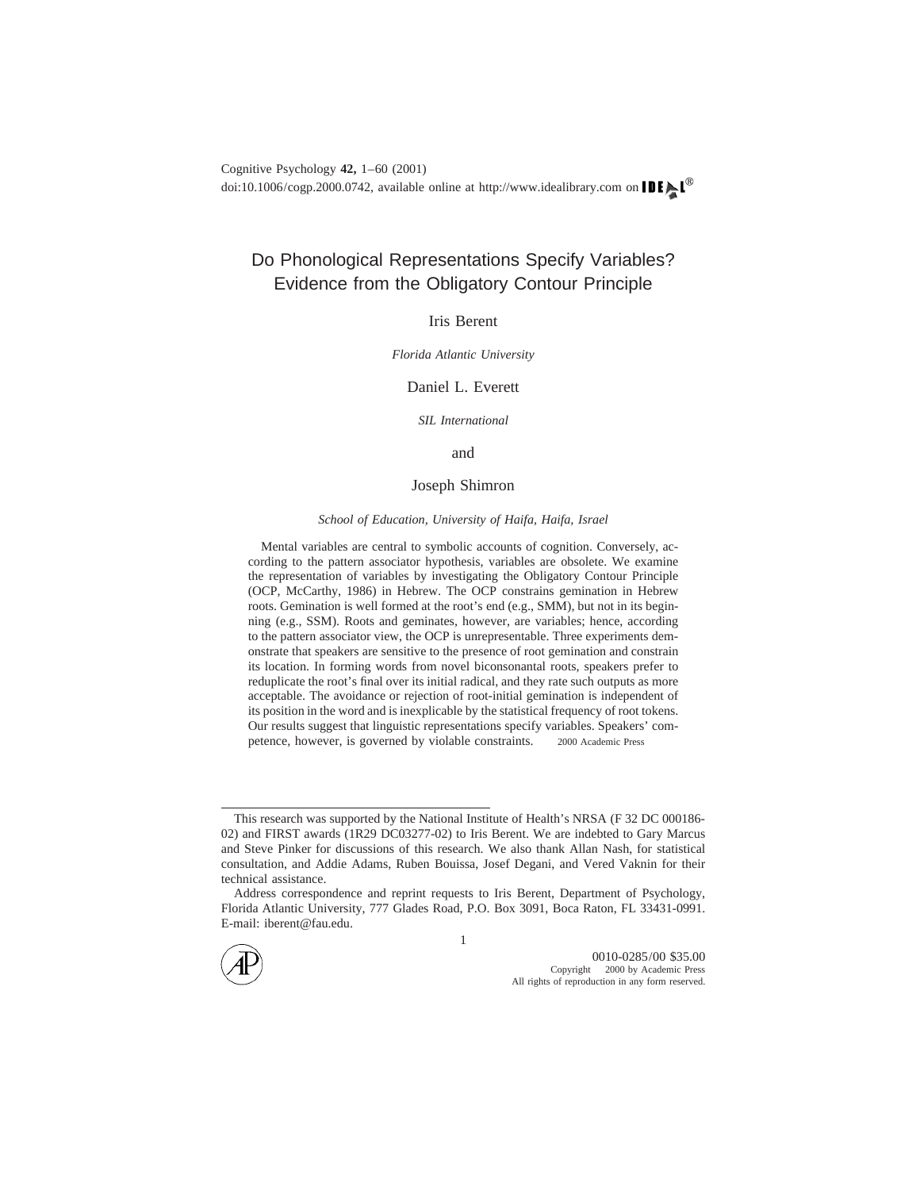# Do Phonological Representations Specify Variables? Evidence from the Obligatory Contour Principle

# Iris Berent

*Florida Atlantic University*

# Daniel L. Everett

*SIL International*

and

## Joseph Shimron

### *School of Education, University of Haifa, Haifa, Israel*

Mental variables are central to symbolic accounts of cognition. Conversely, according to the pattern associator hypothesis, variables are obsolete. We examine the representation of variables by investigating the Obligatory Contour Principle (OCP, McCarthy, 1986) in Hebrew. The OCP constrains gemination in Hebrew roots. Gemination is well formed at the root's end (e.g., SMM), but not in its beginning (e.g., SSM). Roots and geminates, however, are variables; hence, according to the pattern associator view, the OCP is unrepresentable. Three experiments demonstrate that speakers are sensitive to the presence of root gemination and constrain its location. In forming words from novel biconsonantal roots, speakers prefer to reduplicate the root's final over its initial radical, and they rate such outputs as more acceptable. The avoidance or rejection of root-initial gemination is independent of its position in the word and is inexplicable by the statistical frequency of root tokens. Our results suggest that linguistic representations specify variables. Speakers' competence, however, is governed by violable constraints.  $\circ$  2000 Academic Press

Address correspondence and reprint requests to Iris Berent, Department of Psychology, Florida Atlantic University, 777 Glades Road, P.O. Box 3091, Boca Raton, FL 33431-0991. E-mail: iberent@fau.edu.



This research was supported by the National Institute of Health's NRSA (F 32 DC 000186- 02) and FIRST awards (1R29 DC03277-02) to Iris Berent. We are indebted to Gary Marcus and Steve Pinker for discussions of this research. We also thank Allan Nash, for statistical consultation, and Addie Adams, Ruben Bouissa, Josef Degani, and Vered Vaknin for their technical assistance.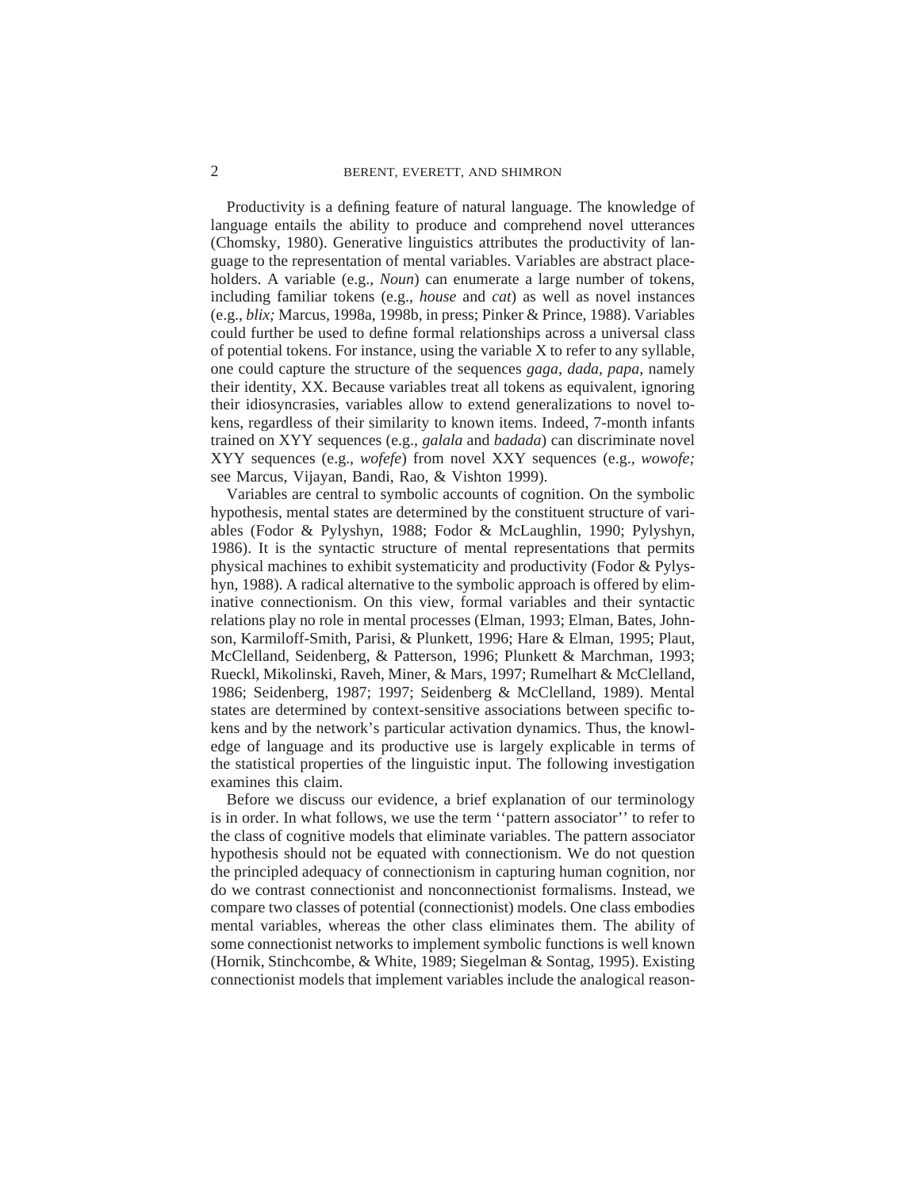Productivity is a defining feature of natural language. The knowledge of language entails the ability to produce and comprehend novel utterances (Chomsky, 1980). Generative linguistics attributes the productivity of language to the representation of mental variables. Variables are abstract placeholders. A variable (e.g., *Noun*) can enumerate a large number of tokens, including familiar tokens (e.g., *house* and *cat*) as well as novel instances (e.g., *blix;* Marcus, 1998a, 1998b, in press; Pinker & Prince, 1988). Variables could further be used to define formal relationships across a universal class of potential tokens. For instance, using the variable X to refer to any syllable, one could capture the structure of the sequences *gaga, dada, papa,* namely their identity, XX. Because variables treat all tokens as equivalent, ignoring their idiosyncrasies, variables allow to extend generalizations to novel tokens, regardless of their similarity to known items. Indeed, 7-month infants trained on XYY sequences (e.g., *galala* and *badada*) can discriminate novel XYY sequences (e.g., *wofefe*) from novel XXY sequences (e.g., *wowofe;* see Marcus, Vijayan, Bandi, Rao, & Vishton 1999).

Variables are central to symbolic accounts of cognition. On the symbolic hypothesis, mental states are determined by the constituent structure of variables (Fodor & Pylyshyn, 1988; Fodor & McLaughlin, 1990; Pylyshyn, 1986). It is the syntactic structure of mental representations that permits physical machines to exhibit systematicity and productivity (Fodor & Pylyshyn, 1988). A radical alternative to the symbolic approach is offered by eliminative connectionism. On this view, formal variables and their syntactic relations play no role in mental processes (Elman, 1993; Elman, Bates, Johnson, Karmiloff-Smith, Parisi, & Plunkett, 1996; Hare & Elman, 1995; Plaut, McClelland, Seidenberg, & Patterson, 1996; Plunkett & Marchman, 1993; Rueckl, Mikolinski, Raveh, Miner, & Mars, 1997; Rumelhart & McClelland, 1986; Seidenberg, 1987; 1997; Seidenberg & McClelland, 1989). Mental states are determined by context-sensitive associations between specific tokens and by the network's particular activation dynamics. Thus, the knowledge of language and its productive use is largely explicable in terms of the statistical properties of the linguistic input. The following investigation examines this claim.

Before we discuss our evidence, a brief explanation of our terminology is in order. In what follows, we use the term ''pattern associator'' to refer to the class of cognitive models that eliminate variables. The pattern associator hypothesis should not be equated with connectionism. We do not question the principled adequacy of connectionism in capturing human cognition, nor do we contrast connectionist and nonconnectionist formalisms. Instead, we compare two classes of potential (connectionist) models. One class embodies mental variables, whereas the other class eliminates them. The ability of some connectionist networks to implement symbolic functions is well known (Hornik, Stinchcombe, & White, 1989; Siegelman & Sontag, 1995). Existing connectionist models that implement variables include the analogical reason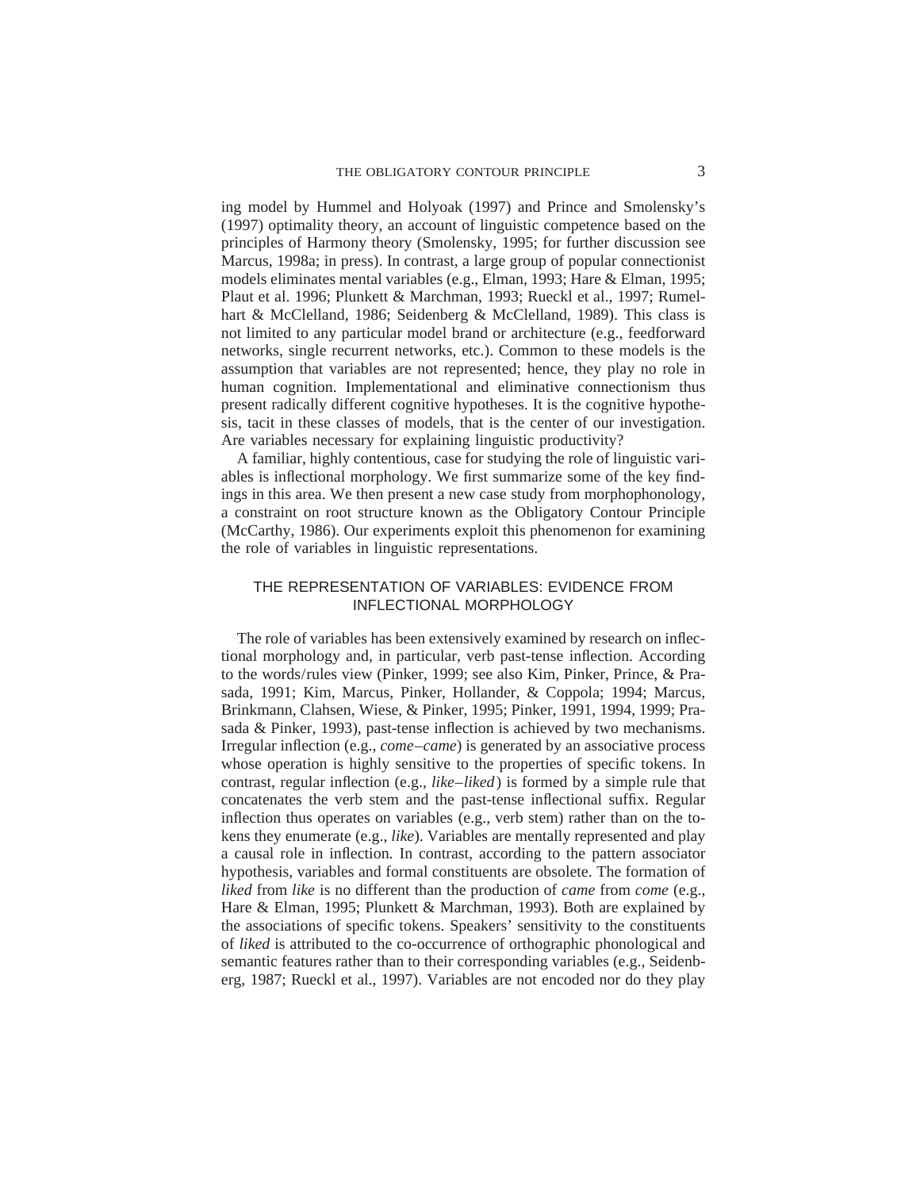ing model by Hummel and Holyoak (1997) and Prince and Smolensky's (1997) optimality theory, an account of linguistic competence based on the principles of Harmony theory (Smolensky, 1995; for further discussion see Marcus, 1998a; in press). In contrast, a large group of popular connectionist models eliminates mental variables (e.g., Elman, 1993; Hare & Elman, 1995; Plaut et al. 1996; Plunkett & Marchman, 1993; Rueckl et al., 1997; Rumelhart & McClelland, 1986; Seidenberg & McClelland, 1989). This class is not limited to any particular model brand or architecture (e.g., feedforward networks, single recurrent networks, etc.). Common to these models is the assumption that variables are not represented; hence, they play no role in human cognition. Implementational and eliminative connectionism thus present radically different cognitive hypotheses. It is the cognitive hypothesis, tacit in these classes of models, that is the center of our investigation. Are variables necessary for explaining linguistic productivity?

A familiar, highly contentious, case for studying the role of linguistic variables is inflectional morphology. We first summarize some of the key findings in this area. We then present a new case study from morphophonology, a constraint on root structure known as the Obligatory Contour Principle (McCarthy, 1986). Our experiments exploit this phenomenon for examining the role of variables in linguistic representations.

# THE REPRESENTATION OF VARIABLES: EVIDENCE FROM INFLECTIONAL MORPHOLOGY

The role of variables has been extensively examined by research on inflectional morphology and, in particular, verb past-tense inflection. According to the words/rules view (Pinker, 1999; see also Kim, Pinker, Prince, & Prasada, 1991; Kim, Marcus, Pinker, Hollander, & Coppola; 1994; Marcus, Brinkmann, Clahsen, Wiese, & Pinker, 1995; Pinker, 1991, 1994, 1999; Prasada & Pinker, 1993), past-tense inflection is achieved by two mechanisms. Irregular inflection (e.g., *come–came*) is generated by an associative process whose operation is highly sensitive to the properties of specific tokens. In contrast, regular inflection (e.g., *like–liked*) is formed by a simple rule that concatenates the verb stem and the past-tense inflectional suffix. Regular inflection thus operates on variables (e.g., verb stem) rather than on the tokens they enumerate (e.g., *like*). Variables are mentally represented and play a causal role in inflection. In contrast, according to the pattern associator hypothesis, variables and formal constituents are obsolete. The formation of *liked* from *like* is no different than the production of *came* from *come* (e.g., Hare & Elman, 1995; Plunkett & Marchman, 1993). Both are explained by the associations of specific tokens. Speakers' sensitivity to the constituents of *liked* is attributed to the co-occurrence of orthographic phonological and semantic features rather than to their corresponding variables (e.g., Seidenberg, 1987; Rueckl et al., 1997). Variables are not encoded nor do they play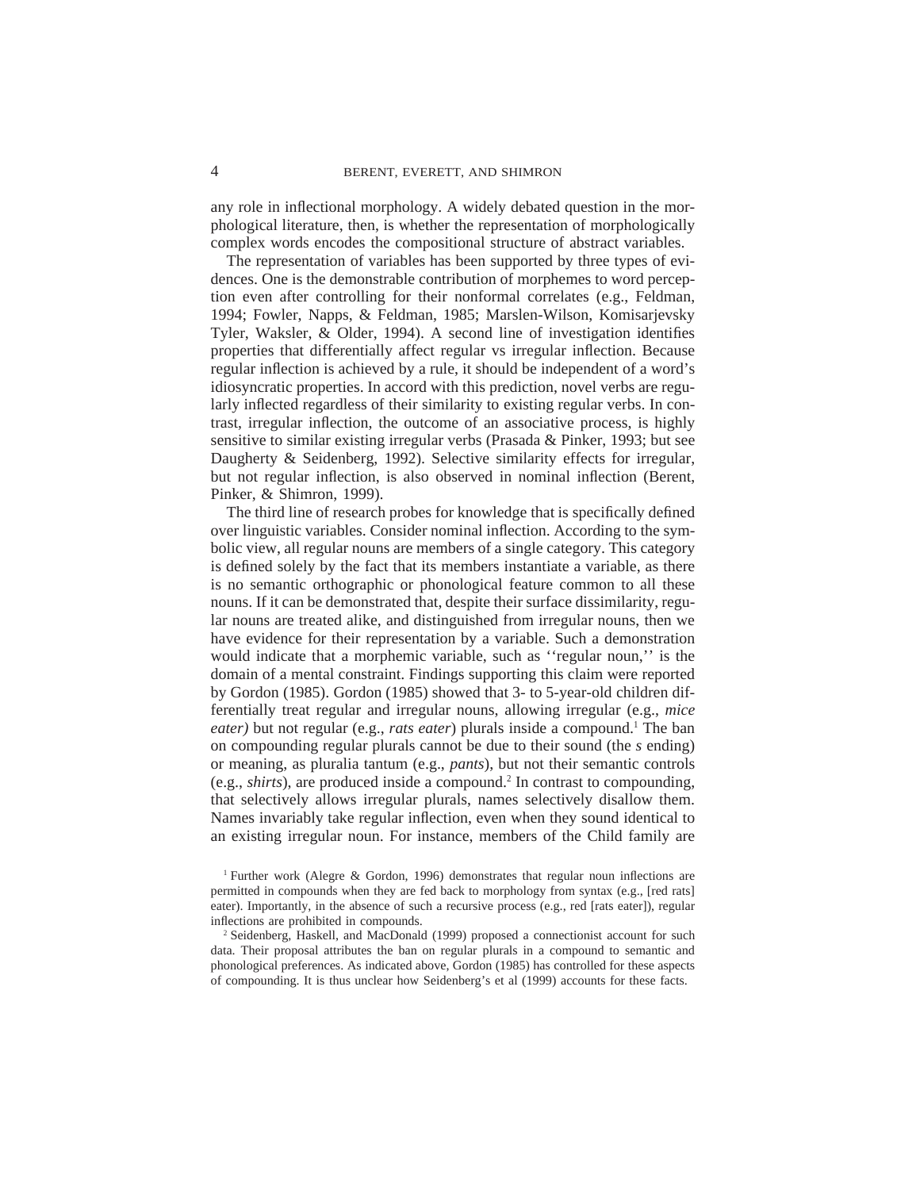any role in inflectional morphology. A widely debated question in the morphological literature, then, is whether the representation of morphologically complex words encodes the compositional structure of abstract variables.

The representation of variables has been supported by three types of evidences. One is the demonstrable contribution of morphemes to word perception even after controlling for their nonformal correlates (e.g., Feldman, 1994; Fowler, Napps, & Feldman, 1985; Marslen-Wilson, Komisarjevsky Tyler, Waksler, & Older, 1994). A second line of investigation identifies properties that differentially affect regular vs irregular inflection. Because regular inflection is achieved by a rule, it should be independent of a word's idiosyncratic properties. In accord with this prediction, novel verbs are regularly inflected regardless of their similarity to existing regular verbs. In contrast, irregular inflection, the outcome of an associative process, is highly sensitive to similar existing irregular verbs (Prasada & Pinker, 1993; but see Daugherty & Seidenberg, 1992). Selective similarity effects for irregular, but not regular inflection, is also observed in nominal inflection (Berent, Pinker, & Shimron, 1999).

The third line of research probes for knowledge that is specifically defined over linguistic variables. Consider nominal inflection. According to the symbolic view, all regular nouns are members of a single category. This category is defined solely by the fact that its members instantiate a variable, as there is no semantic orthographic or phonological feature common to all these nouns. If it can be demonstrated that, despite their surface dissimilarity, regular nouns are treated alike, and distinguished from irregular nouns, then we have evidence for their representation by a variable. Such a demonstration would indicate that a morphemic variable, such as ''regular noun,'' is the domain of a mental constraint. Findings supporting this claim were reported by Gordon (1985). Gordon (1985) showed that 3- to 5-year-old children differentially treat regular and irregular nouns, allowing irregular (e.g., *mice eater*) but not regular (e.g., *rats eater*) plurals inside a compound.<sup>1</sup> The ban on compounding regular plurals cannot be due to their sound (the *s* ending) or meaning, as pluralia tantum (e.g., *pants*), but not their semantic controls (e.g., *shirts*), are produced inside a compound.2 In contrast to compounding, that selectively allows irregular plurals, names selectively disallow them. Names invariably take regular inflection, even when they sound identical to an existing irregular noun. For instance, members of the Child family are

<sup>1</sup> Further work (Alegre & Gordon, 1996) demonstrates that regular noun inflections are permitted in compounds when they are fed back to morphology from syntax (e.g., [red rats] eater). Importantly, in the absence of such a recursive process (e.g., red [rats eater]), regular inflections are prohibited in compounds.

<sup>2</sup> Seidenberg, Haskell, and MacDonald (1999) proposed a connectionist account for such data. Their proposal attributes the ban on regular plurals in a compound to semantic and phonological preferences. As indicated above, Gordon (1985) has controlled for these aspects of compounding. It is thus unclear how Seidenberg's et al (1999) accounts for these facts.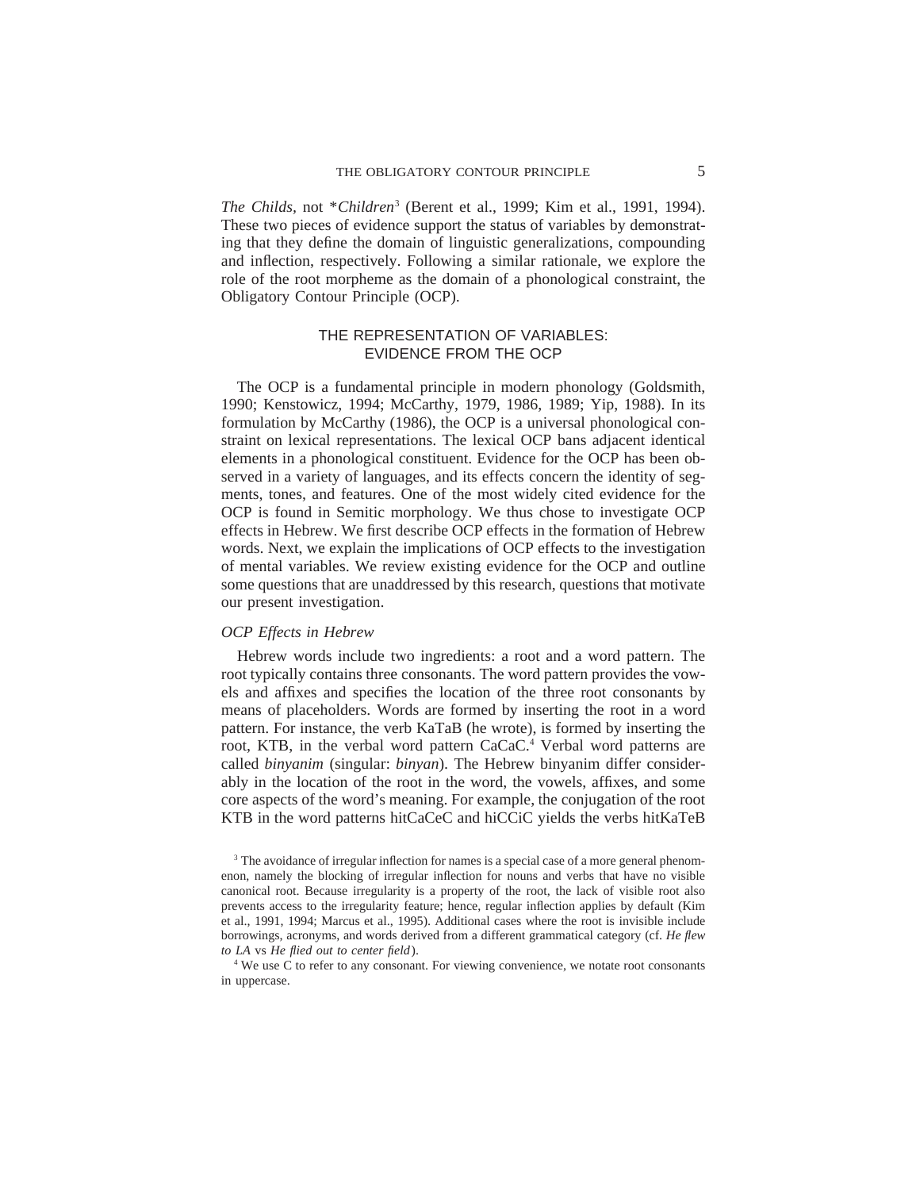*The Childs,* not \**Children*<sup>3</sup> (Berent et al., 1999; Kim et al., 1991, 1994). These two pieces of evidence support the status of variables by demonstrating that they define the domain of linguistic generalizations, compounding and inflection, respectively. Following a similar rationale, we explore the role of the root morpheme as the domain of a phonological constraint, the Obligatory Contour Principle (OCP).

# THE REPRESENTATION OF VARIABLES: EVIDENCE FROM THE OCP

The OCP is a fundamental principle in modern phonology (Goldsmith, 1990; Kenstowicz, 1994; McCarthy, 1979, 1986, 1989; Yip, 1988). In its formulation by McCarthy (1986), the OCP is a universal phonological constraint on lexical representations. The lexical OCP bans adjacent identical elements in a phonological constituent. Evidence for the OCP has been observed in a variety of languages, and its effects concern the identity of segments, tones, and features. One of the most widely cited evidence for the OCP is found in Semitic morphology. We thus chose to investigate OCP effects in Hebrew. We first describe OCP effects in the formation of Hebrew words. Next, we explain the implications of OCP effects to the investigation of mental variables. We review existing evidence for the OCP and outline some questions that are unaddressed by this research, questions that motivate our present investigation.

# *OCP Effects in Hebrew*

Hebrew words include two ingredients: a root and a word pattern. The root typically contains three consonants. The word pattern provides the vowels and affixes and specifies the location of the three root consonants by means of placeholders. Words are formed by inserting the root in a word pattern. For instance, the verb KaTaB (he wrote), is formed by inserting the root, KTB, in the verbal word pattern CaCaC.4 Verbal word patterns are called *binyanim* (singular: *binyan*). The Hebrew binyanim differ considerably in the location of the root in the word, the vowels, affixes, and some core aspects of the word's meaning. For example, the conjugation of the root KTB in the word patterns hitCaCeC and hiCCiC yields the verbs hitKaTeB

<sup>3</sup> The avoidance of irregular inflection for names is a special case of a more general phenomenon, namely the blocking of irregular inflection for nouns and verbs that have no visible canonical root. Because irregularity is a property of the root, the lack of visible root also prevents access to the irregularity feature; hence, regular inflection applies by default (Kim et al., 1991, 1994; Marcus et al., 1995). Additional cases where the root is invisible include borrowings, acronyms, and words derived from a different grammatical category (cf. *He flew to LA* vs *He flied out to center field*).

<sup>4</sup> We use C to refer to any consonant. For viewing convenience, we notate root consonants in uppercase.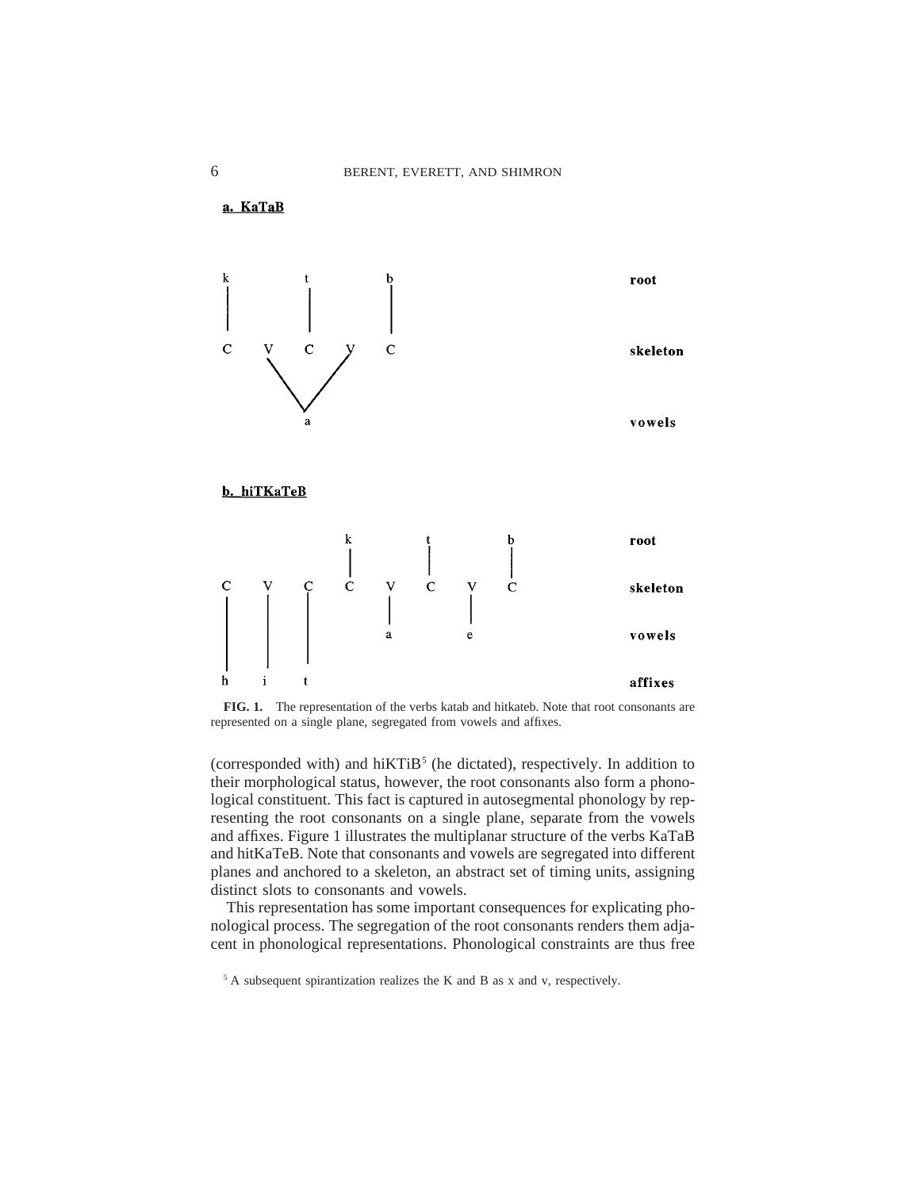



**FIG. 1.** The representation of the verbs katab and hitkateb. Note that root consonants are represented on a single plane, segregated from vowels and affixes.

(corresponded with) and hiKTi $B<sup>5</sup>$  (he dictated), respectively. In addition to their morphological status, however, the root consonants also form a phonological constituent. This fact is captured in autosegmental phonology by representing the root consonants on a single plane, separate from the vowels and affixes. Figure 1 illustrates the multiplanar structure of the verbs KaTaB and hitKaTeB. Note that consonants and vowels are segregated into different planes and anchored to a skeleton, an abstract set of timing units, assigning distinct slots to consonants and vowels.

This representation has some important consequences for explicating phonological process. The segregation of the root consonants renders them adjacent in phonological representations. Phonological constraints are thus free

 $5$  A subsequent spirantization realizes the K and B as x and v, respectively.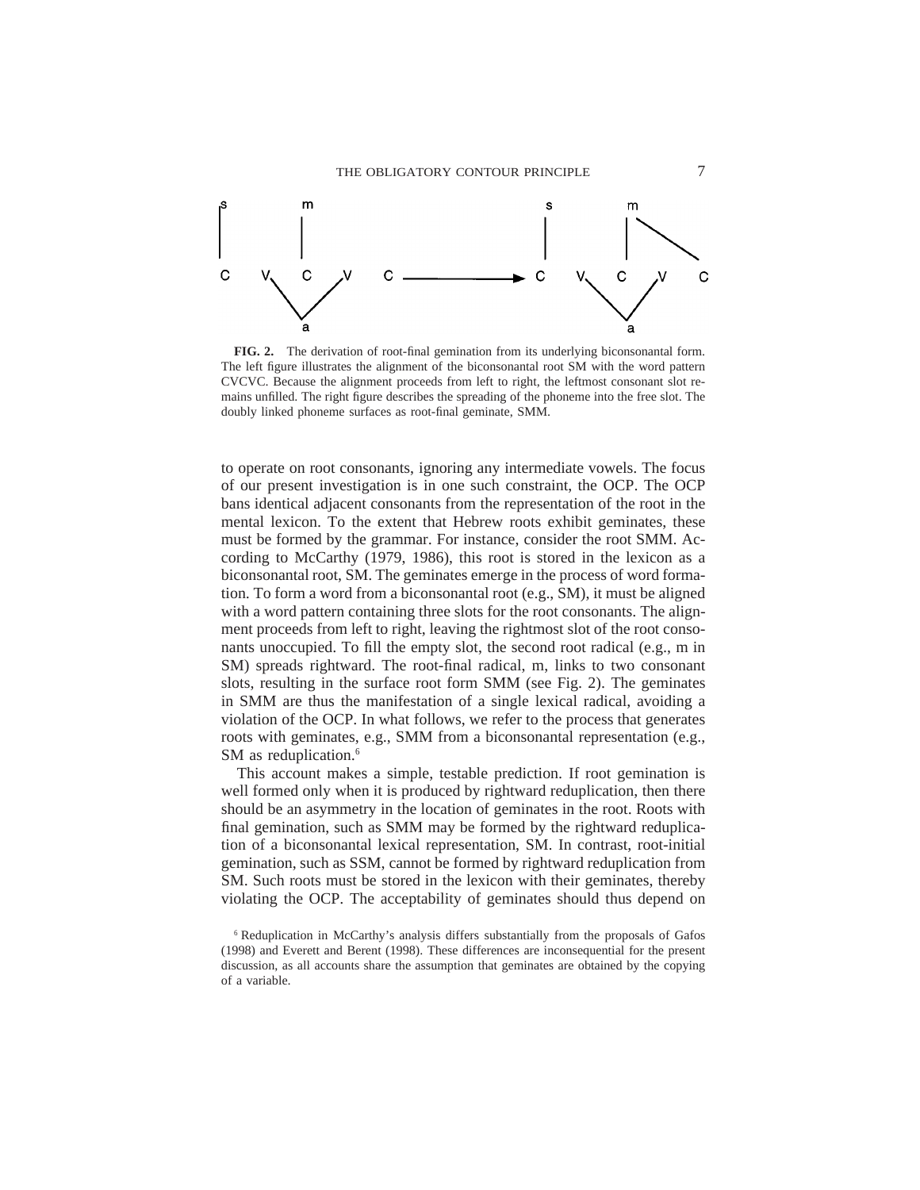

**FIG. 2.** The derivation of root-final gemination from its underlying biconsonantal form. The left figure illustrates the alignment of the biconsonantal root SM with the word pattern CVCVC. Because the alignment proceeds from left to right, the leftmost consonant slot remains unfilled. The right figure describes the spreading of the phoneme into the free slot. The doubly linked phoneme surfaces as root-final geminate, SMM.

to operate on root consonants, ignoring any intermediate vowels. The focus of our present investigation is in one such constraint, the OCP. The OCP bans identical adjacent consonants from the representation of the root in the mental lexicon. To the extent that Hebrew roots exhibit geminates, these must be formed by the grammar. For instance, consider the root SMM. According to McCarthy (1979, 1986), this root is stored in the lexicon as a biconsonantal root, SM. The geminates emerge in the process of word formation. To form a word from a biconsonantal root (e.g., SM), it must be aligned with a word pattern containing three slots for the root consonants. The alignment proceeds from left to right, leaving the rightmost slot of the root consonants unoccupied. To fill the empty slot, the second root radical (e.g., m in SM) spreads rightward. The root-final radical, m, links to two consonant slots, resulting in the surface root form SMM (see Fig. 2). The geminates in SMM are thus the manifestation of a single lexical radical, avoiding a violation of the OCP. In what follows, we refer to the process that generates roots with geminates, e.g., SMM from a biconsonantal representation (e.g., SM as reduplication.<sup>6</sup>

This account makes a simple, testable prediction. If root gemination is well formed only when it is produced by rightward reduplication, then there should be an asymmetry in the location of geminates in the root. Roots with final gemination, such as SMM may be formed by the rightward reduplication of a biconsonantal lexical representation, SM. In contrast, root-initial gemination, such as SSM, cannot be formed by rightward reduplication from SM. Such roots must be stored in the lexicon with their geminates, thereby violating the OCP. The acceptability of geminates should thus depend on

<sup>6</sup> Reduplication in McCarthy's analysis differs substantially from the proposals of Gafos (1998) and Everett and Berent (1998). These differences are inconsequential for the present discussion, as all accounts share the assumption that geminates are obtained by the copying of a variable.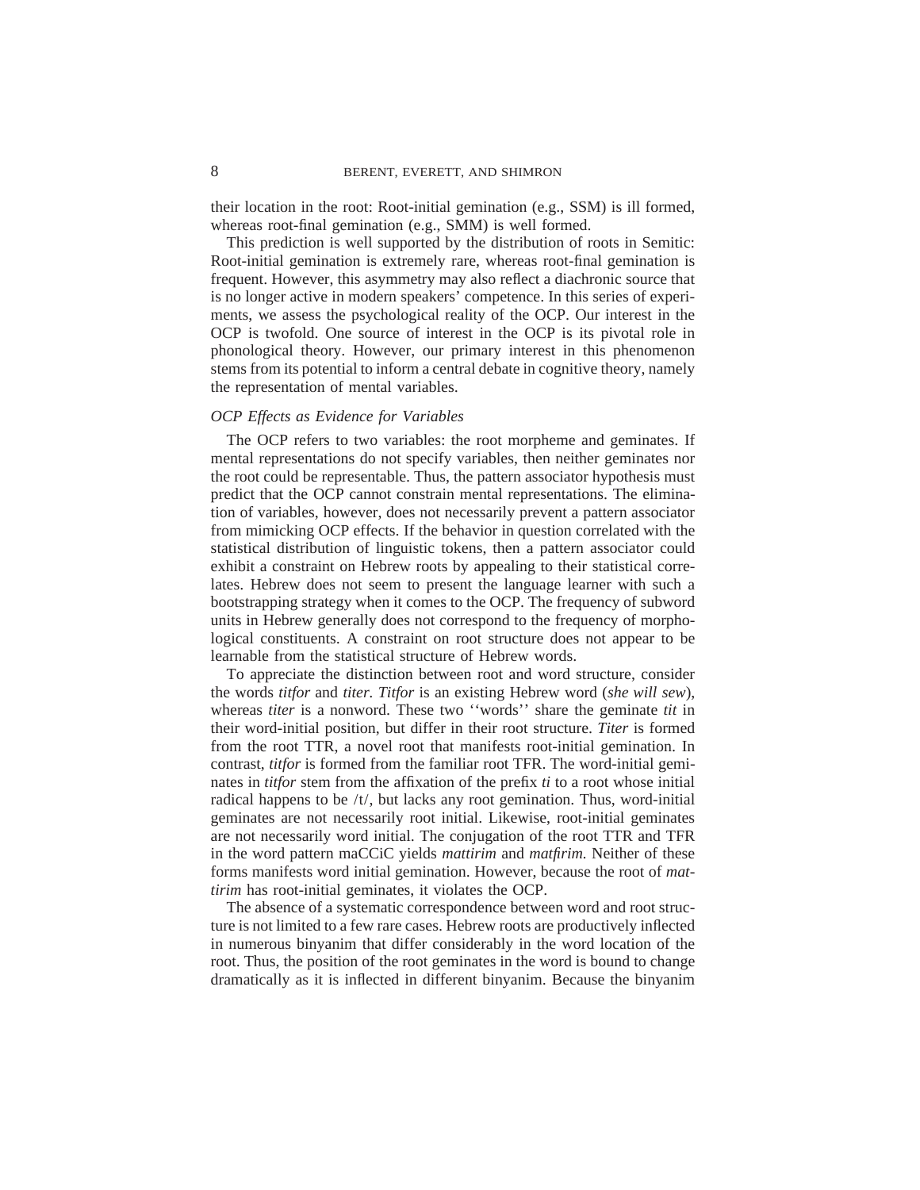their location in the root: Root-initial gemination (e.g., SSM) is ill formed, whereas root-final gemination (e.g., SMM) is well formed.

This prediction is well supported by the distribution of roots in Semitic: Root-initial gemination is extremely rare, whereas root-final gemination is frequent. However, this asymmetry may also reflect a diachronic source that is no longer active in modern speakers' competence. In this series of experiments, we assess the psychological reality of the OCP. Our interest in the OCP is twofold. One source of interest in the OCP is its pivotal role in phonological theory. However, our primary interest in this phenomenon stems from its potential to inform a central debate in cognitive theory, namely the representation of mental variables.

# *OCP Effects as Evidence for Variables*

The OCP refers to two variables: the root morpheme and geminates. If mental representations do not specify variables, then neither geminates nor the root could be representable. Thus, the pattern associator hypothesis must predict that the OCP cannot constrain mental representations. The elimination of variables, however, does not necessarily prevent a pattern associator from mimicking OCP effects. If the behavior in question correlated with the statistical distribution of linguistic tokens, then a pattern associator could exhibit a constraint on Hebrew roots by appealing to their statistical correlates. Hebrew does not seem to present the language learner with such a bootstrapping strategy when it comes to the OCP. The frequency of subword units in Hebrew generally does not correspond to the frequency of morphological constituents. A constraint on root structure does not appear to be learnable from the statistical structure of Hebrew words.

To appreciate the distinction between root and word structure, consider the words *titfor* and *titer. Titfor* is an existing Hebrew word (*she will sew*), whereas *titer* is a nonword. These two ''words'' share the geminate *tit* in their word-initial position, but differ in their root structure. *Titer* is formed from the root TTR, a novel root that manifests root-initial gemination. In contrast, *titfor* is formed from the familiar root TFR. The word-initial geminates in *titfor* stem from the affixation of the prefix *ti* to a root whose initial radical happens to be  $/t/$ , but lacks any root gemination. Thus, word-initial geminates are not necessarily root initial. Likewise, root-initial geminates are not necessarily word initial. The conjugation of the root TTR and TFR in the word pattern maCCiC yields *mattirim* and *matfirim.* Neither of these forms manifests word initial gemination. However, because the root of *mattirim* has root-initial geminates, it violates the OCP.

The absence of a systematic correspondence between word and root structure is not limited to a few rare cases. Hebrew roots are productively inflected in numerous binyanim that differ considerably in the word location of the root. Thus, the position of the root geminates in the word is bound to change dramatically as it is inflected in different binyanim. Because the binyanim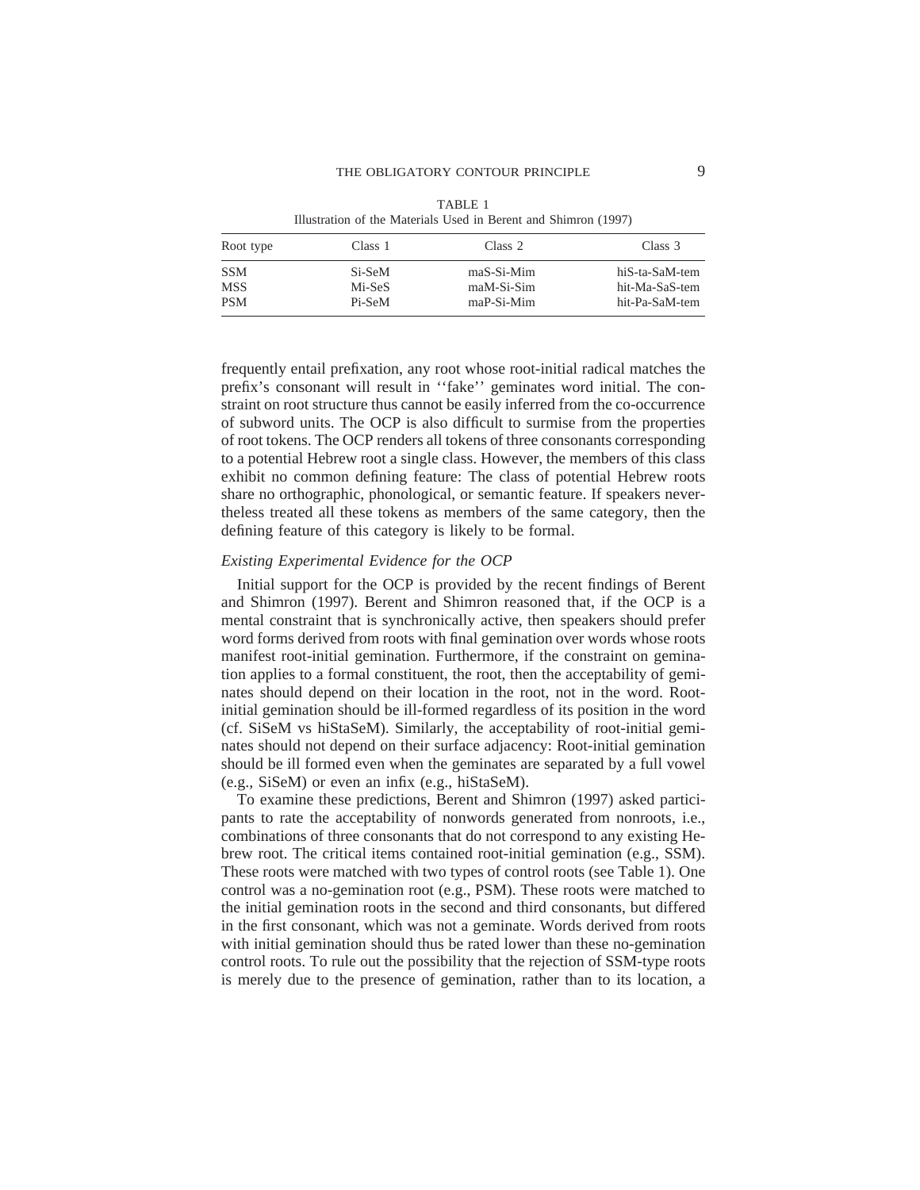### THE OBLIGATORY CONTOUR PRINCIPLE 9

| Root type  | Class 1 | Class 2      | Class 3        |
|------------|---------|--------------|----------------|
| <b>SSM</b> | Si-SeM  | maS-Si-Mim   | hiS-ta-SaM-tem |
| <b>MSS</b> | Mi-SeS  | maM-Si-Sim   | hit-Ma-SaS-tem |
| <b>PSM</b> | Pi-SeM  | $maP-Si-Mim$ | hit-Pa-SaM-tem |

TABLE 1 Illustration of the Materials Used in Berent and Shimron (1997)

frequently entail prefixation, any root whose root-initial radical matches the prefix's consonant will result in ''fake'' geminates word initial. The constraint on root structure thus cannot be easily inferred from the co-occurrence of subword units. The OCP is also difficult to surmise from the properties of root tokens. The OCP renders all tokens of three consonants corresponding to a potential Hebrew root a single class. However, the members of this class exhibit no common defining feature: The class of potential Hebrew roots share no orthographic, phonological, or semantic feature. If speakers nevertheless treated all these tokens as members of the same category, then the defining feature of this category is likely to be formal.

# *Existing Experimental Evidence for the OCP*

Initial support for the OCP is provided by the recent findings of Berent and Shimron (1997). Berent and Shimron reasoned that, if the OCP is a mental constraint that is synchronically active, then speakers should prefer word forms derived from roots with final gemination over words whose roots manifest root-initial gemination. Furthermore, if the constraint on gemination applies to a formal constituent, the root, then the acceptability of geminates should depend on their location in the root, not in the word. Rootinitial gemination should be ill-formed regardless of its position in the word (cf. SiSeM vs hiStaSeM). Similarly, the acceptability of root-initial geminates should not depend on their surface adjacency: Root-initial gemination should be ill formed even when the geminates are separated by a full vowel (e.g., SiSeM) or even an infix (e.g., hiStaSeM).

To examine these predictions, Berent and Shimron (1997) asked participants to rate the acceptability of nonwords generated from nonroots, i.e., combinations of three consonants that do not correspond to any existing Hebrew root. The critical items contained root-initial gemination (e.g., SSM). These roots were matched with two types of control roots (see Table 1). One control was a no-gemination root (e.g., PSM). These roots were matched to the initial gemination roots in the second and third consonants, but differed in the first consonant, which was not a geminate. Words derived from roots with initial gemination should thus be rated lower than these no-gemination control roots. To rule out the possibility that the rejection of SSM-type roots is merely due to the presence of gemination, rather than to its location, a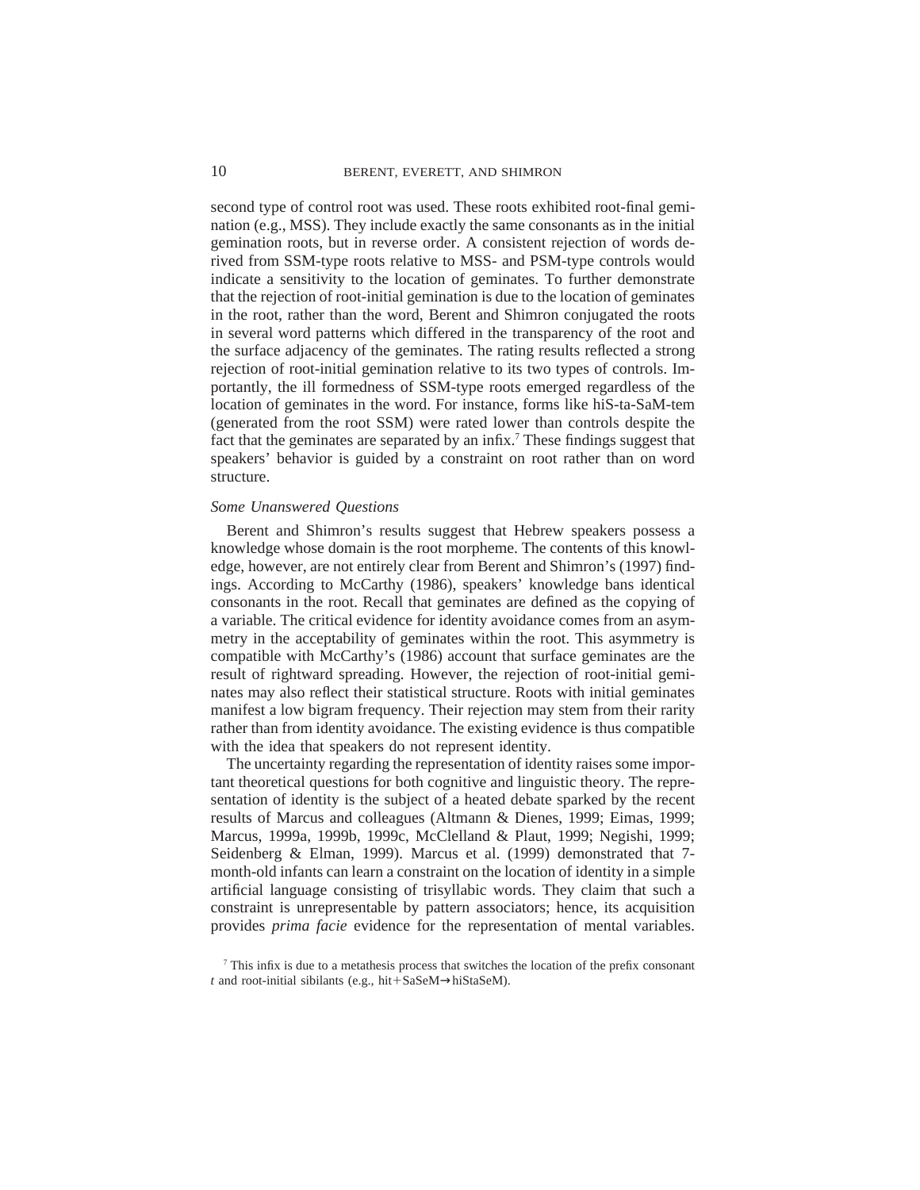second type of control root was used. These roots exhibited root-final gemination (e.g., MSS). They include exactly the same consonants as in the initial gemination roots, but in reverse order. A consistent rejection of words derived from SSM-type roots relative to MSS- and PSM-type controls would indicate a sensitivity to the location of geminates. To further demonstrate that the rejection of root-initial gemination is due to the location of geminates in the root, rather than the word, Berent and Shimron conjugated the roots in several word patterns which differed in the transparency of the root and the surface adjacency of the geminates. The rating results reflected a strong rejection of root-initial gemination relative to its two types of controls. Importantly, the ill formedness of SSM-type roots emerged regardless of the location of geminates in the word. For instance, forms like hiS-ta-SaM-tem (generated from the root SSM) were rated lower than controls despite the fact that the geminates are separated by an infix.7 These findings suggest that speakers' behavior is guided by a constraint on root rather than on word structure.

# *Some Unanswered Questions*

Berent and Shimron's results suggest that Hebrew speakers possess a knowledge whose domain is the root morpheme. The contents of this knowledge, however, are not entirely clear from Berent and Shimron's (1997) findings. According to McCarthy (1986), speakers' knowledge bans identical consonants in the root. Recall that geminates are defined as the copying of a variable. The critical evidence for identity avoidance comes from an asymmetry in the acceptability of geminates within the root. This asymmetry is compatible with McCarthy's (1986) account that surface geminates are the result of rightward spreading. However, the rejection of root-initial geminates may also reflect their statistical structure. Roots with initial geminates manifest a low bigram frequency. Their rejection may stem from their rarity rather than from identity avoidance. The existing evidence is thus compatible with the idea that speakers do not represent identity.

The uncertainty regarding the representation of identity raises some important theoretical questions for both cognitive and linguistic theory. The representation of identity is the subject of a heated debate sparked by the recent results of Marcus and colleagues (Altmann & Dienes, 1999; Eimas, 1999; Marcus, 1999a, 1999b, 1999c, McClelland & Plaut, 1999; Negishi, 1999; Seidenberg & Elman, 1999). Marcus et al. (1999) demonstrated that 7 month-old infants can learn a constraint on the location of identity in a simple artificial language consisting of trisyllabic words. They claim that such a constraint is unrepresentable by pattern associators; hence, its acquisition provides *prima facie* evidence for the representation of mental variables.

<sup>7</sup> This infix is due to a metathesis process that switches the location of the prefix consonant *t* and root-initial sibilants (e.g., hit $+$ SaSeM $\rightarrow$ hiStaSeM).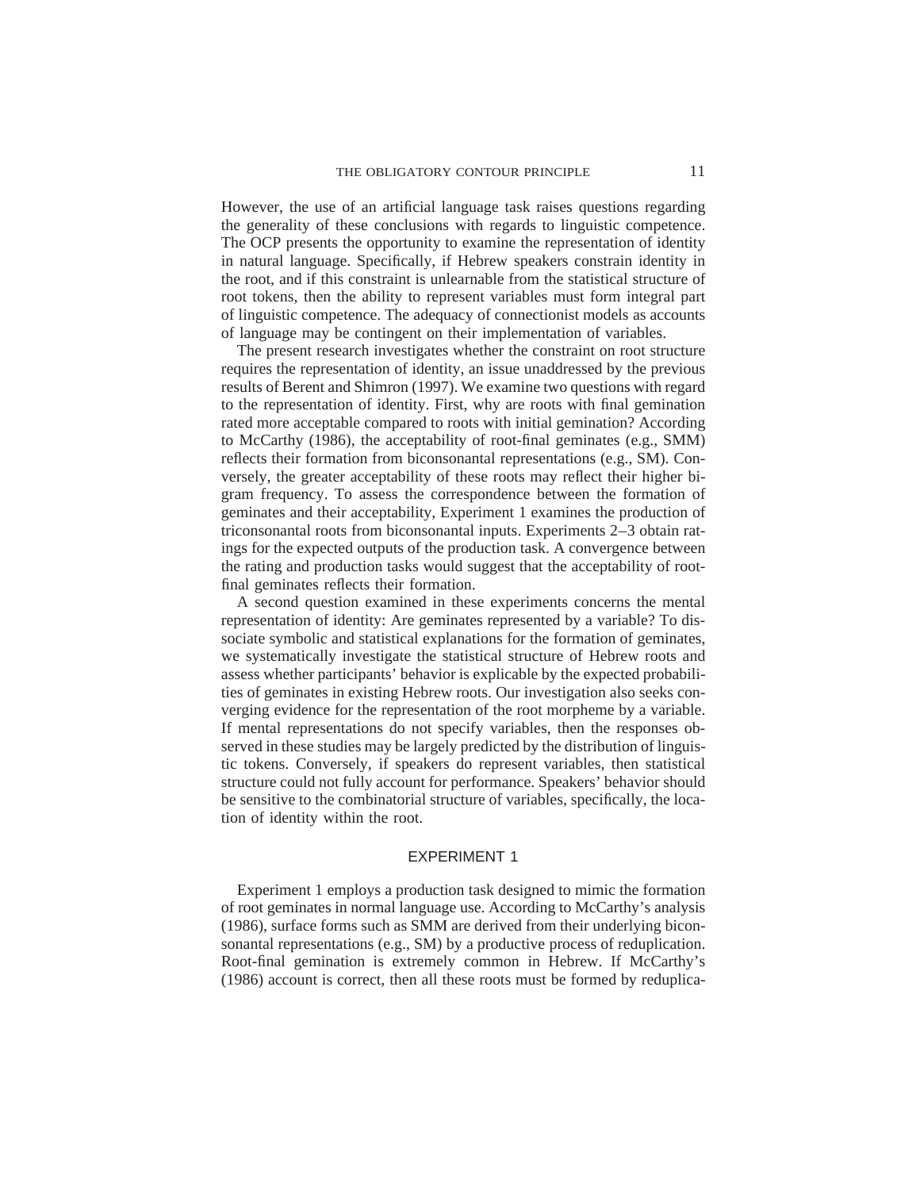However, the use of an artificial language task raises questions regarding the generality of these conclusions with regards to linguistic competence. The OCP presents the opportunity to examine the representation of identity in natural language. Specifically, if Hebrew speakers constrain identity in the root, and if this constraint is unlearnable from the statistical structure of root tokens, then the ability to represent variables must form integral part of linguistic competence. The adequacy of connectionist models as accounts of language may be contingent on their implementation of variables.

The present research investigates whether the constraint on root structure requires the representation of identity, an issue unaddressed by the previous results of Berent and Shimron (1997). We examine two questions with regard to the representation of identity. First, why are roots with final gemination rated more acceptable compared to roots with initial gemination? According to McCarthy (1986), the acceptability of root-final geminates (e.g., SMM) reflects their formation from biconsonantal representations (e.g., SM). Conversely, the greater acceptability of these roots may reflect their higher bigram frequency. To assess the correspondence between the formation of geminates and their acceptability, Experiment 1 examines the production of triconsonantal roots from biconsonantal inputs. Experiments 2–3 obtain ratings for the expected outputs of the production task. A convergence between the rating and production tasks would suggest that the acceptability of rootfinal geminates reflects their formation.

A second question examined in these experiments concerns the mental representation of identity: Are geminates represented by a variable? To dissociate symbolic and statistical explanations for the formation of geminates, we systematically investigate the statistical structure of Hebrew roots and assess whether participants' behavior is explicable by the expected probabilities of geminates in existing Hebrew roots. Our investigation also seeks converging evidence for the representation of the root morpheme by a variable. If mental representations do not specify variables, then the responses observed in these studies may be largely predicted by the distribution of linguistic tokens. Conversely, if speakers do represent variables, then statistical structure could not fully account for performance. Speakers' behavior should be sensitive to the combinatorial structure of variables, specifically, the location of identity within the root.

## EXPERIMENT 1

Experiment 1 employs a production task designed to mimic the formation of root geminates in normal language use. According to McCarthy's analysis (1986), surface forms such as SMM are derived from their underlying biconsonantal representations (e.g., SM) by a productive process of reduplication. Root-final gemination is extremely common in Hebrew. If McCarthy's (1986) account is correct, then all these roots must be formed by reduplica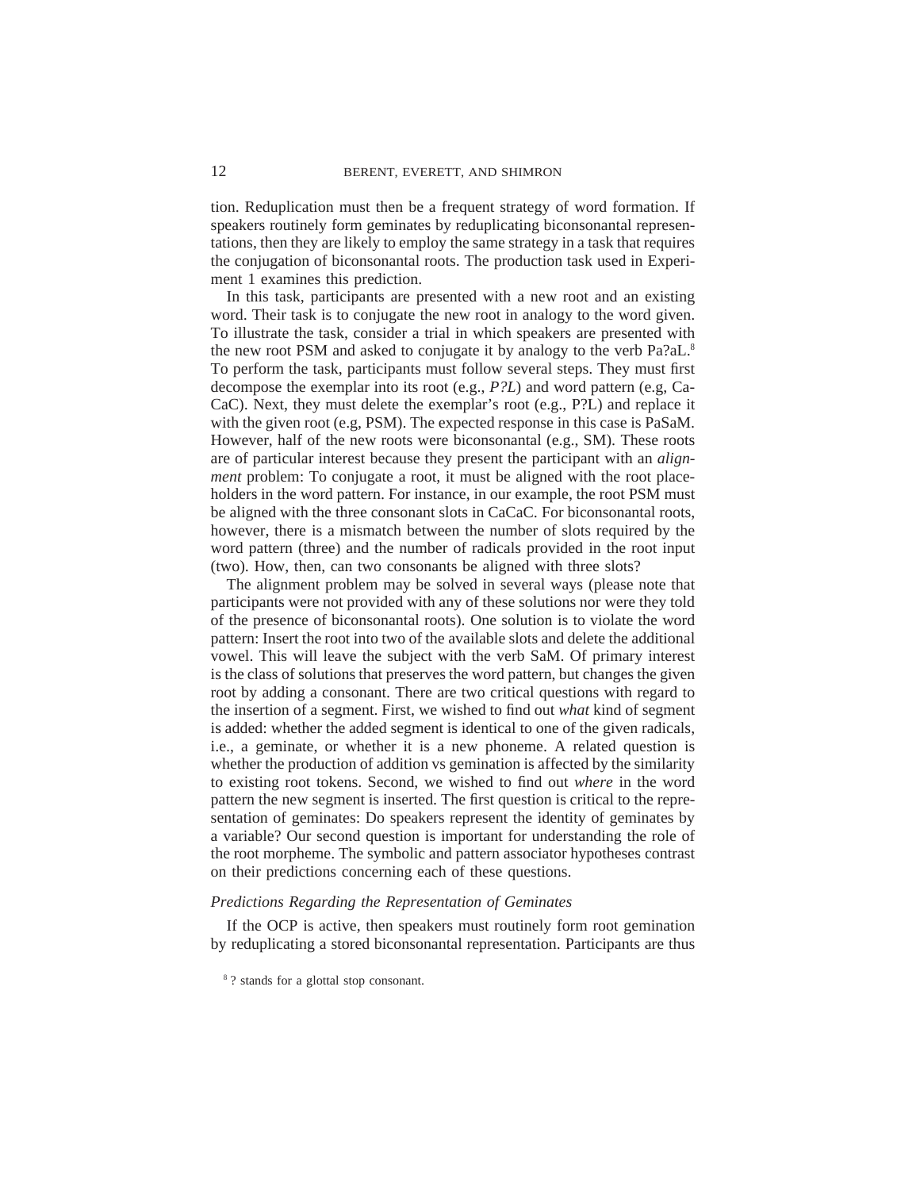tion. Reduplication must then be a frequent strategy of word formation. If speakers routinely form geminates by reduplicating biconsonantal representations, then they are likely to employ the same strategy in a task that requires the conjugation of biconsonantal roots. The production task used in Experiment 1 examines this prediction.

In this task, participants are presented with a new root and an existing word. Their task is to conjugate the new root in analogy to the word given. To illustrate the task, consider a trial in which speakers are presented with the new root PSM and asked to conjugate it by analogy to the verb Pa?aL.<sup>8</sup> To perform the task, participants must follow several steps. They must first decompose the exemplar into its root (e.g., *P?L*) and word pattern (e.g, Ca-CaC). Next, they must delete the exemplar's root (e.g., P?L) and replace it with the given root (e.g, PSM). The expected response in this case is PaSaM. However, half of the new roots were biconsonantal (e.g., SM). These roots are of particular interest because they present the participant with an *alignment* problem: To conjugate a root, it must be aligned with the root placeholders in the word pattern. For instance, in our example, the root PSM must be aligned with the three consonant slots in CaCaC. For biconsonantal roots, however, there is a mismatch between the number of slots required by the word pattern (three) and the number of radicals provided in the root input (two). How, then, can two consonants be aligned with three slots?

The alignment problem may be solved in several ways (please note that participants were not provided with any of these solutions nor were they told of the presence of biconsonantal roots). One solution is to violate the word pattern: Insert the root into two of the available slots and delete the additional vowel. This will leave the subject with the verb SaM. Of primary interest is the class of solutions that preserves the word pattern, but changes the given root by adding a consonant. There are two critical questions with regard to the insertion of a segment. First, we wished to find out *what* kind of segment is added: whether the added segment is identical to one of the given radicals, i.e., a geminate, or whether it is a new phoneme. A related question is whether the production of addition vs gemination is affected by the similarity to existing root tokens. Second, we wished to find out *where* in the word pattern the new segment is inserted. The first question is critical to the representation of geminates: Do speakers represent the identity of geminates by a variable? Our second question is important for understanding the role of the root morpheme. The symbolic and pattern associator hypotheses contrast on their predictions concerning each of these questions.

# *Predictions Regarding the Representation of Geminates*

If the OCP is active, then speakers must routinely form root gemination by reduplicating a stored biconsonantal representation. Participants are thus

<sup>&</sup>lt;sup>8</sup>? stands for a glottal stop consonant.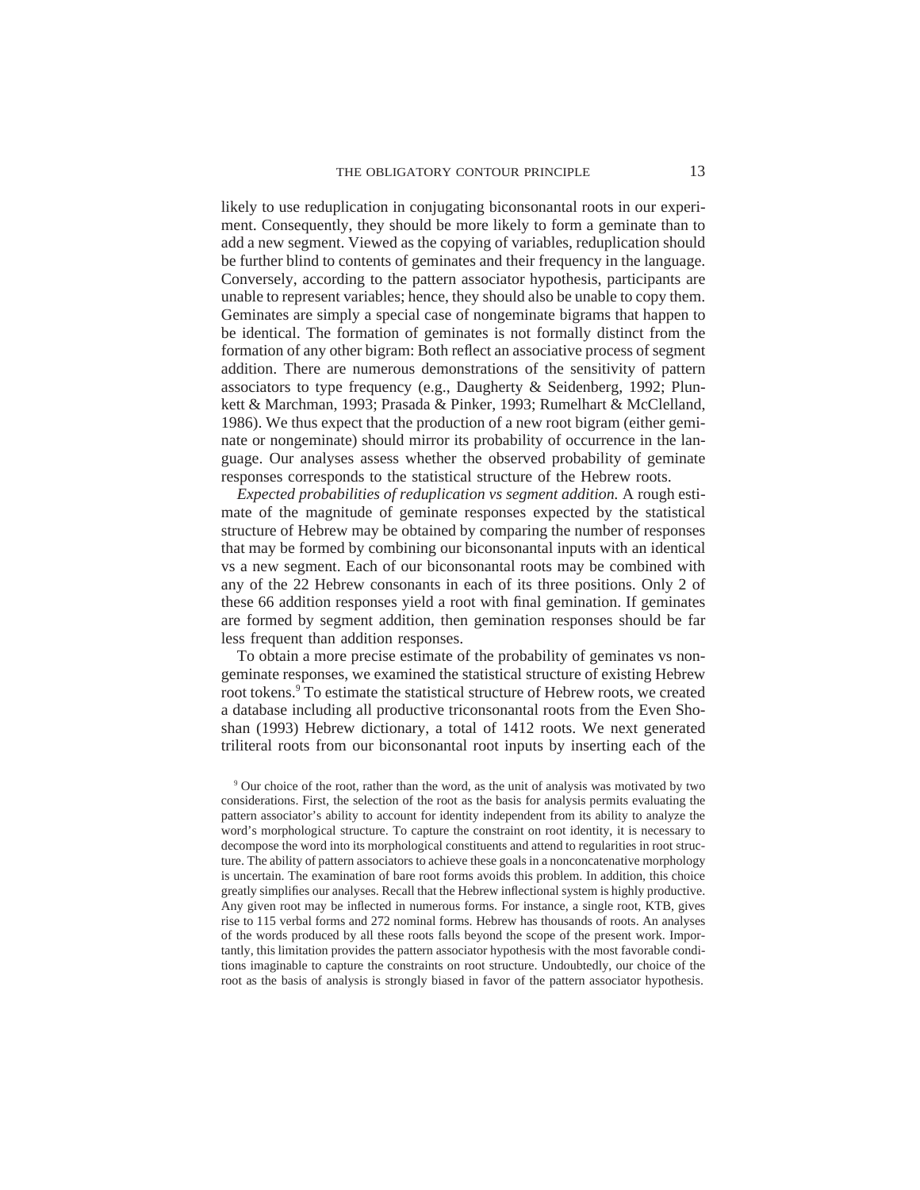likely to use reduplication in conjugating biconsonantal roots in our experiment. Consequently, they should be more likely to form a geminate than to add a new segment. Viewed as the copying of variables, reduplication should be further blind to contents of geminates and their frequency in the language. Conversely, according to the pattern associator hypothesis, participants are unable to represent variables; hence, they should also be unable to copy them. Geminates are simply a special case of nongeminate bigrams that happen to be identical. The formation of geminates is not formally distinct from the formation of any other bigram: Both reflect an associative process of segment addition. There are numerous demonstrations of the sensitivity of pattern associators to type frequency (e.g., Daugherty & Seidenberg, 1992; Plunkett & Marchman, 1993; Prasada & Pinker, 1993; Rumelhart & McClelland, 1986). We thus expect that the production of a new root bigram (either geminate or nongeminate) should mirror its probability of occurrence in the language. Our analyses assess whether the observed probability of geminate responses corresponds to the statistical structure of the Hebrew roots.

*Expected probabilities of reduplication vs segment addition.* A rough estimate of the magnitude of geminate responses expected by the statistical structure of Hebrew may be obtained by comparing the number of responses that may be formed by combining our biconsonantal inputs with an identical vs a new segment. Each of our biconsonantal roots may be combined with any of the 22 Hebrew consonants in each of its three positions. Only 2 of these 66 addition responses yield a root with final gemination. If geminates are formed by segment addition, then gemination responses should be far less frequent than addition responses.

To obtain a more precise estimate of the probability of geminates vs nongeminate responses, we examined the statistical structure of existing Hebrew root tokens.9 To estimate the statistical structure of Hebrew roots, we created a database including all productive triconsonantal roots from the Even Shoshan (1993) Hebrew dictionary, a total of 1412 roots. We next generated triliteral roots from our biconsonantal root inputs by inserting each of the

<sup>9</sup> Our choice of the root, rather than the word, as the unit of analysis was motivated by two considerations. First, the selection of the root as the basis for analysis permits evaluating the pattern associator's ability to account for identity independent from its ability to analyze the word's morphological structure. To capture the constraint on root identity, it is necessary to decompose the word into its morphological constituents and attend to regularities in root structure. The ability of pattern associators to achieve these goals in a nonconcatenative morphology is uncertain. The examination of bare root forms avoids this problem. In addition, this choice greatly simplifies our analyses. Recall that the Hebrew inflectional system is highly productive. Any given root may be inflected in numerous forms. For instance, a single root, KTB, gives rise to 115 verbal forms and 272 nominal forms. Hebrew has thousands of roots. An analyses of the words produced by all these roots falls beyond the scope of the present work. Importantly, this limitation provides the pattern associator hypothesis with the most favorable conditions imaginable to capture the constraints on root structure. Undoubtedly, our choice of the root as the basis of analysis is strongly biased in favor of the pattern associator hypothesis.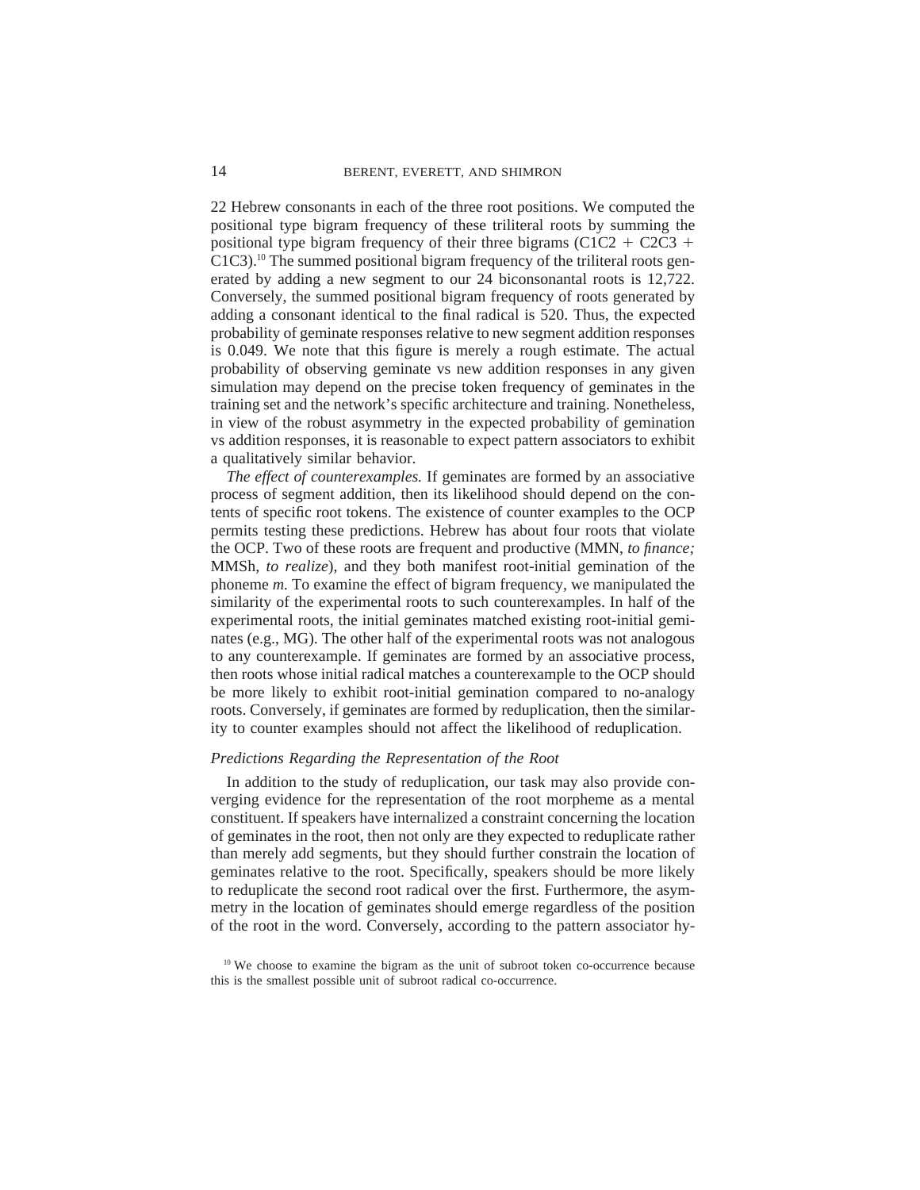22 Hebrew consonants in each of the three root positions. We computed the positional type bigram frequency of these triliteral roots by summing the positional type bigram frequency of their three bigrams (C1C2 + C2C3 +  $C1C3$ .<sup>10</sup> The summed positional bigram frequency of the triliteral roots generated by adding a new segment to our 24 biconsonantal roots is 12,722. Conversely, the summed positional bigram frequency of roots generated by adding a consonant identical to the final radical is 520. Thus, the expected probability of geminate responses relative to new segment addition responses is 0.049. We note that this figure is merely a rough estimate. The actual probability of observing geminate vs new addition responses in any given simulation may depend on the precise token frequency of geminates in the training set and the network's specific architecture and training. Nonetheless, in view of the robust asymmetry in the expected probability of gemination vs addition responses, it is reasonable to expect pattern associators to exhibit a qualitatively similar behavior.

*The effect of counterexamples.* If geminates are formed by an associative process of segment addition, then its likelihood should depend on the contents of specific root tokens. The existence of counter examples to the OCP permits testing these predictions. Hebrew has about four roots that violate the OCP. Two of these roots are frequent and productive (MMN, *to finance;* MMSh, *to realize*), and they both manifest root-initial gemination of the phoneme *m.* To examine the effect of bigram frequency, we manipulated the similarity of the experimental roots to such counterexamples. In half of the experimental roots, the initial geminates matched existing root-initial geminates (e.g., MG). The other half of the experimental roots was not analogous to any counterexample. If geminates are formed by an associative process, then roots whose initial radical matches a counterexample to the OCP should be more likely to exhibit root-initial gemination compared to no-analogy roots. Conversely, if geminates are formed by reduplication, then the similarity to counter examples should not affect the likelihood of reduplication.

# *Predictions Regarding the Representation of the Root*

In addition to the study of reduplication, our task may also provide converging evidence for the representation of the root morpheme as a mental constituent. If speakers have internalized a constraint concerning the location of geminates in the root, then not only are they expected to reduplicate rather than merely add segments, but they should further constrain the location of geminates relative to the root. Specifically, speakers should be more likely to reduplicate the second root radical over the first. Furthermore, the asymmetry in the location of geminates should emerge regardless of the position of the root in the word. Conversely, according to the pattern associator hy-

<sup>10</sup> We choose to examine the bigram as the unit of subroot token co-occurrence because this is the smallest possible unit of subroot radical co-occurrence.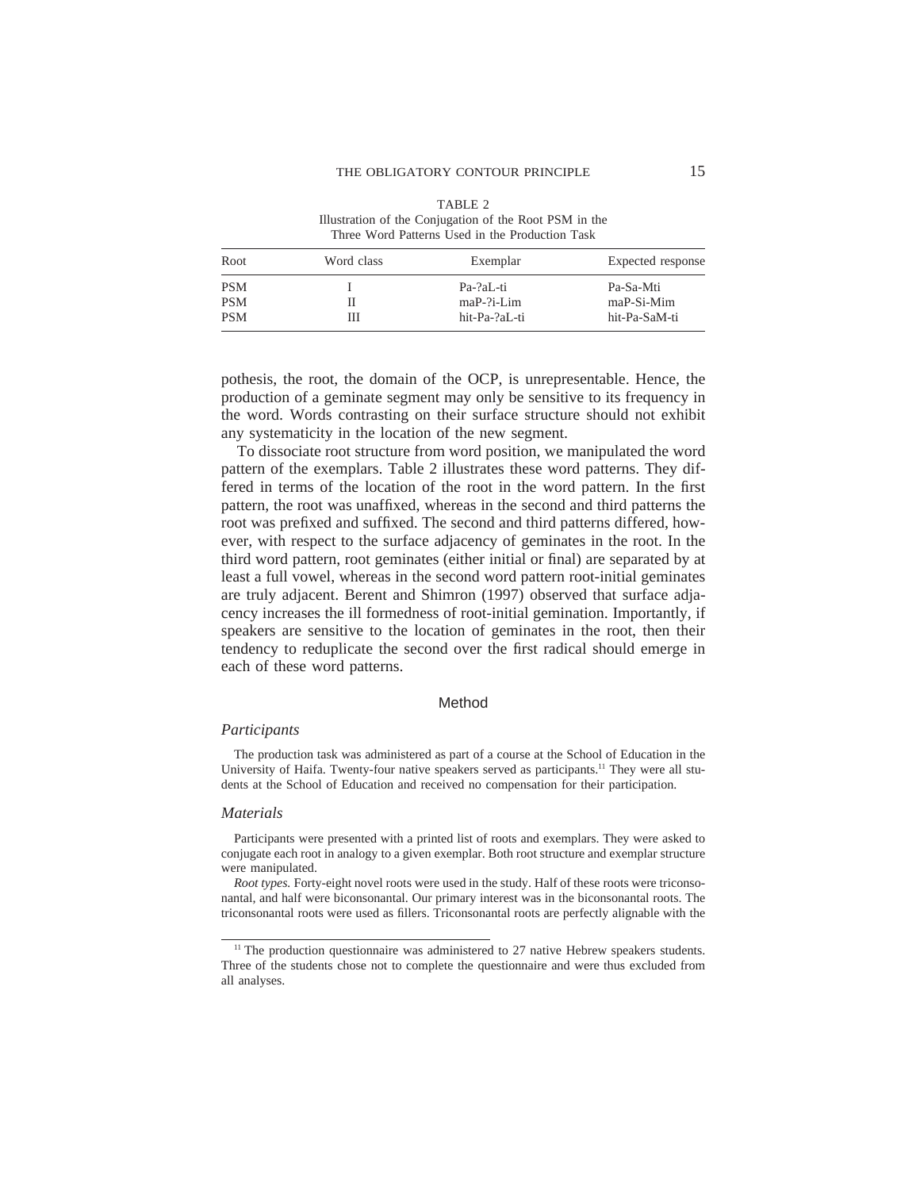### THE OBLIGATORY CONTOUR PRINCIPLE 15

| THICC WORT ARCHIS OSCU III THE FROM THE TASK |            |               |                   |
|----------------------------------------------|------------|---------------|-------------------|
| Root                                         | Word class | Exemplar      | Expected response |
| <b>PSM</b>                                   |            | $Pa-?aL-ti$   | Pa-Sa-Mti         |
| <b>PSM</b>                                   | н          | $maP-?i-I$ im | maP-Si-Mim        |
| <b>PSM</b>                                   | Ш          | hit-Pa-?aL-ti | hit-Pa-SaM-ti     |

TABLE 2 Illustration of the Conjugation of the Root PSM in the Three Word Patterns Used in the Production Task

pothesis, the root, the domain of the OCP, is unrepresentable. Hence, the production of a geminate segment may only be sensitive to its frequency in the word. Words contrasting on their surface structure should not exhibit any systematicity in the location of the new segment.

To dissociate root structure from word position, we manipulated the word pattern of the exemplars. Table 2 illustrates these word patterns. They differed in terms of the location of the root in the word pattern. In the first pattern, the root was unaffixed, whereas in the second and third patterns the root was prefixed and suffixed. The second and third patterns differed, however, with respect to the surface adjacency of geminates in the root. In the third word pattern, root geminates (either initial or final) are separated by at least a full vowel, whereas in the second word pattern root-initial geminates are truly adjacent. Berent and Shimron (1997) observed that surface adjacency increases the ill formedness of root-initial gemination. Importantly, if speakers are sensitive to the location of geminates in the root, then their tendency to reduplicate the second over the first radical should emerge in each of these word patterns.

## Method

## *Participants*

The production task was administered as part of a course at the School of Education in the University of Haifa. Twenty-four native speakers served as participants.<sup>11</sup> They were all students at the School of Education and received no compensation for their participation.

## *Materials*

Participants were presented with a printed list of roots and exemplars. They were asked to conjugate each root in analogy to a given exemplar. Both root structure and exemplar structure were manipulated.

*Root types.* Forty-eight novel roots were used in the study. Half of these roots were triconsonantal, and half were biconsonantal. Our primary interest was in the biconsonantal roots. The triconsonantal roots were used as fillers. Triconsonantal roots are perfectly alignable with the

 $11$  The production questionnaire was administered to 27 native Hebrew speakers students. Three of the students chose not to complete the questionnaire and were thus excluded from all analyses.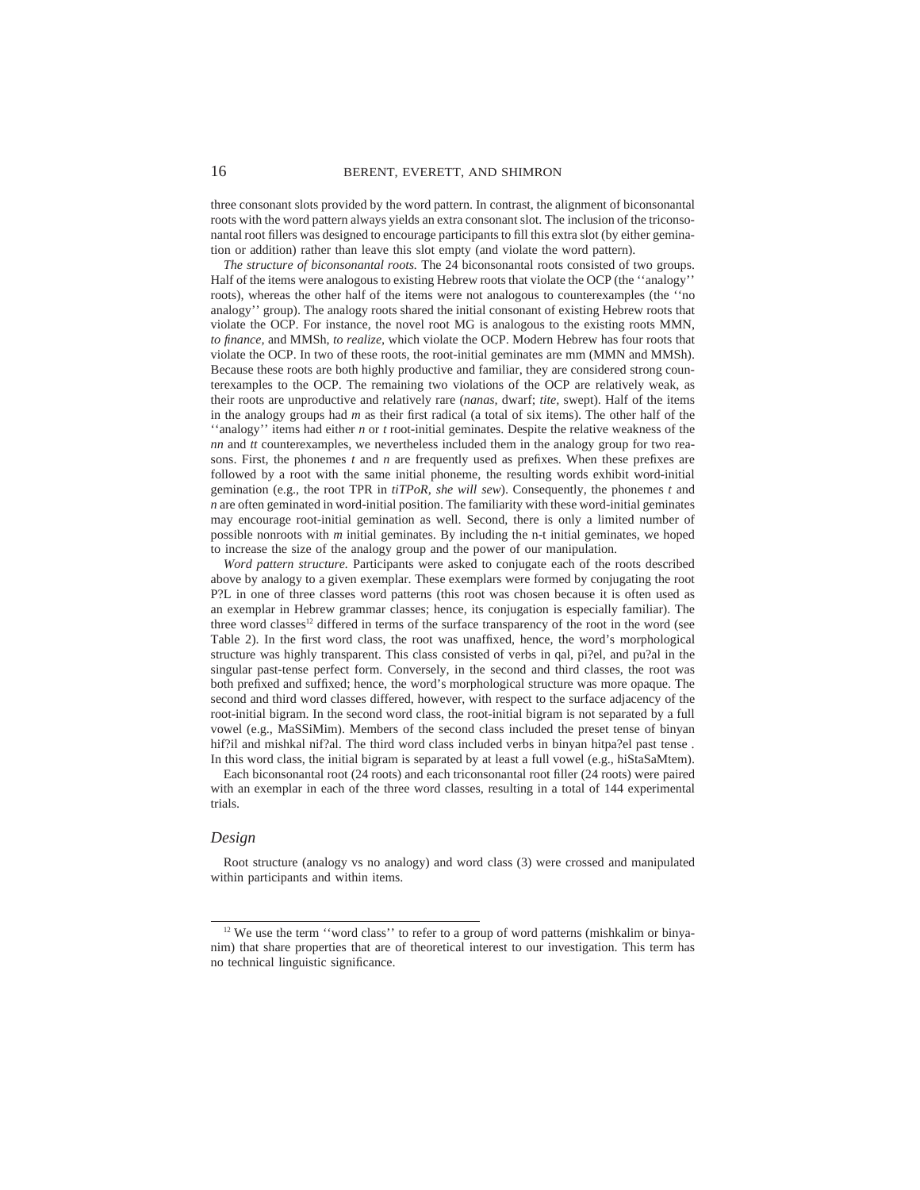three consonant slots provided by the word pattern. In contrast, the alignment of biconsonantal roots with the word pattern always yields an extra consonant slot. The inclusion of the triconsonantal root fillers was designed to encourage participants to fill this extra slot (by either gemination or addition) rather than leave this slot empty (and violate the word pattern).

*The structure of biconsonantal roots.* The 24 biconsonantal roots consisted of two groups. Half of the items were analogous to existing Hebrew roots that violate the OCP (the "analogy" roots), whereas the other half of the items were not analogous to counterexamples (the ''no analogy'' group). The analogy roots shared the initial consonant of existing Hebrew roots that violate the OCP. For instance, the novel root MG is analogous to the existing roots MMN, *to finance,* and MMSh, *to realize,* which violate the OCP. Modern Hebrew has four roots that violate the OCP. In two of these roots, the root-initial geminates are mm (MMN and MMSh). Because these roots are both highly productive and familiar, they are considered strong counterexamples to the OCP. The remaining two violations of the OCP are relatively weak, as their roots are unproductive and relatively rare (*nanas,* dwarf; *tite,* swept). Half of the items in the analogy groups had *m* as their first radical (a total of six items). The other half of the ''analogy'' items had either *n* or *t* root-initial geminates. Despite the relative weakness of the *nn* and *tt* counterexamples, we nevertheless included them in the analogy group for two reasons. First, the phonemes *t* and *n* are frequently used as prefixes. When these prefixes are followed by a root with the same initial phoneme, the resulting words exhibit word-initial gemination (e.g., the root TPR in *tiTPoR, she will sew*). Consequently, the phonemes *t* and *n* are often geminated in word-initial position. The familiarity with these word-initial geminates may encourage root-initial gemination as well. Second, there is only a limited number of possible nonroots with *m* initial geminates. By including the n-t initial geminates, we hoped to increase the size of the analogy group and the power of our manipulation.

*Word pattern structure.* Participants were asked to conjugate each of the roots described above by analogy to a given exemplar. These exemplars were formed by conjugating the root P?L in one of three classes word patterns (this root was chosen because it is often used as an exemplar in Hebrew grammar classes; hence, its conjugation is especially familiar). The three word classes<sup>12</sup> differed in terms of the surface transparency of the root in the word (see Table 2). In the first word class, the root was unaffixed, hence, the word's morphological structure was highly transparent. This class consisted of verbs in qal, pi?el, and pu?al in the singular past-tense perfect form. Conversely, in the second and third classes, the root was both prefixed and suffixed; hence, the word's morphological structure was more opaque. The second and third word classes differed, however, with respect to the surface adjacency of the root-initial bigram. In the second word class, the root-initial bigram is not separated by a full vowel (e.g., MaSSiMim). Members of the second class included the preset tense of binyan hif?il and mishkal nif?al. The third word class included verbs in binyan hitpa?el past tense. In this word class, the initial bigram is separated by at least a full vowel (e.g., hiStaSaMtem).

Each biconsonantal root (24 roots) and each triconsonantal root filler (24 roots) were paired with an exemplar in each of the three word classes, resulting in a total of 144 experimental trials.

### *Design*

Root structure (analogy vs no analogy) and word class (3) were crossed and manipulated within participants and within items.

 $12$  We use the term "word class" to refer to a group of word patterns (mishkalim or binyanim) that share properties that are of theoretical interest to our investigation. This term has no technical linguistic significance.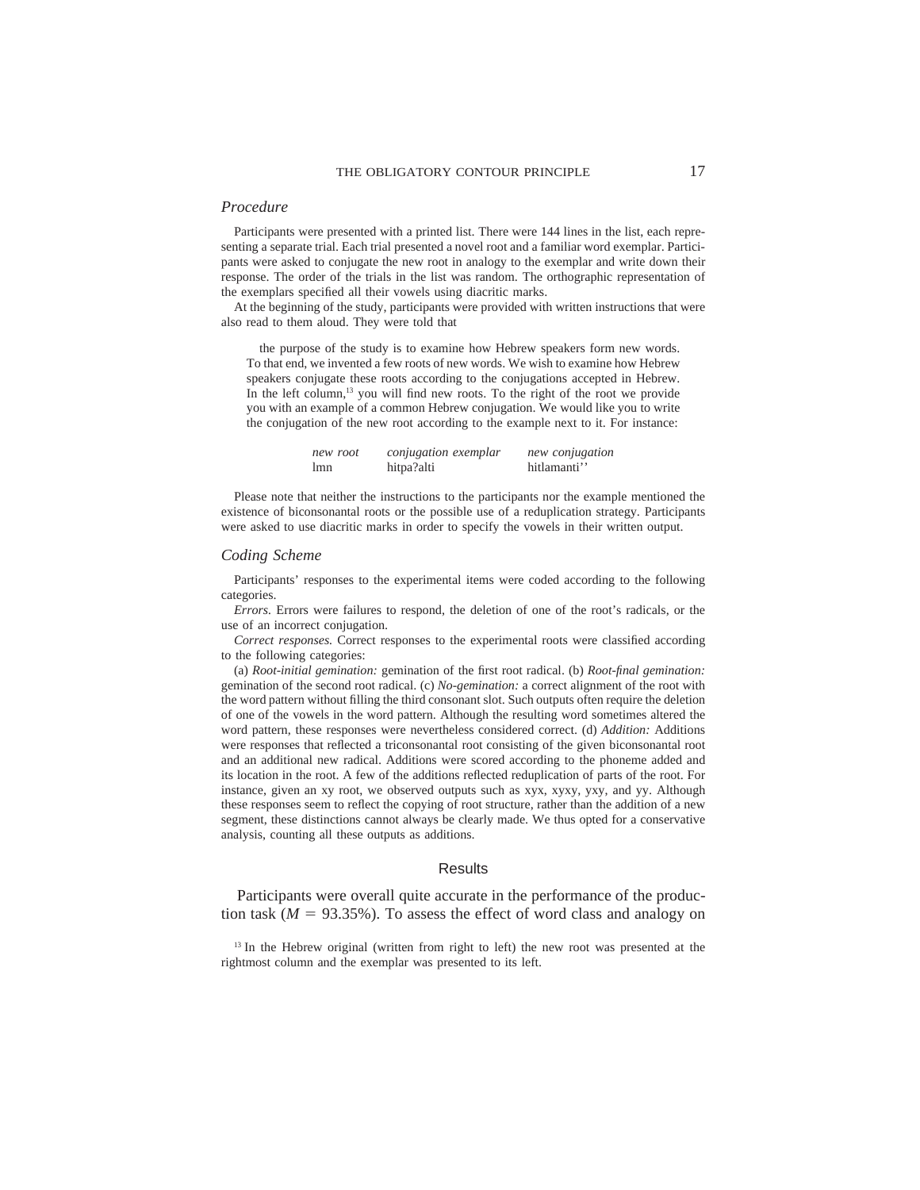### *Procedure*

Participants were presented with a printed list. There were 144 lines in the list, each representing a separate trial. Each trial presented a novel root and a familiar word exemplar. Participants were asked to conjugate the new root in analogy to the exemplar and write down their response. The order of the trials in the list was random. The orthographic representation of the exemplars specified all their vowels using diacritic marks.

At the beginning of the study, participants were provided with written instructions that were also read to them aloud. They were told that

the purpose of the study is to examine how Hebrew speakers form new words. To that end, we invented a few roots of new words. We wish to examine how Hebrew speakers conjugate these roots according to the conjugations accepted in Hebrew. In the left column,<sup>13</sup> you will find new roots. To the right of the root we provide you with an example of a common Hebrew conjugation. We would like you to write the conjugation of the new root according to the example next to it. For instance:

| new root | conjugation exemplar | new conjugation |
|----------|----------------------|-----------------|
| lmn      | hitpa?alti           | hitlamanti"     |

Please note that neither the instructions to the participants nor the example mentioned the existence of biconsonantal roots or the possible use of a reduplication strategy. Participants were asked to use diacritic marks in order to specify the vowels in their written output.

#### *Coding Scheme*

Participants' responses to the experimental items were coded according to the following categories.

*Errors.* Errors were failures to respond, the deletion of one of the root's radicals, or the use of an incorrect conjugation.

*Correct responses.* Correct responses to the experimental roots were classified according to the following categories:

(a) *Root-initial gemination:* gemination of the first root radical. (b) *Root-final gemination:* gemination of the second root radical. (c) *No-gemination:* a correct alignment of the root with the word pattern without filling the third consonant slot. Such outputs often require the deletion of one of the vowels in the word pattern. Although the resulting word sometimes altered the word pattern, these responses were nevertheless considered correct. (d) *Addition:* Additions were responses that reflected a triconsonantal root consisting of the given biconsonantal root and an additional new radical. Additions were scored according to the phoneme added and its location in the root. A few of the additions reflected reduplication of parts of the root. For instance, given an xy root, we observed outputs such as xyx, xyxy, yxy, and yy. Although these responses seem to reflect the copying of root structure, rather than the addition of a new segment, these distinctions cannot always be clearly made. We thus opted for a conservative analysis, counting all these outputs as additions.

#### **Results**

Participants were overall quite accurate in the performance of the production task  $(M = 93.35\%)$ . To assess the effect of word class and analogy on

<sup>13</sup> In the Hebrew original (written from right to left) the new root was presented at the rightmost column and the exemplar was presented to its left.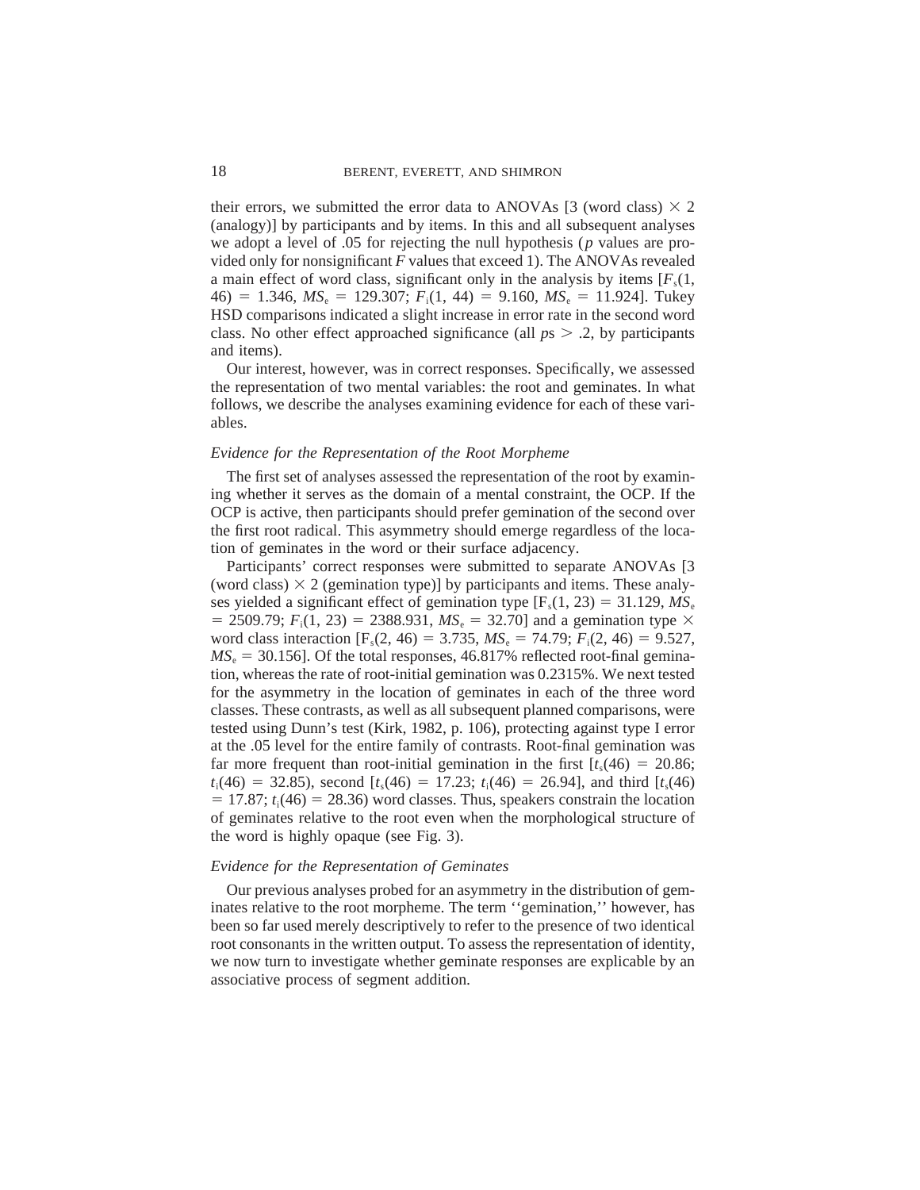their errors, we submitted the error data to ANOVAs [3 (word class)  $\times$  2 (analogy)] by participants and by items. In this and all subsequent analyses we adopt a level of .05 for rejecting the null hypothesis (*p* values are provided only for nonsignificant  $\overline{F}$  values that exceed 1). The ANOVAs revealed a main effect of word class, significant only in the analysis by items  $[F_s(1, \cdot)]$  $46$ ) = 1.346, *MS*<sub>e</sub> = 129.307; *F*<sub>i</sub>(1, 44) = 9.160, *MS*<sub>e</sub> = 11.924]. Tukey HSD comparisons indicated a slight increase in error rate in the second word class. No other effect approached significance (all  $p_s > .2$ , by participants and items).

Our interest, however, was in correct responses. Specifically, we assessed the representation of two mental variables: the root and geminates. In what follows, we describe the analyses examining evidence for each of these variables.

## *Evidence for the Representation of the Root Morpheme*

The first set of analyses assessed the representation of the root by examining whether it serves as the domain of a mental constraint, the OCP. If the OCP is active, then participants should prefer gemination of the second over the first root radical. This asymmetry should emerge regardless of the location of geminates in the word or their surface adjacency.

Participants' correct responses were submitted to separate ANOVAs [3] (word class)  $\times$  2 (gemination type)] by participants and items. These analyses yielded a significant effect of gemination type  $[F_s(1, 23) = 31.129, MS_s]$  $= 2509.79$ ;  $F_1(1, 23) = 2388.931$ ,  $MS_e = 32.70$ ] and a gemination type  $\times$ word class interaction  $[F_s(2, 46) = 3.735, MS_e = 74.79; F_i(2, 46) = 9.527,$  $MS<sub>e</sub> = 30.156$ . Of the total responses,  $46.817\%$  reflected root-final gemination, whereas the rate of root-initial gemination was 0.2315%. We next tested for the asymmetry in the location of geminates in each of the three word classes. These contrasts, as well as all subsequent planned comparisons, were tested using Dunn's test (Kirk, 1982, p. 106), protecting against type I error at the .05 level for the entire family of contrasts. Root-final gemination was far more frequent than root-initial gemination in the first  $[t<sub>s</sub>(46) = 20.86;$  $t_i(46) = 32.85$ , second  $[t_s(46) = 17.23; t_i(46) = 26.94]$ , and third  $[t_s(46)$  $= 17.87$ ;  $t_i(46) = 28.36$ ) word classes. Thus, speakers constrain the location of geminates relative to the root even when the morphological structure of the word is highly opaque (see Fig. 3).

# *Evidence for the Representation of Geminates*

Our previous analyses probed for an asymmetry in the distribution of geminates relative to the root morpheme. The term ''gemination,'' however, has been so far used merely descriptively to refer to the presence of two identical root consonants in the written output. To assess the representation of identity, we now turn to investigate whether geminate responses are explicable by an associative process of segment addition.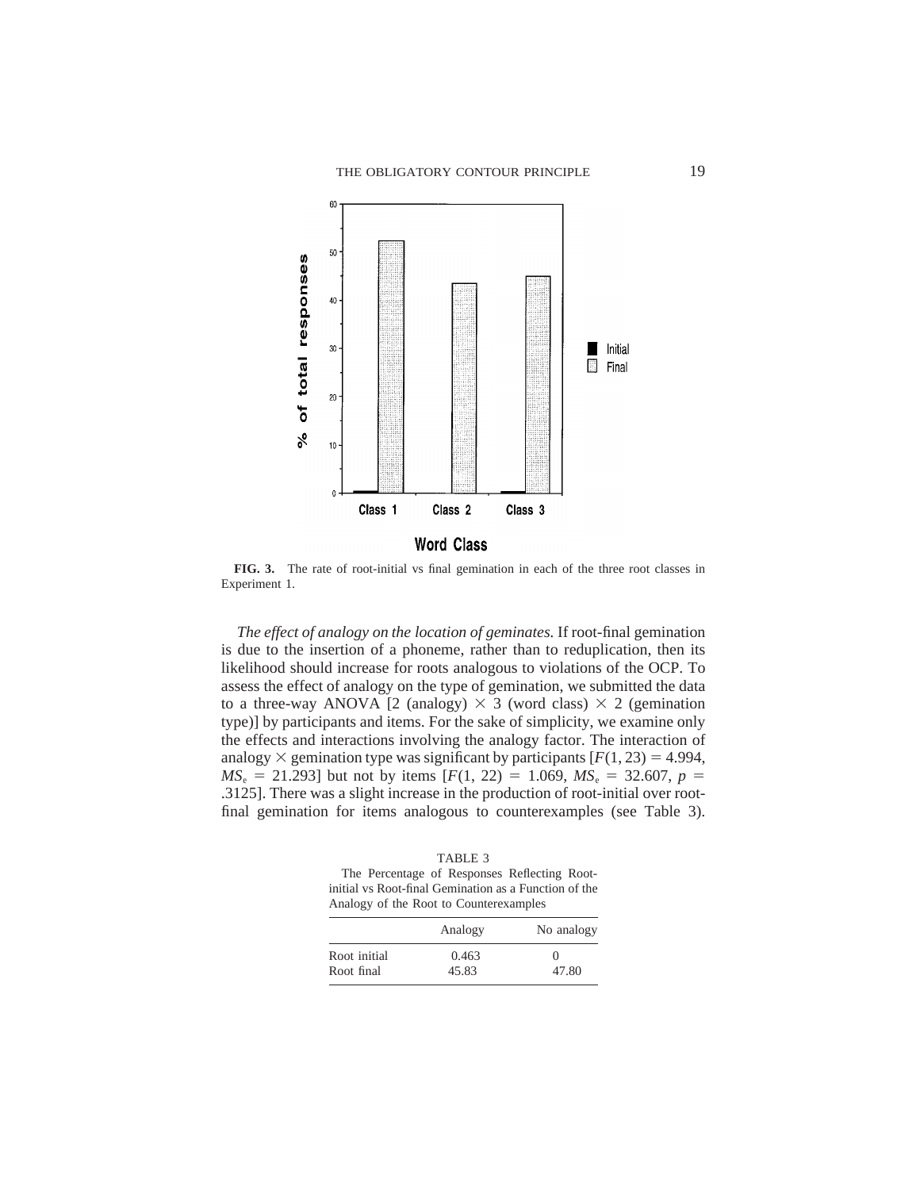

**FIG. 3.** The rate of root-initial vs final gemination in each of the three root classes in Experiment 1.

*The effect of analogy on the location of geminates.* If root-final gemination is due to the insertion of a phoneme, rather than to reduplication, then its likelihood should increase for roots analogous to violations of the OCP. To assess the effect of analogy on the type of gemination, we submitted the data to a three-way ANOVA [2 (analogy)  $\times$  3 (word class)  $\times$  2 (gemination type)] by participants and items. For the sake of simplicity, we examine only the effects and interactions involving the analogy factor. The interaction of analogy  $\times$  gemination type was significant by participants  $[F(1, 23) = 4.994$ ,  $MS_e = 21.293$  but not by items  $[F(1, 22) = 1.069, MS_e = 32.607, p = 1.069$ .3125]. There was a slight increase in the production of root-initial over rootfinal gemination for items analogous to counterexamples (see Table 3).

|                                                       | TABLE 3 |  |
|-------------------------------------------------------|---------|--|
| The Percentage of Responses Reflecting Root-          |         |  |
| initial vs Root-final Gemination as a Function of the |         |  |
| Analogy of the Root to Counterexamples                |         |  |

|              | Analogy | No analogy |
|--------------|---------|------------|
| Root initial | 0.463   | $^{(1)}$   |
| Root final   | 45.83   | 47.80      |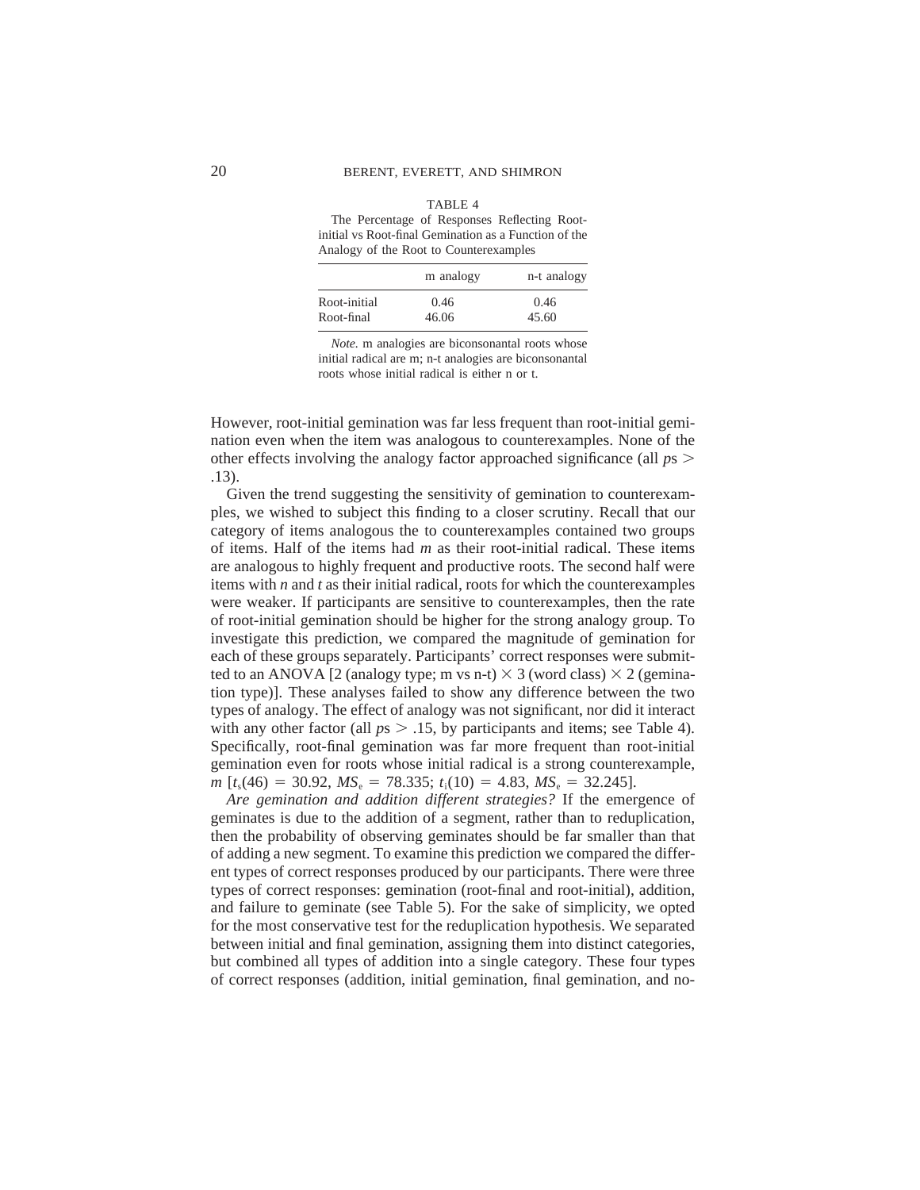#### TARI F 4

The Percentage of Responses Reflecting Rootinitial vs Root-final Gemination as a Function of the Analogy of the Root to Counterexamples

|              | m analogy | n-t analogy |
|--------------|-----------|-------------|
| Root-initial | 0.46      | 0.46        |
| Root-final   | 46.06     | 45.60       |

*Note.* m analogies are biconsonantal roots whose initial radical are m; n-t analogies are biconsonantal roots whose initial radical is either n or t.

However, root-initial gemination was far less frequent than root-initial gemination even when the item was analogous to counterexamples. None of the other effects involving the analogy factor approached significance (all *p*s . .13).

Given the trend suggesting the sensitivity of gemination to counterexamples, we wished to subject this finding to a closer scrutiny. Recall that our category of items analogous the to counterexamples contained two groups of items. Half of the items had *m* as their root-initial radical. These items are analogous to highly frequent and productive roots. The second half were items with *n* and *t* as their initial radical, roots for which the counterexamples were weaker. If participants are sensitive to counterexamples, then the rate of root-initial gemination should be higher for the strong analogy group. To investigate this prediction, we compared the magnitude of gemination for each of these groups separately. Participants' correct responses were submitted to an ANOVA [2 (analogy type; m vs n-t)  $\times$  3 (word class)  $\times$  2 (gemination type)]. These analyses failed to show any difference between the two types of analogy. The effect of analogy was not significant, nor did it interact with any other factor (all  $ps > 0.15$ , by participants and items; see Table 4). Specifically, root-final gemination was far more frequent than root-initial gemination even for roots whose initial radical is a strong counterexample,  $m \left[ t_s(46) = 30.92, MS_e = 78.335; t_i(10) = 4.83, MS_e = 32.245 \right].$ 

*Are gemination and addition different strategies?* If the emergence of geminates is due to the addition of a segment, rather than to reduplication, then the probability of observing geminates should be far smaller than that of adding a new segment. To examine this prediction we compared the different types of correct responses produced by our participants. There were three types of correct responses: gemination (root-final and root-initial), addition, and failure to geminate (see Table 5). For the sake of simplicity, we opted for the most conservative test for the reduplication hypothesis. We separated between initial and final gemination, assigning them into distinct categories, but combined all types of addition into a single category. These four types of correct responses (addition, initial gemination, final gemination, and no-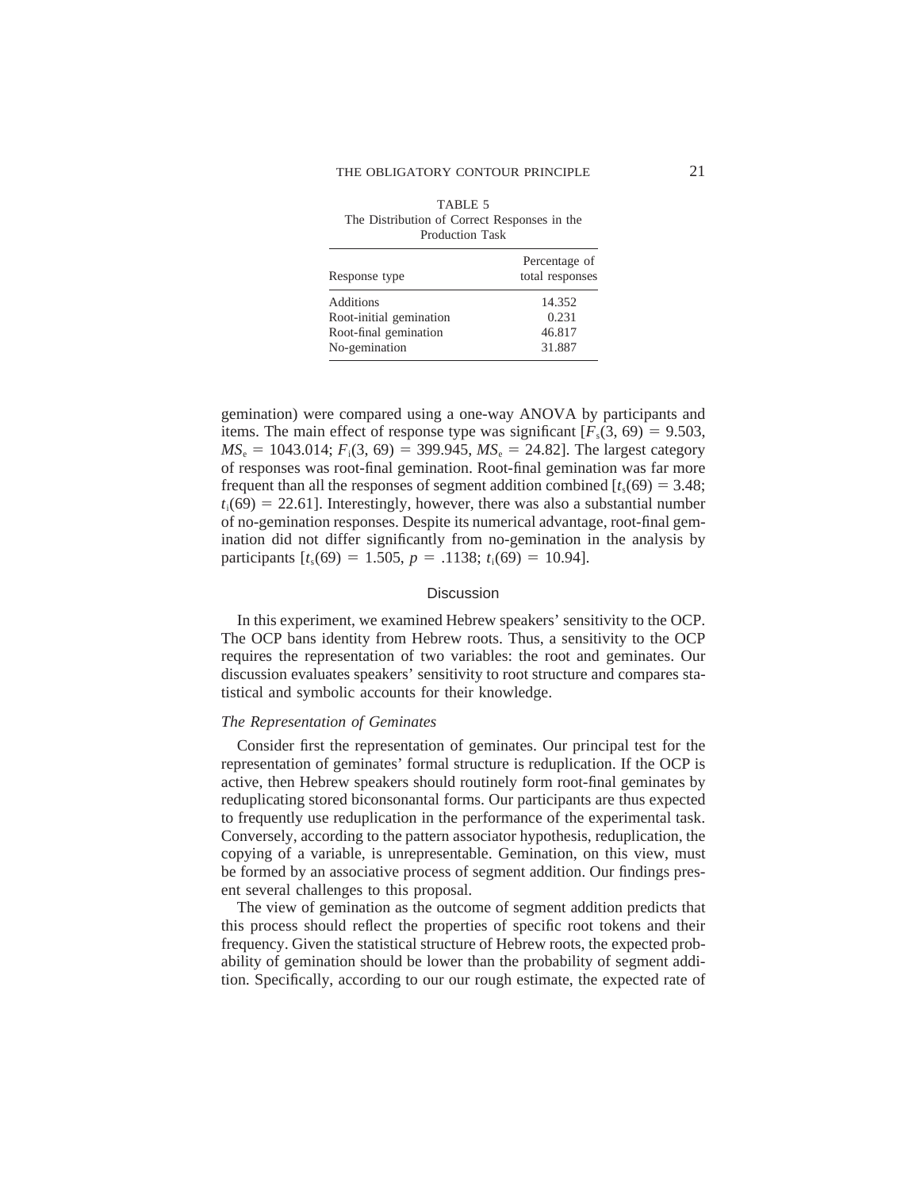| THUUUCHUIT TASN         |                                  |
|-------------------------|----------------------------------|
| Response type           | Percentage of<br>total responses |
| Additions               | 14.352                           |
| Root-initial gemination | 0.231                            |
| Root-final gemination   | 46.817                           |
| No-gemination           | 31.887                           |

TABLE 5 The Distribution of Correct Responses in the Production Task

gemination) were compared using a one-way ANOVA by participants and items. The main effect of response type was significant  $[F_s(3, 69) = 9.503$ ,  $MS_e = 1043.014$ ;  $F_i(3, 69) = 399.945$ ,  $MS_e = 24.82$ ]. The largest category of responses was root-final gemination. Root-final gemination was far more frequent than all the responses of segment addition combined  $[t_{s}(69) = 3.48;$  $t<sub>i</sub>(69) = 22.61$ ]. Interestingly, however, there was also a substantial number of no-gemination responses. Despite its numerical advantage, root-final gemination did not differ significantly from no-gemination in the analysis by participants  $[t_s(69) = 1.505, p = .1138; t_s(69) = 10.94]$ .

## Discussion

In this experiment, we examined Hebrew speakers' sensitivity to the OCP. The OCP bans identity from Hebrew roots. Thus, a sensitivity to the OCP requires the representation of two variables: the root and geminates. Our discussion evaluates speakers' sensitivity to root structure and compares statistical and symbolic accounts for their knowledge.

# *The Representation of Geminates*

Consider first the representation of geminates. Our principal test for the representation of geminates' formal structure is reduplication. If the OCP is active, then Hebrew speakers should routinely form root-final geminates by reduplicating stored biconsonantal forms. Our participants are thus expected to frequently use reduplication in the performance of the experimental task. Conversely, according to the pattern associator hypothesis, reduplication, the copying of a variable, is unrepresentable. Gemination, on this view, must be formed by an associative process of segment addition. Our findings present several challenges to this proposal.

The view of gemination as the outcome of segment addition predicts that this process should reflect the properties of specific root tokens and their frequency. Given the statistical structure of Hebrew roots, the expected probability of gemination should be lower than the probability of segment addition. Specifically, according to our our rough estimate, the expected rate of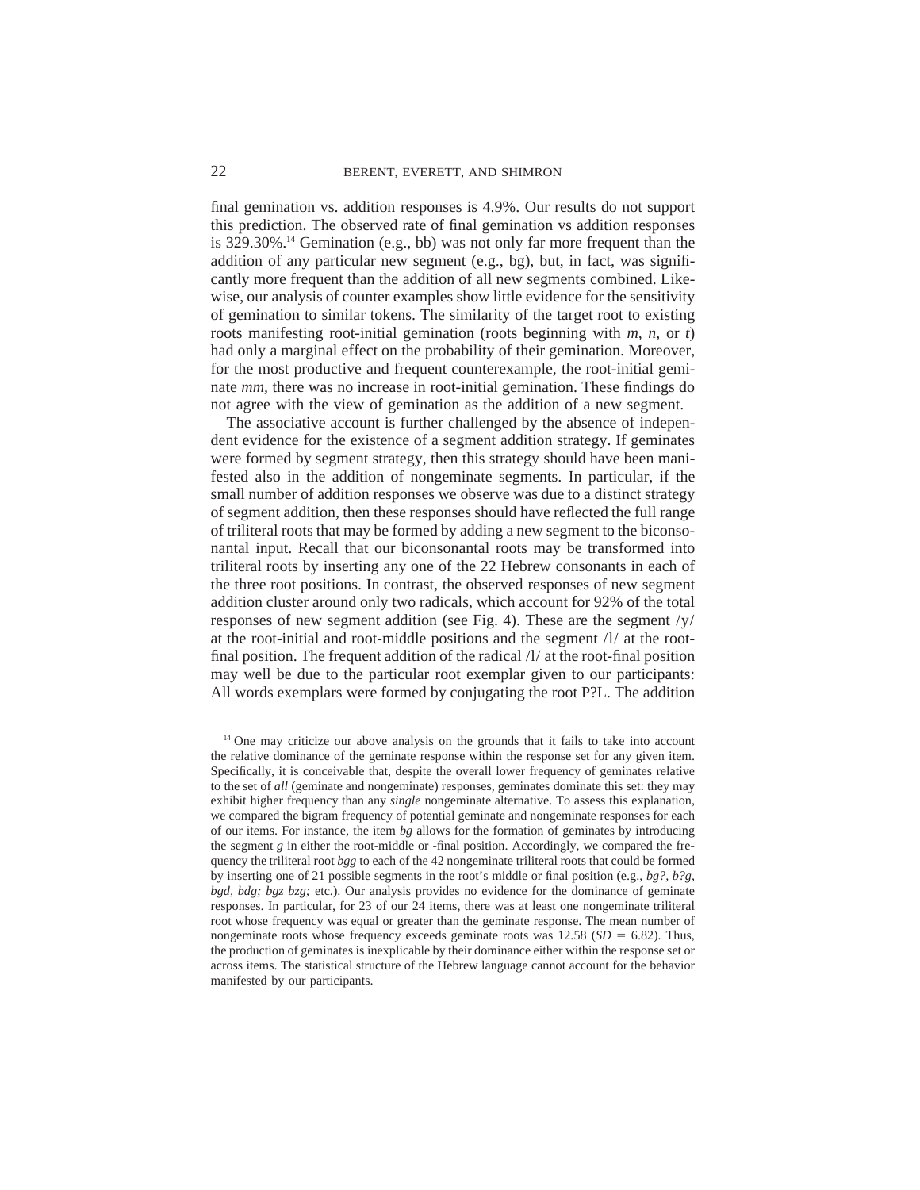final gemination vs. addition responses is 4.9%. Our results do not support this prediction. The observed rate of final gemination vs addition responses is 329.30%.14 Gemination (e.g., bb) was not only far more frequent than the addition of any particular new segment (e.g., bg), but, in fact, was significantly more frequent than the addition of all new segments combined. Likewise, our analysis of counter examples show little evidence for the sensitivity of gemination to similar tokens. The similarity of the target root to existing roots manifesting root-initial gemination (roots beginning with  $m$ ,  $n$ , or  $\tilde{t}$ ) had only a marginal effect on the probability of their gemination. Moreover, for the most productive and frequent counterexample, the root-initial geminate *mm,* there was no increase in root-initial gemination. These findings do not agree with the view of gemination as the addition of a new segment.

The associative account is further challenged by the absence of independent evidence for the existence of a segment addition strategy. If geminates were formed by segment strategy, then this strategy should have been manifested also in the addition of nongeminate segments. In particular, if the small number of addition responses we observe was due to a distinct strategy of segment addition, then these responses should have reflected the full range of triliteral roots that may be formed by adding a new segment to the biconsonantal input. Recall that our biconsonantal roots may be transformed into triliteral roots by inserting any one of the 22 Hebrew consonants in each of the three root positions. In contrast, the observed responses of new segment addition cluster around only two radicals, which account for 92% of the total responses of new segment addition (see Fig. 4). These are the segment  $/y/$ at the root-initial and root-middle positions and the segment /l/ at the rootfinal position. The frequent addition of the radical /l/ at the root-final position may well be due to the particular root exemplar given to our participants: All words exemplars were formed by conjugating the root P?L. The addition

<sup>14</sup> One may criticize our above analysis on the grounds that it fails to take into account the relative dominance of the geminate response within the response set for any given item. Specifically, it is conceivable that, despite the overall lower frequency of geminates relative to the set of *all* (geminate and nongeminate) responses, geminates dominate this set: they may exhibit higher frequency than any *single* nongeminate alternative. To assess this explanation, we compared the bigram frequency of potential geminate and nongeminate responses for each of our items. For instance, the item *bg* allows for the formation of geminates by introducing the segment *g* in either the root-middle or -final position. Accordingly, we compared the frequency the triliteral root *bgg* to each of the 42 nongeminate triliteral roots that could be formed by inserting one of 21 possible segments in the root's middle or final position (e.g., *bg?, b?g, bgd, bdg; bgz bzg;* etc.). Our analysis provides no evidence for the dominance of geminate responses. In particular, for 23 of our 24 items, there was at least one nongeminate triliteral root whose frequency was equal or greater than the geminate response. The mean number of nongeminate roots whose frequency exceeds geminate roots was  $12.58$  (*SD* = 6.82). Thus, the production of geminates is inexplicable by their dominance either within the response set or across items. The statistical structure of the Hebrew language cannot account for the behavior manifested by our participants.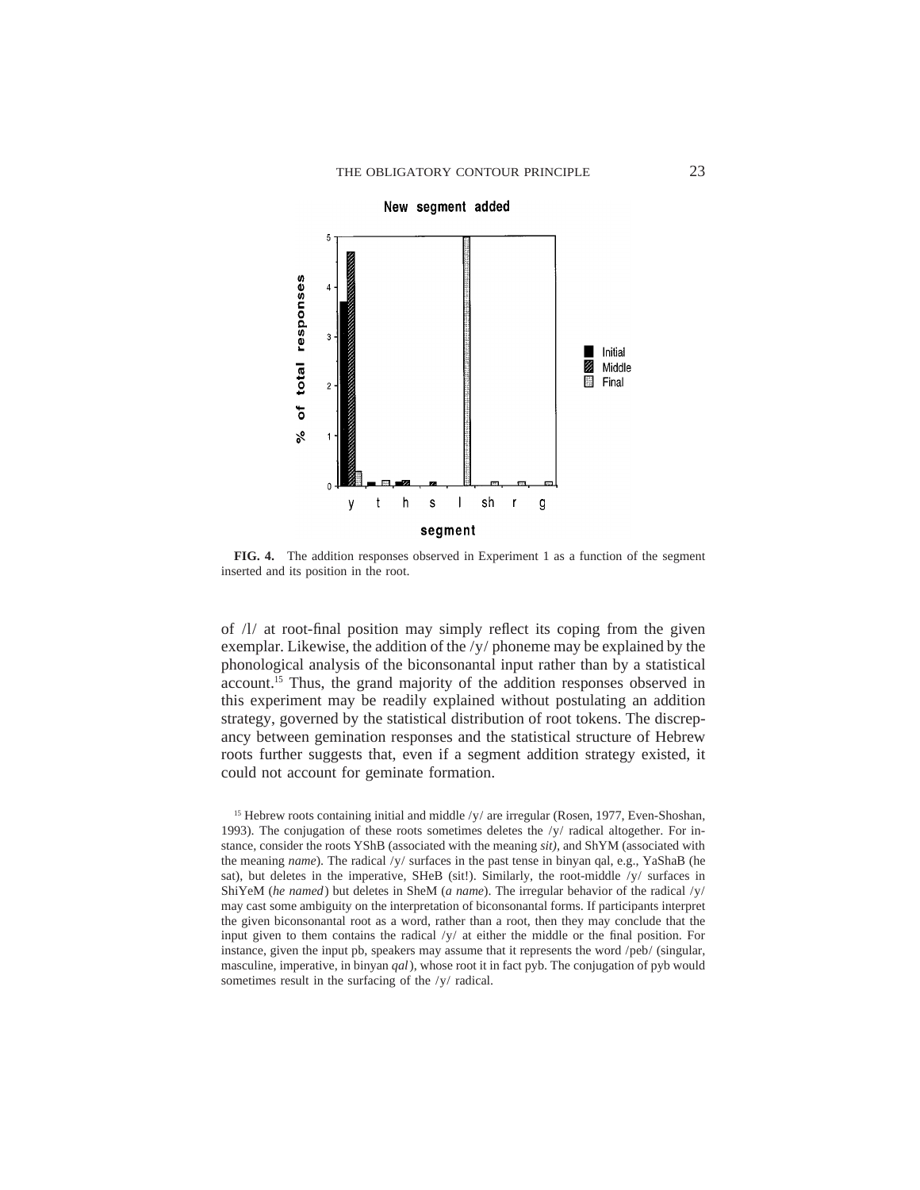

**FIG. 4.** The addition responses observed in Experiment 1 as a function of the segment inserted and its position in the root.

of /l/ at root-final position may simply reflect its coping from the given exemplar. Likewise, the addition of the /y/ phoneme may be explained by the phonological analysis of the biconsonantal input rather than by a statistical account.15 Thus, the grand majority of the addition responses observed in this experiment may be readily explained without postulating an addition strategy, governed by the statistical distribution of root tokens. The discrepancy between gemination responses and the statistical structure of Hebrew roots further suggests that, even if a segment addition strategy existed, it could not account for geminate formation.

<sup>15</sup> Hebrew roots containing initial and middle  $/y/$  are irregular (Rosen, 1977, Even-Shoshan, 1993). The conjugation of these roots sometimes deletes the  $/y/$  radical altogether. For instance, consider the roots YShB (associated with the meaning *sit),* and ShYM (associated with the meaning *name*). The radical /y/ surfaces in the past tense in binyan qal, e.g., YaShaB (he sat), but deletes in the imperative, SHeB (sit!). Similarly, the root-middle  $/y/$  surfaces in ShiYeM (*he named*) but deletes in SheM (*a name*). The irregular behavior of the radical /y/ may cast some ambiguity on the interpretation of biconsonantal forms. If participants interpret the given biconsonantal root as a word, rather than a root, then they may conclude that the input given to them contains the radical  $/y/$  at either the middle or the final position. For instance, given the input pb, speakers may assume that it represents the word /peb/ (singular, masculine, imperative, in binyan *qal*), whose root it in fact pyb. The conjugation of pyb would sometimes result in the surfacing of the /y/ radical.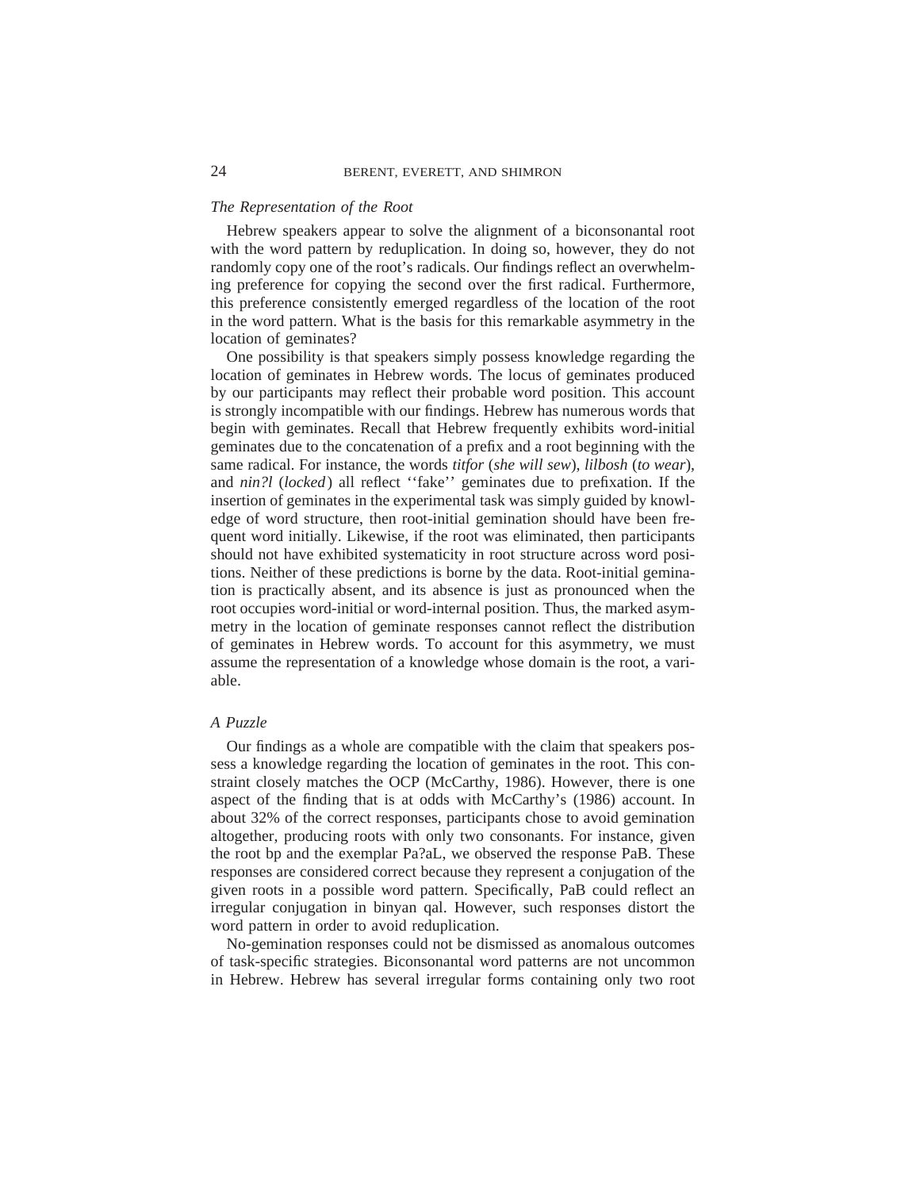# *The Representation of the Root*

Hebrew speakers appear to solve the alignment of a biconsonantal root with the word pattern by reduplication. In doing so, however, they do not randomly copy one of the root's radicals. Our findings reflect an overwhelming preference for copying the second over the first radical. Furthermore, this preference consistently emerged regardless of the location of the root in the word pattern. What is the basis for this remarkable asymmetry in the location of geminates?

One possibility is that speakers simply possess knowledge regarding the location of geminates in Hebrew words. The locus of geminates produced by our participants may reflect their probable word position. This account is strongly incompatible with our findings. Hebrew has numerous words that begin with geminates. Recall that Hebrew frequently exhibits word-initial geminates due to the concatenation of a prefix and a root beginning with the same radical. For instance, the words *titfor* (*she will sew*), *lilbosh* (*to wear*), and *nin?l* (*locked*) all reflect ''fake'' geminates due to prefixation. If the insertion of geminates in the experimental task was simply guided by knowledge of word structure, then root-initial gemination should have been frequent word initially. Likewise, if the root was eliminated, then participants should not have exhibited systematicity in root structure across word positions. Neither of these predictions is borne by the data. Root-initial gemination is practically absent, and its absence is just as pronounced when the root occupies word-initial or word-internal position. Thus, the marked asymmetry in the location of geminate responses cannot reflect the distribution of geminates in Hebrew words. To account for this asymmetry, we must assume the representation of a knowledge whose domain is the root, a variable.

## *A Puzzle*

Our findings as a whole are compatible with the claim that speakers possess a knowledge regarding the location of geminates in the root. This constraint closely matches the OCP (McCarthy, 1986). However, there is one aspect of the finding that is at odds with McCarthy's (1986) account. In about 32% of the correct responses, participants chose to avoid gemination altogether, producing roots with only two consonants. For instance, given the root bp and the exemplar Pa?aL, we observed the response PaB. These responses are considered correct because they represent a conjugation of the given roots in a possible word pattern. Specifically, PaB could reflect an irregular conjugation in binyan qal. However, such responses distort the word pattern in order to avoid reduplication.

No-gemination responses could not be dismissed as anomalous outcomes of task-specific strategies. Biconsonantal word patterns are not uncommon in Hebrew. Hebrew has several irregular forms containing only two root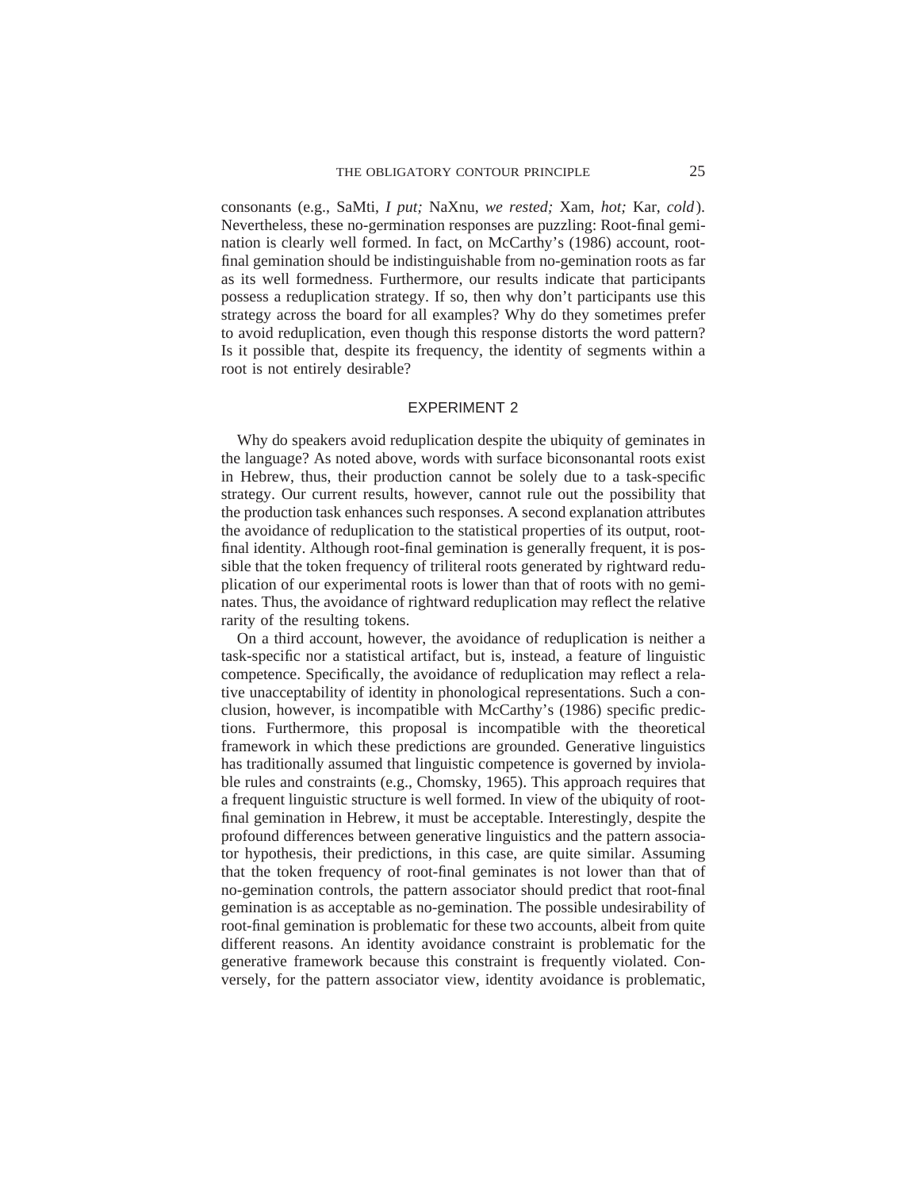consonants (e.g., SaMti, *I put;* NaXnu, *we rested;* Xam, *hot;* Kar, *cold*). Nevertheless, these no-germination responses are puzzling: Root-final gemination is clearly well formed. In fact, on McCarthy's (1986) account, rootfinal gemination should be indistinguishable from no-gemination roots as far as its well formedness. Furthermore, our results indicate that participants possess a reduplication strategy. If so, then why don't participants use this strategy across the board for all examples? Why do they sometimes prefer to avoid reduplication, even though this response distorts the word pattern? Is it possible that, despite its frequency, the identity of segments within a root is not entirely desirable?

# EXPERIMENT 2

Why do speakers avoid reduplication despite the ubiquity of geminates in the language? As noted above, words with surface biconsonantal roots exist in Hebrew, thus, their production cannot be solely due to a task-specific strategy. Our current results, however, cannot rule out the possibility that the production task enhances such responses. A second explanation attributes the avoidance of reduplication to the statistical properties of its output, rootfinal identity. Although root-final gemination is generally frequent, it is possible that the token frequency of triliteral roots generated by rightward reduplication of our experimental roots is lower than that of roots with no geminates. Thus, the avoidance of rightward reduplication may reflect the relative rarity of the resulting tokens.

On a third account, however, the avoidance of reduplication is neither a task-specific nor a statistical artifact, but is, instead, a feature of linguistic competence. Specifically, the avoidance of reduplication may reflect a relative unacceptability of identity in phonological representations. Such a conclusion, however, is incompatible with McCarthy's (1986) specific predictions. Furthermore, this proposal is incompatible with the theoretical framework in which these predictions are grounded. Generative linguistics has traditionally assumed that linguistic competence is governed by inviolable rules and constraints (e.g., Chomsky, 1965). This approach requires that a frequent linguistic structure is well formed. In view of the ubiquity of rootfinal gemination in Hebrew, it must be acceptable. Interestingly, despite the profound differences between generative linguistics and the pattern associator hypothesis, their predictions, in this case, are quite similar. Assuming that the token frequency of root-final geminates is not lower than that of no-gemination controls, the pattern associator should predict that root-final gemination is as acceptable as no-gemination. The possible undesirability of root-final gemination is problematic for these two accounts, albeit from quite different reasons. An identity avoidance constraint is problematic for the generative framework because this constraint is frequently violated. Conversely, for the pattern associator view, identity avoidance is problematic,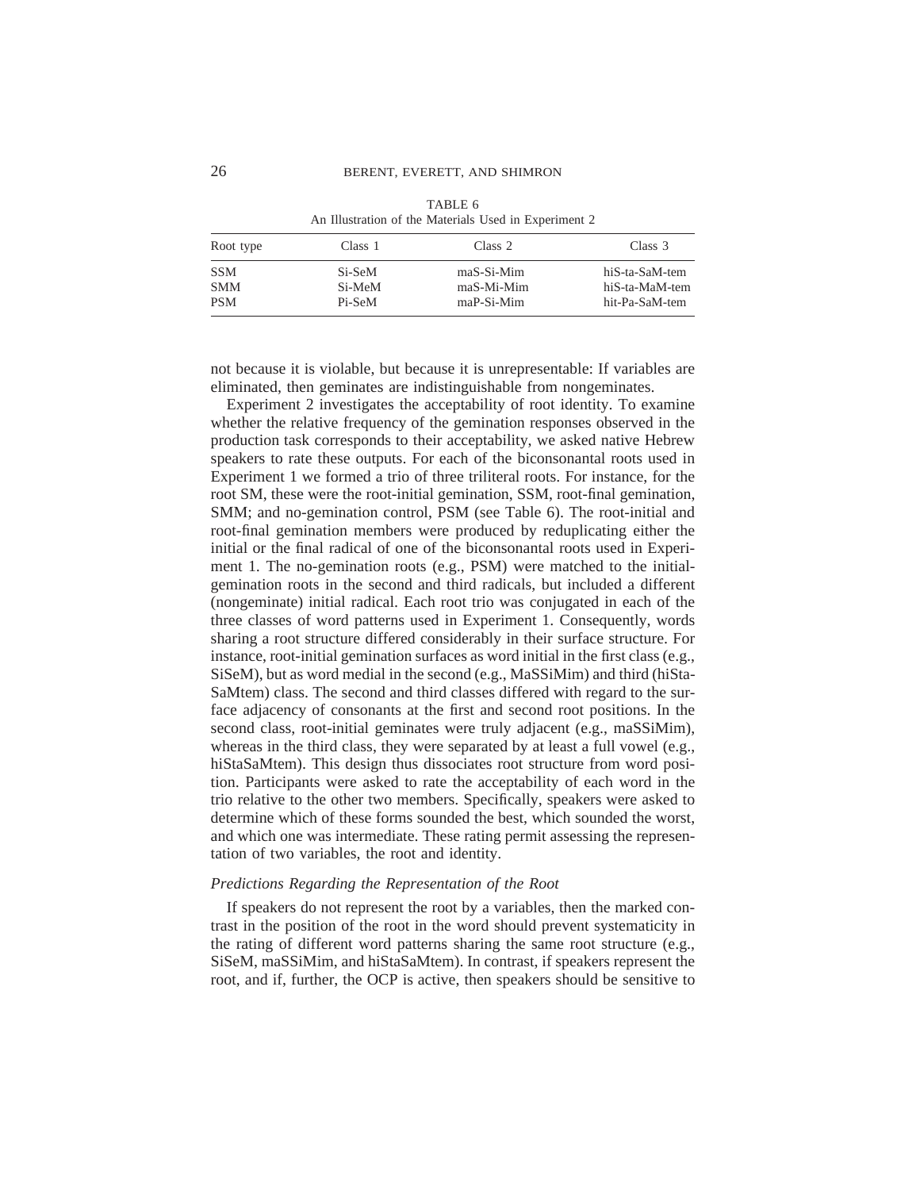| Root type | Class 1 | Class 2    | Class 3        |
|-----------|---------|------------|----------------|
| SSM       | Si-SeM  | maS-Si-Mim | hiS-ta-SaM-tem |
| SMM       | Si-MeM  | maS-Mi-Mim | hiS-ta-MaM-tem |
| PSM       | Pi-SeM  | maP-Si-Mim | hit-Pa-SaM-tem |
|           |         |            |                |

TABLE 6 An Illustration of the Materials Used in Experiment 2

not because it is violable, but because it is unrepresentable: If variables are eliminated, then geminates are indistinguishable from nongeminates.

Experiment 2 investigates the acceptability of root identity. To examine whether the relative frequency of the gemination responses observed in the production task corresponds to their acceptability, we asked native Hebrew speakers to rate these outputs. For each of the biconsonantal roots used in Experiment 1 we formed a trio of three triliteral roots. For instance, for the root SM, these were the root-initial gemination, SSM, root-final gemination, SMM; and no-gemination control, PSM (see Table 6). The root-initial and root-final gemination members were produced by reduplicating either the initial or the final radical of one of the biconsonantal roots used in Experiment 1. The no-gemination roots (e.g., PSM) were matched to the initialgemination roots in the second and third radicals, but included a different (nongeminate) initial radical. Each root trio was conjugated in each of the three classes of word patterns used in Experiment 1. Consequently, words sharing a root structure differed considerably in their surface structure. For instance, root-initial gemination surfaces as word initial in the first class (e.g., SiSeM), but as word medial in the second (e.g., MaSSiMim) and third (hiSta-SaMtem) class. The second and third classes differed with regard to the surface adjacency of consonants at the first and second root positions. In the second class, root-initial geminates were truly adjacent (e.g., maSSiMim), whereas in the third class, they were separated by at least a full vowel (e.g., hiStaSaMtem). This design thus dissociates root structure from word position. Participants were asked to rate the acceptability of each word in the trio relative to the other two members. Specifically, speakers were asked to determine which of these forms sounded the best, which sounded the worst, and which one was intermediate. These rating permit assessing the representation of two variables, the root and identity.

# *Predictions Regarding the Representation of the Root*

If speakers do not represent the root by a variables, then the marked contrast in the position of the root in the word should prevent systematicity in the rating of different word patterns sharing the same root structure (e.g., SiSeM, maSSiMim, and hiStaSaMtem). In contrast, if speakers represent the root, and if, further, the OCP is active, then speakers should be sensitive to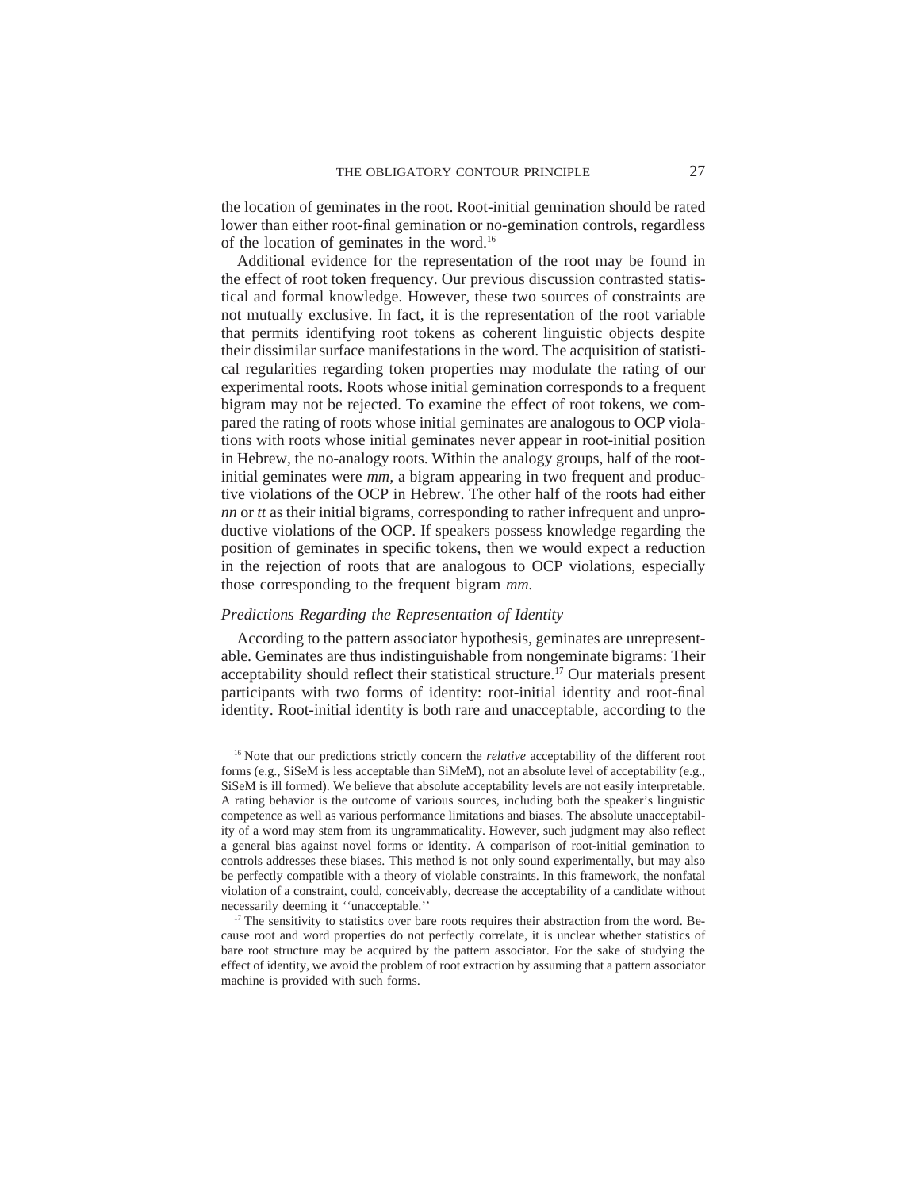the location of geminates in the root. Root-initial gemination should be rated lower than either root-final gemination or no-gemination controls, regardless of the location of geminates in the word.<sup>16</sup>

Additional evidence for the representation of the root may be found in the effect of root token frequency. Our previous discussion contrasted statistical and formal knowledge. However, these two sources of constraints are not mutually exclusive. In fact, it is the representation of the root variable that permits identifying root tokens as coherent linguistic objects despite their dissimilar surface manifestations in the word. The acquisition of statistical regularities regarding token properties may modulate the rating of our experimental roots. Roots whose initial gemination corresponds to a frequent bigram may not be rejected. To examine the effect of root tokens, we compared the rating of roots whose initial geminates are analogous to OCP violations with roots whose initial geminates never appear in root-initial position in Hebrew, the no-analogy roots. Within the analogy groups, half of the rootinitial geminates were *mm*, a bigram appearing in two frequent and productive violations of the OCP in Hebrew. The other half of the roots had either *nn* or *tt* as their initial bigrams, corresponding to rather infrequent and unproductive violations of the OCP. If speakers possess knowledge regarding the position of geminates in specific tokens, then we would expect a reduction in the rejection of roots that are analogous to OCP violations, especially those corresponding to the frequent bigram *mm.*

## *Predictions Regarding the Representation of Identity*

According to the pattern associator hypothesis, geminates are unrepresentable. Geminates are thus indistinguishable from nongeminate bigrams: Their acceptability should reflect their statistical structure.<sup>17</sup> Our materials present participants with two forms of identity: root-initial identity and root-final identity. Root-initial identity is both rare and unacceptable, according to the

<sup>16</sup> Note that our predictions strictly concern the *relative* acceptability of the different root forms (e.g., SiSeM is less acceptable than SiMeM), not an absolute level of acceptability (e.g., SiSeM is ill formed). We believe that absolute acceptability levels are not easily interpretable. A rating behavior is the outcome of various sources, including both the speaker's linguistic competence as well as various performance limitations and biases. The absolute unacceptability of a word may stem from its ungrammaticality. However, such judgment may also reflect a general bias against novel forms or identity. A comparison of root-initial gemination to controls addresses these biases. This method is not only sound experimentally, but may also be perfectly compatible with a theory of violable constraints. In this framework, the nonfatal violation of a constraint, could, conceivably, decrease the acceptability of a candidate without necessarily deeming it ''unacceptable.''

<sup>17</sup> The sensitivity to statistics over bare roots requires their abstraction from the word. Because root and word properties do not perfectly correlate, it is unclear whether statistics of bare root structure may be acquired by the pattern associator. For the sake of studying the effect of identity, we avoid the problem of root extraction by assuming that a pattern associator machine is provided with such forms.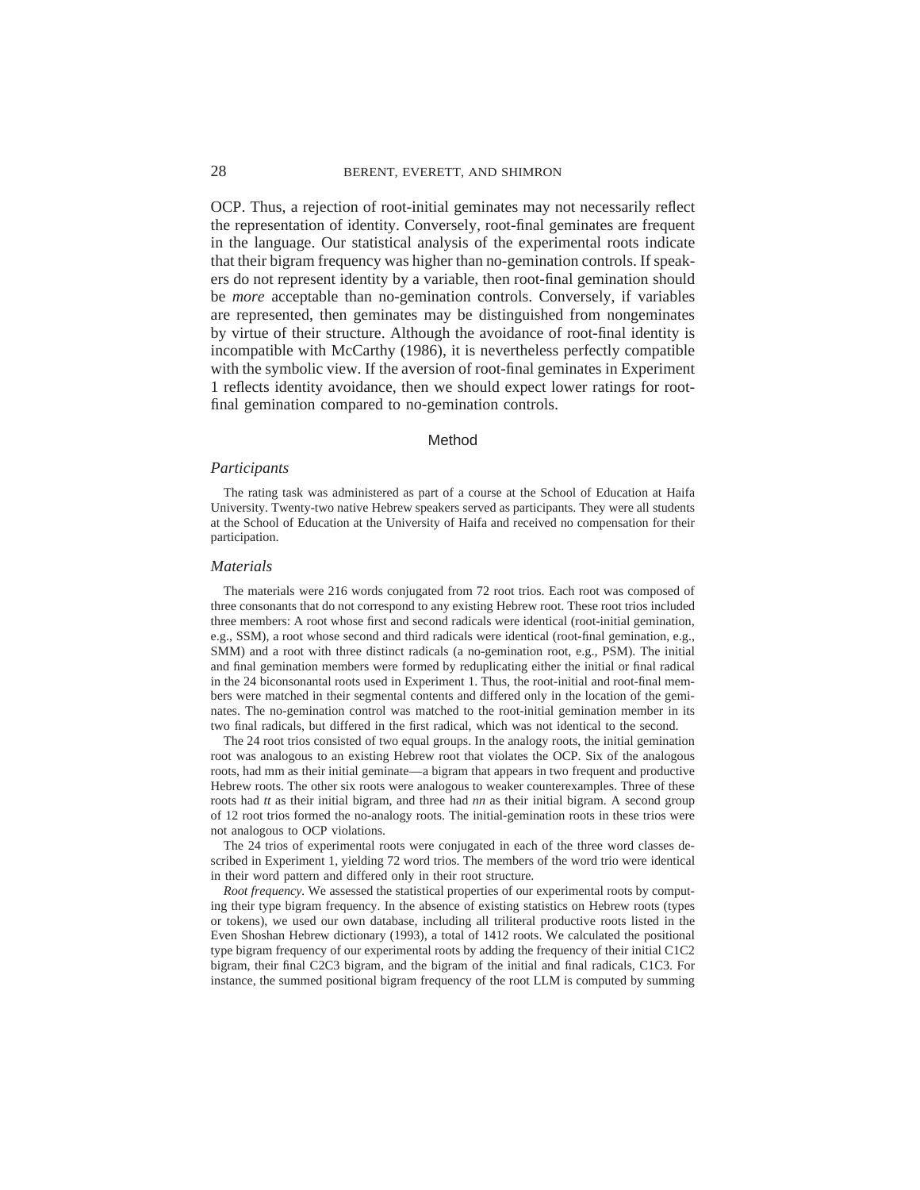OCP. Thus, a rejection of root-initial geminates may not necessarily reflect the representation of identity. Conversely, root-final geminates are frequent in the language. Our statistical analysis of the experimental roots indicate that their bigram frequency was higher than no-gemination controls. If speakers do not represent identity by a variable, then root-final gemination should be *more* acceptable than no-gemination controls. Conversely, if variables are represented, then geminates may be distinguished from nongeminates by virtue of their structure. Although the avoidance of root-final identity is incompatible with McCarthy (1986), it is nevertheless perfectly compatible with the symbolic view. If the aversion of root-final geminates in Experiment 1 reflects identity avoidance, then we should expect lower ratings for rootfinal gemination compared to no-gemination controls.

## Method

#### *Participants*

The rating task was administered as part of a course at the School of Education at Haifa University. Twenty-two native Hebrew speakers served as participants. They were all students at the School of Education at the University of Haifa and received no compensation for their participation.

## *Materials*

The materials were 216 words conjugated from 72 root trios. Each root was composed of three consonants that do not correspond to any existing Hebrew root. These root trios included three members: A root whose first and second radicals were identical (root-initial gemination, e.g., SSM), a root whose second and third radicals were identical (root-final gemination, e.g., SMM) and a root with three distinct radicals (a no-gemination root, e.g., PSM). The initial and final gemination members were formed by reduplicating either the initial or final radical in the 24 biconsonantal roots used in Experiment 1. Thus, the root-initial and root-final members were matched in their segmental contents and differed only in the location of the geminates. The no-gemination control was matched to the root-initial gemination member in its two final radicals, but differed in the first radical, which was not identical to the second.

The 24 root trios consisted of two equal groups. In the analogy roots, the initial gemination root was analogous to an existing Hebrew root that violates the OCP. Six of the analogous roots, had mm as their initial geminate—a bigram that appears in two frequent and productive Hebrew roots. The other six roots were analogous to weaker counterexamples. Three of these roots had *tt* as their initial bigram, and three had *nn* as their initial bigram. A second group of 12 root trios formed the no-analogy roots. The initial-gemination roots in these trios were not analogous to OCP violations.

The 24 trios of experimental roots were conjugated in each of the three word classes described in Experiment 1, yielding 72 word trios. The members of the word trio were identical in their word pattern and differed only in their root structure.

*Root frequency.* We assessed the statistical properties of our experimental roots by computing their type bigram frequency. In the absence of existing statistics on Hebrew roots (types or tokens), we used our own database, including all triliteral productive roots listed in the Even Shoshan Hebrew dictionary (1993), a total of 1412 roots. We calculated the positional type bigram frequency of our experimental roots by adding the frequency of their initial C1C2 bigram, their final C2C3 bigram, and the bigram of the initial and final radicals, C1C3. For instance, the summed positional bigram frequency of the root LLM is computed by summing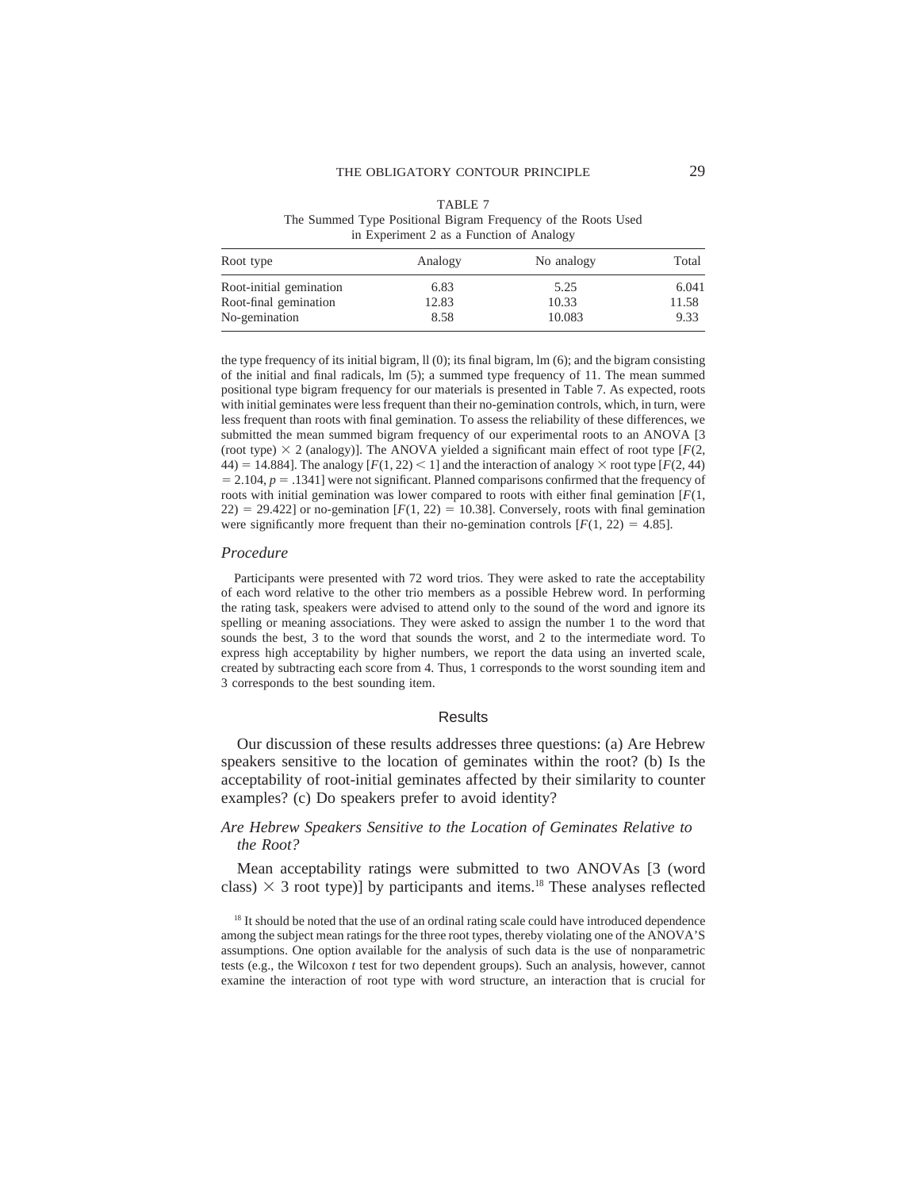#### THE OBLIGATORY CONTOUR PRINCIPLE 29

| $\cdots$ $\cdots$       |         |            |       |
|-------------------------|---------|------------|-------|
| Root type               | Analogy | No analogy | Total |
| Root-initial gemination | 6.83    | 5.25       | 6.041 |
| Root-final gemination   | 12.83   | 10.33      | 11.58 |
| No-gemination           | 8.58    | 10.083     | 9.33  |

TABLE 7 The Summed Type Positional Bigram Frequency of the Roots Used in Experiment 2 as a Function of Analogy

the type frequency of its initial bigram,  $\ln(0)$ ; its final bigram,  $\ln(6)$ ; and the bigram consisting of the initial and final radicals, lm (5); a summed type frequency of 11. The mean summed positional type bigram frequency for our materials is presented in Table 7. As expected, roots with initial geminates were less frequent than their no-gemination controls, which, in turn, were less frequent than roots with final gemination. To assess the reliability of these differences, we submitted the mean summed bigram frequency of our experimental roots to an ANOVA [3 (root type)  $\times$  2 (analogy)]. The ANOVA yielded a significant main effect of root type [ $F(2)$ ,  $44$ ) = 14.884]. The analogy  $[F(1, 22) < 1]$  and the interaction of analogy  $\times$  root type  $[F(2, 44)$  $= 2.104$ ,  $p = .1341$ ] were not significant. Planned comparisons confirmed that the frequency of roots with initial gemination was lower compared to roots with either final gemination [*F*(1,  $22$ ) = 29.422] or no-gemination  $[F(1, 22) = 10.38]$ . Conversely, roots with final gemination were significantly more frequent than their no-gemination controls  $[F(1, 22) = 4.85]$ .

# *Procedure*

Participants were presented with 72 word trios. They were asked to rate the acceptability of each word relative to the other trio members as a possible Hebrew word. In performing the rating task, speakers were advised to attend only to the sound of the word and ignore its spelling or meaning associations. They were asked to assign the number 1 to the word that sounds the best, 3 to the word that sounds the worst, and 2 to the intermediate word. To express high acceptability by higher numbers, we report the data using an inverted scale, created by subtracting each score from 4. Thus, 1 corresponds to the worst sounding item and 3 corresponds to the best sounding item.

# **Results**

Our discussion of these results addresses three questions: (a) Are Hebrew speakers sensitive to the location of geminates within the root? (b) Is the acceptability of root-initial geminates affected by their similarity to counter examples? (c) Do speakers prefer to avoid identity?

# *Are Hebrew Speakers Sensitive to the Location of Geminates Relative to the Root?*

Mean acceptability ratings were submitted to two ANOVAs [3 (word class)  $\times$  3 root type)] by participants and items.<sup>18</sup> These analyses reflected

<sup>&</sup>lt;sup>18</sup> It should be noted that the use of an ordinal rating scale could have introduced dependence among the subject mean ratings for the three root types, thereby violating one of the ANOVA'S assumptions. One option available for the analysis of such data is the use of nonparametric tests (e.g., the Wilcoxon *t* test for two dependent groups). Such an analysis, however, cannot examine the interaction of root type with word structure, an interaction that is crucial for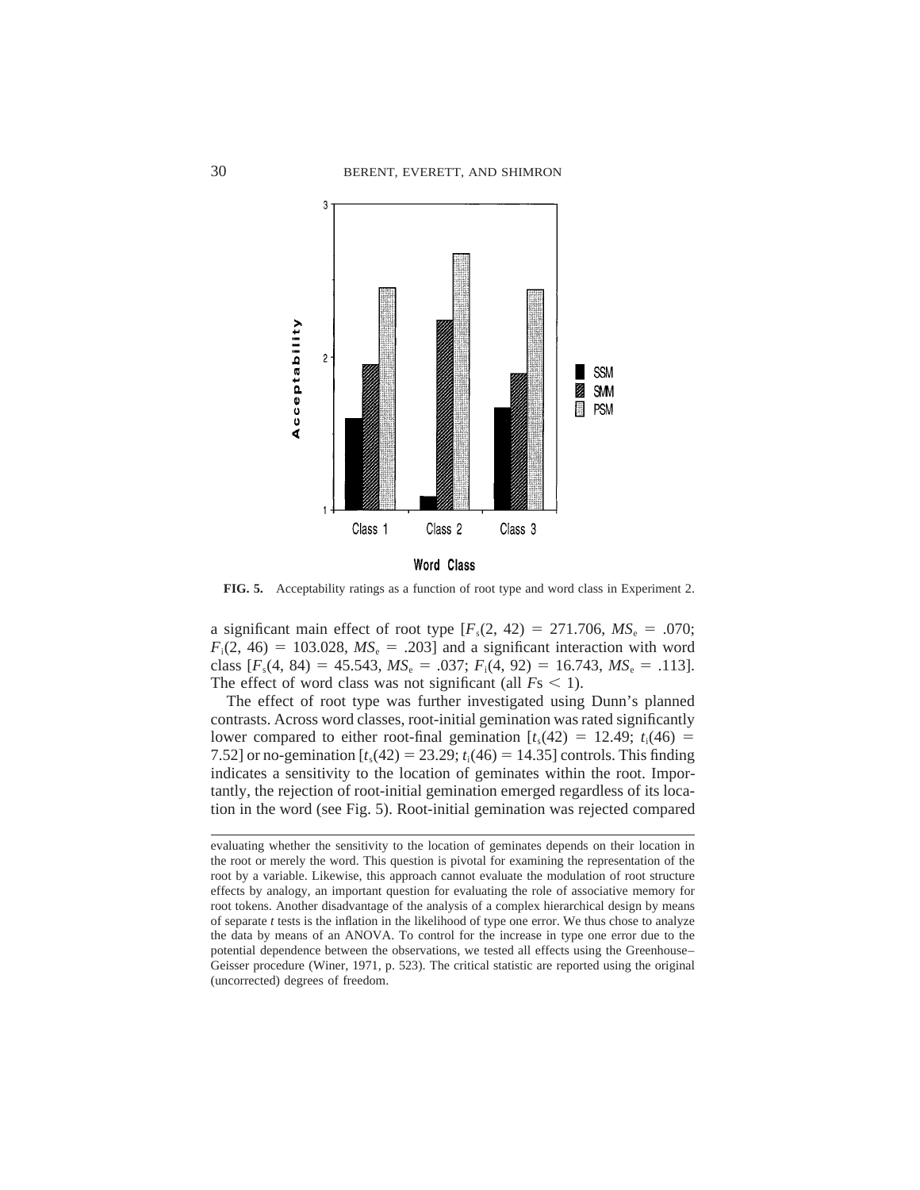

**FIG. 5.** Acceptability ratings as a function of root type and word class in Experiment 2.

a significant main effect of root type  $[F_s(2, 42) = 271.706, MS_s = .070;$  $F_i(2, 46) = 103.028$ ,  $MS_e = .203$  and a significant interaction with word class  $[F_s(4, 84) = 45.543, MS_e = .037; F_i(4, 92) = 16.743, MS_e = .113]$ . The effect of word class was not significant (all  $Fs < 1$ ).

The effect of root type was further investigated using Dunn's planned contrasts. Across word classes, root-initial gemination was rated significantly lower compared to either root-final gemination  $[t_s(42) = 12.49; t_i(46) =$ 7.52] or no-gemination  $[t_s(42) = 23.29; t_i(46) = 14.35]$  controls. This finding indicates a sensitivity to the location of geminates within the root. Importantly, the rejection of root-initial gemination emerged regardless of its location in the word (see Fig. 5). Root-initial gemination was rejected compared

evaluating whether the sensitivity to the location of geminates depends on their location in the root or merely the word. This question is pivotal for examining the representation of the root by a variable. Likewise, this approach cannot evaluate the modulation of root structure effects by analogy, an important question for evaluating the role of associative memory for root tokens. Another disadvantage of the analysis of a complex hierarchical design by means of separate *t* tests is the inflation in the likelihood of type one error. We thus chose to analyze the data by means of an ANOVA. To control for the increase in type one error due to the potential dependence between the observations, we tested all effects using the Greenhouse– Geisser procedure (Winer, 1971, p. 523). The critical statistic are reported using the original (uncorrected) degrees of freedom.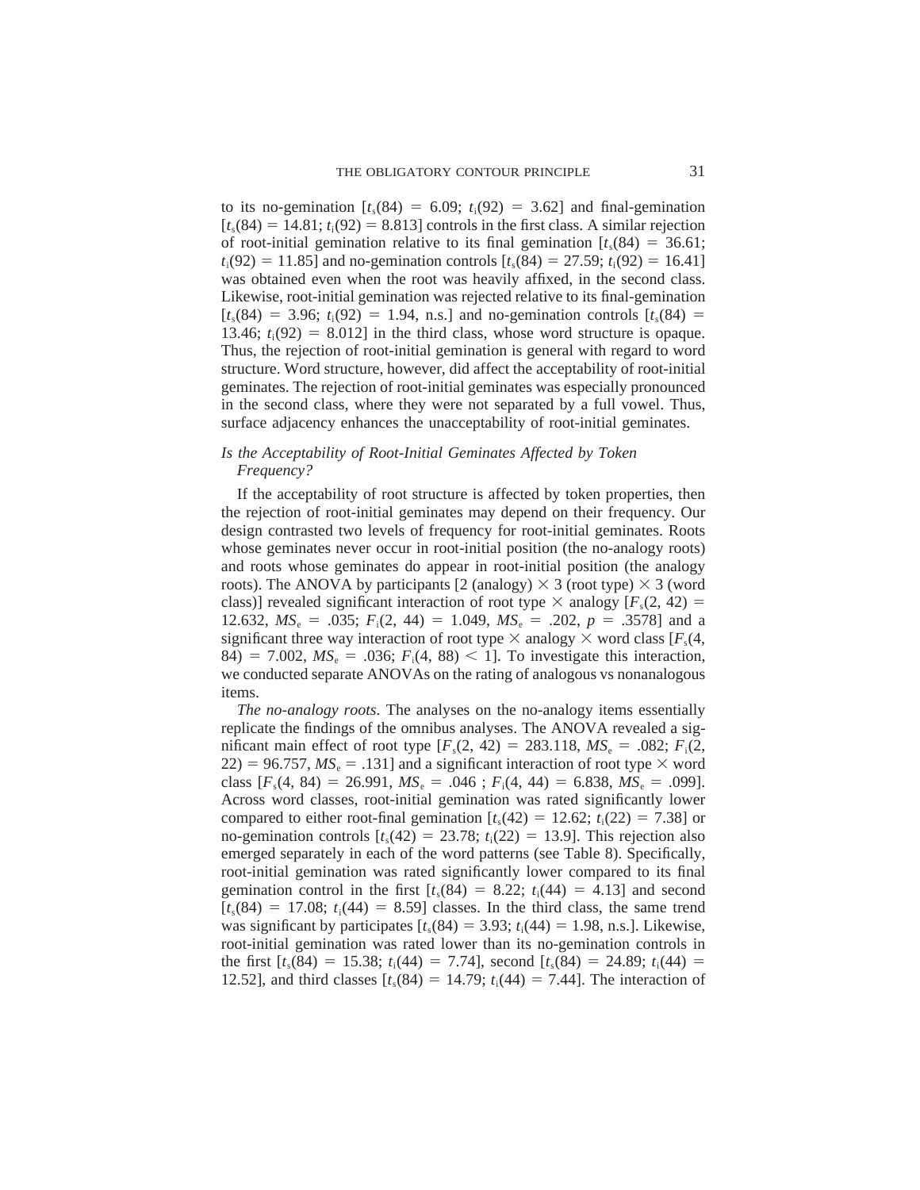to its no-gemination  $[t_s(84) = 6.09; t_s(92) = 3.62]$  and final-gemination  $[t<sub>s</sub>(84) = 14.81; t<sub>i</sub>(92) = 8.813]$  controls in the first class. A similar rejection of root-initial gemination relative to its final gemination  $[t_s(84) = 36.61;$  $t_i(92) = 11.85$ ] and no-gemination controls  $[t_i(84) = 27.59; t_i(92) = 16.41]$ was obtained even when the root was heavily affixed, in the second class. Likewise, root-initial gemination was rejected relative to its final-gemination  $[t_s(84) = 3.96; t_s(92) = 1.94, n.s.]$  and no-gemination controls  $[t_s(84) =$ 13.46;  $t_i(92) = 8.012$ ] in the third class, whose word structure is opaque. Thus, the rejection of root-initial gemination is general with regard to word structure. Word structure, however, did affect the acceptability of root-initial geminates. The rejection of root-initial geminates was especially pronounced in the second class, where they were not separated by a full vowel. Thus, surface adjacency enhances the unacceptability of root-initial geminates.

# *Is the Acceptability of Root-Initial Geminates Affected by Token Frequency?*

If the acceptability of root structure is affected by token properties, then the rejection of root-initial geminates may depend on their frequency. Our design contrasted two levels of frequency for root-initial geminates. Roots whose geminates never occur in root-initial position (the no-analogy roots) and roots whose geminates do appear in root-initial position (the analogy roots). The ANOVA by participants [2 (analogy)  $\times$  3 (root type)  $\times$  3 (word class)] revealed significant interaction of root type  $\times$  analogy  $[F_s(2, 42) =$ 12.632,  $MS_e = .035$ ;  $F_i(2, 44) = 1.049$ ,  $MS_e = .202$ ,  $p = .3578$ ] and a significant three way interaction of root type  $\times$  analogy  $\times$  word class [ $F_s(4)$ ,  $84) = 7.002$ ,  $MS_e = .036$ ;  $F_i(4, 88) < 1$ ]. To investigate this interaction, we conducted separate ANOVAs on the rating of analogous vs nonanalogous items.

*The no-analogy roots.* The analyses on the no-analogy items essentially replicate the findings of the omnibus analyses. The ANOVA revealed a significant main effect of root type  $[F_s(2, 42) = 283.118, MS_e = .082; F_i(2,$  $22$ ) = 96.757,  $MS_e = .131$ ] and a significant interaction of root type  $\times$  word class  $[F_s(4, 84) = 26.991, M_S_e = .046$ ;  $F_i(4, 44) = 6.838, M_{S_e} = .099$ ]. Across word classes, root-initial gemination was rated significantly lower compared to either root-final gemination  $[t_s(42) = 12.62; t_i(22) = 7.38]$  or no-gemination controls  $[t_s(42) = 23.78; t_i(22) = 13.9]$ . This rejection also emerged separately in each of the word patterns (see Table 8). Specifically, root-initial gemination was rated significantly lower compared to its final gemination control in the first  $[t_s(84) = 8.22; t_i(44) = 4.13]$  and second  $[t<sub>s</sub>(84) = 17.08; t<sub>s</sub>(44) = 8.59]$  classes. In the third class, the same trend was significant by participates  $[t_s(84) = 3.93; t_i(44) = 1.98, n.s.].$  Likewise, root-initial gemination was rated lower than its no-gemination controls in the first  $[t_s(84) = 15.38; t_s(44) = 7.74$ , second  $[t_s(84) = 24.89; t_s(44) =$ 12.52], and third classes  $[t<sub>s</sub>(84) = 14.79; t<sub>i</sub>(44) = 7.44$ . The interaction of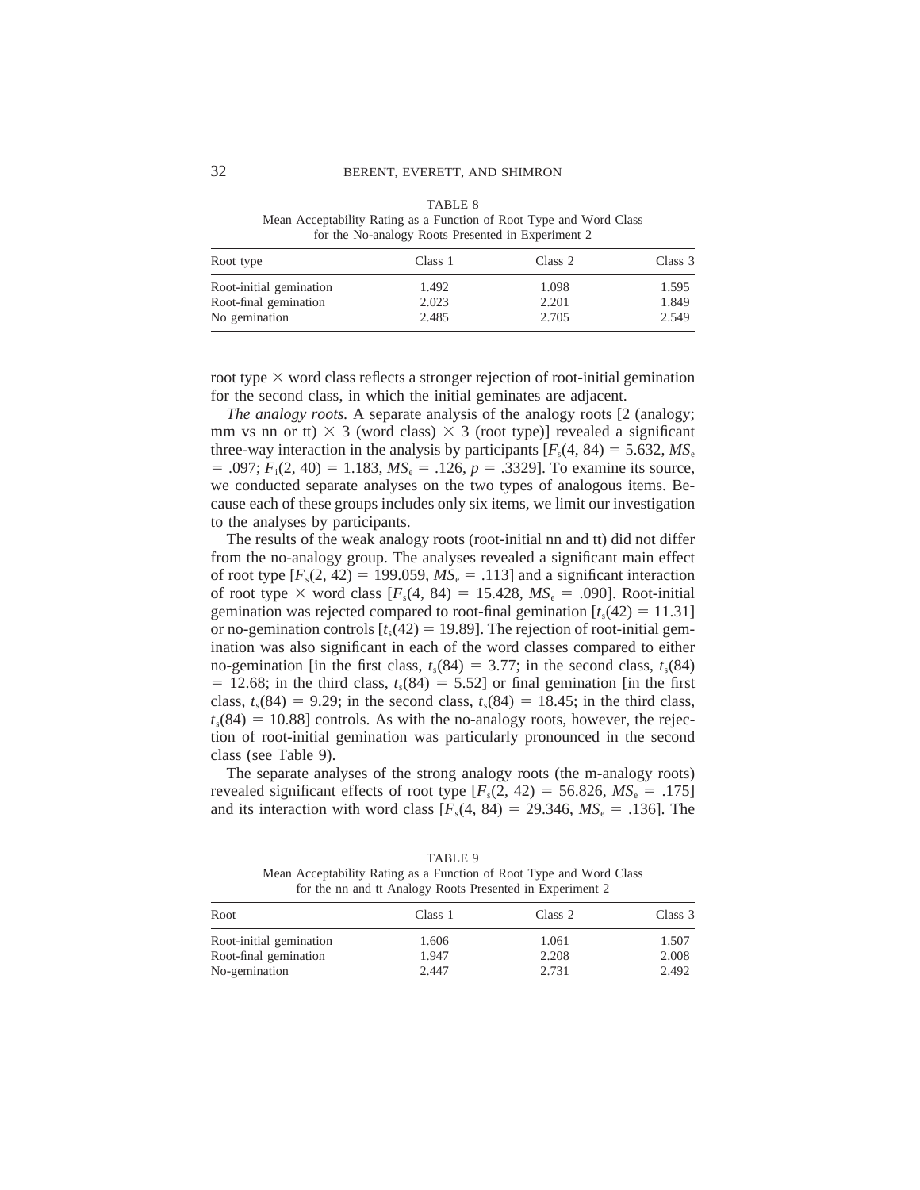|                         | ັ       |         |         |
|-------------------------|---------|---------|---------|
| Root type               | Class 1 | Class 2 | Class 3 |
| Root-initial gemination | 1.492   | 1.098   | 1.595   |
| Root-final gemination   | 2.023   | 2.201   | 1.849   |
| No gemination           | 2.485   | 2.705   | 2.549   |
|                         |         |         |         |

TABLE 8 Mean Acceptability Rating as a Function of Root Type and Word Class for the No-analogy Roots Presented in Experiment 2

root type  $\times$  word class reflects a stronger rejection of root-initial gemination for the second class, in which the initial geminates are adjacent.

*The analogy roots.* A separate analysis of the analogy roots [2 (analogy; mm vs nn or tt)  $\times$  3 (word class)  $\times$  3 (root type)] revealed a significant three-way interaction in the analysis by participants  $[F_s(4, 84) = 5.632, MS_e$  $= .097; F_1(2, 40) = 1.183, MS_e = .126, p = .3329$ . To examine its source, we conducted separate analyses on the two types of analogous items. Because each of these groups includes only six items, we limit our investigation to the analyses by participants.

The results of the weak analogy roots (root-initial nn and tt) did not differ from the no-analogy group. The analyses revealed a significant main effect of root type  $[F_s(2, 42) = 199.059, MS_e = .113]$  and a significant interaction of root type  $\times$  word class  $[F_s(4, 84) = 15.428, MS_s = .090]$ . Root-initial gemination was rejected compared to root-final gemination  $[t<sub>s</sub>(42) = 11.31]$ or no-gemination controls  $[t_s(42) = 19.89]$ . The rejection of root-initial gemination was also significant in each of the word classes compared to either no-gemination [in the first class,  $t_s(84) = 3.77$ ; in the second class,  $t_s(84)$  $= 12.68$ ; in the third class,  $t_s(84) = 5.52$ ] or final gemination [in the first class,  $t_s(84) = 9.29$ ; in the second class,  $t_s(84) = 18.45$ ; in the third class,  $t_s(84) = 10.88$ ] controls. As with the no-analogy roots, however, the rejection of root-initial gemination was particularly pronounced in the second class (see Table 9).

The separate analyses of the strong analogy roots (the m-analogy roots) revealed significant effects of root type  $[F_s(2, 42) = 56.826, MS_e = .175]$ and its interaction with word class  $[F_s(4, 84) = 29.346, MS_e = .136]$ . The

| For the fin and a Analogy Noots Fresented in Experiment 2 |         |         |  |  |
|-----------------------------------------------------------|---------|---------|--|--|
| Class 1                                                   | Class 2 | Class 3 |  |  |
| 1.606                                                     | 1.061   | 1.507   |  |  |
| 1.947                                                     | 2.208   | 2.008   |  |  |
| 2.447                                                     | 2.731   | 2.492   |  |  |
|                                                           |         |         |  |  |

TABLE 9 Mean Acceptability Rating as a Function of Root Type and Word Class for the nn and it Analogy Roots Presented in Experiment?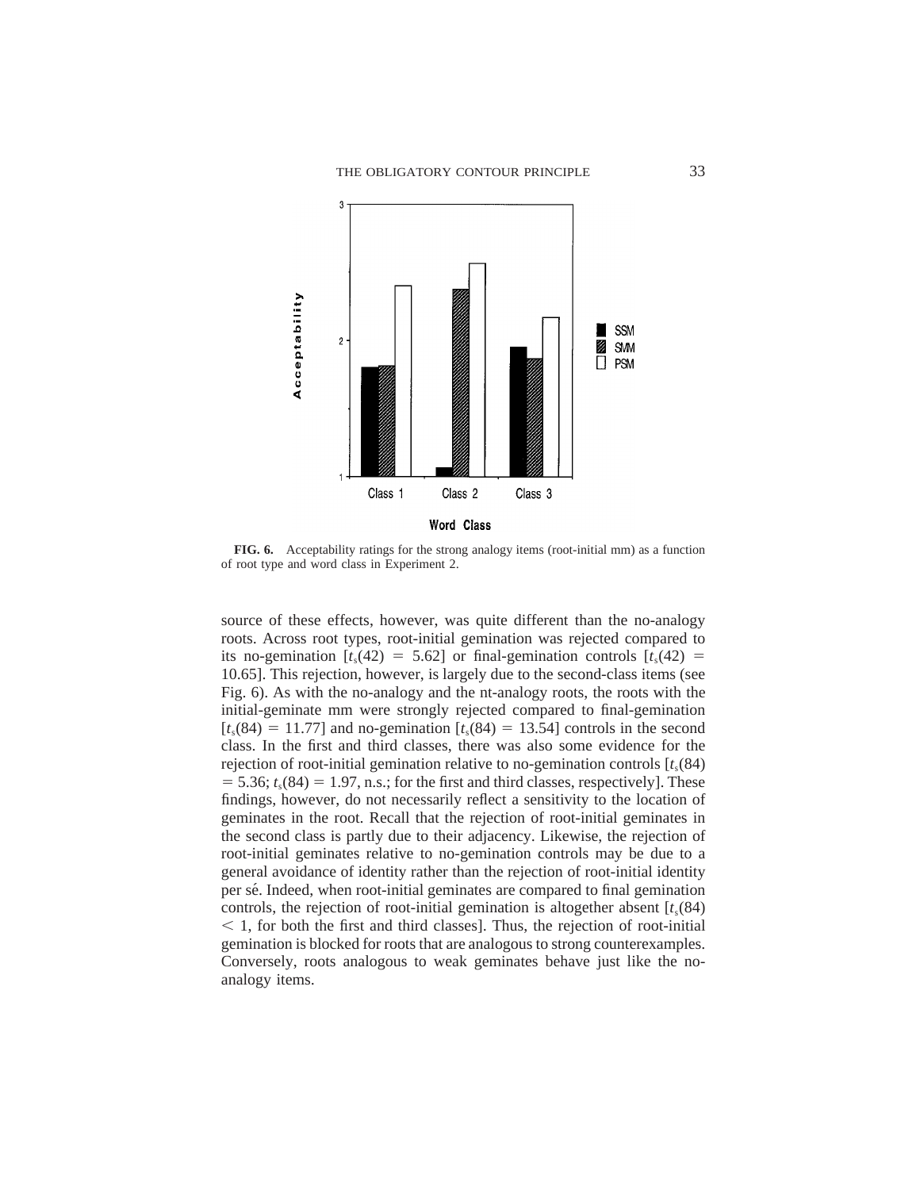

**FIG. 6.** Acceptability ratings for the strong analogy items (root-initial mm) as a function of root type and word class in Experiment 2.

source of these effects, however, was quite different than the no-analogy roots. Across root types, root-initial gemination was rejected compared to its no-gemination  $[t_s(42) = 5.62]$  or final-gemination controls  $[t_s(42) =$ 10.65]. This rejection, however, is largely due to the second-class items (see Fig. 6). As with the no-analogy and the nt-analogy roots, the roots with the initial-geminate mm were strongly rejected compared to final-gemination  $[t<sub>s</sub>(84) = 11.77]$  and no-gemination  $[t<sub>s</sub>(84) = 13.54]$  controls in the second class. In the first and third classes, there was also some evidence for the rejection of root-initial gemination relative to no-gemination controls  $[t_{s}(84)]$  $= 5.36$ ;  $t_s(84) = 1.97$ , n.s.; for the first and third classes, respectively]. These findings, however, do not necessarily reflect a sensitivity to the location of geminates in the root. Recall that the rejection of root-initial geminates in the second class is partly due to their adjacency. Likewise, the rejection of root-initial geminates relative to no-gemination controls may be due to a general avoidance of identity rather than the rejection of root-initial identity per sé. Indeed, when root-initial geminates are compared to final gemination controls, the rejection of root-initial gemination is altogether absent  $[t<sub>s</sub>(84)]$  $\leq$  1, for both the first and third classes]. Thus, the rejection of root-initial gemination is blocked for roots that are analogous to strong counterexamples. Conversely, roots analogous to weak geminates behave just like the noanalogy items.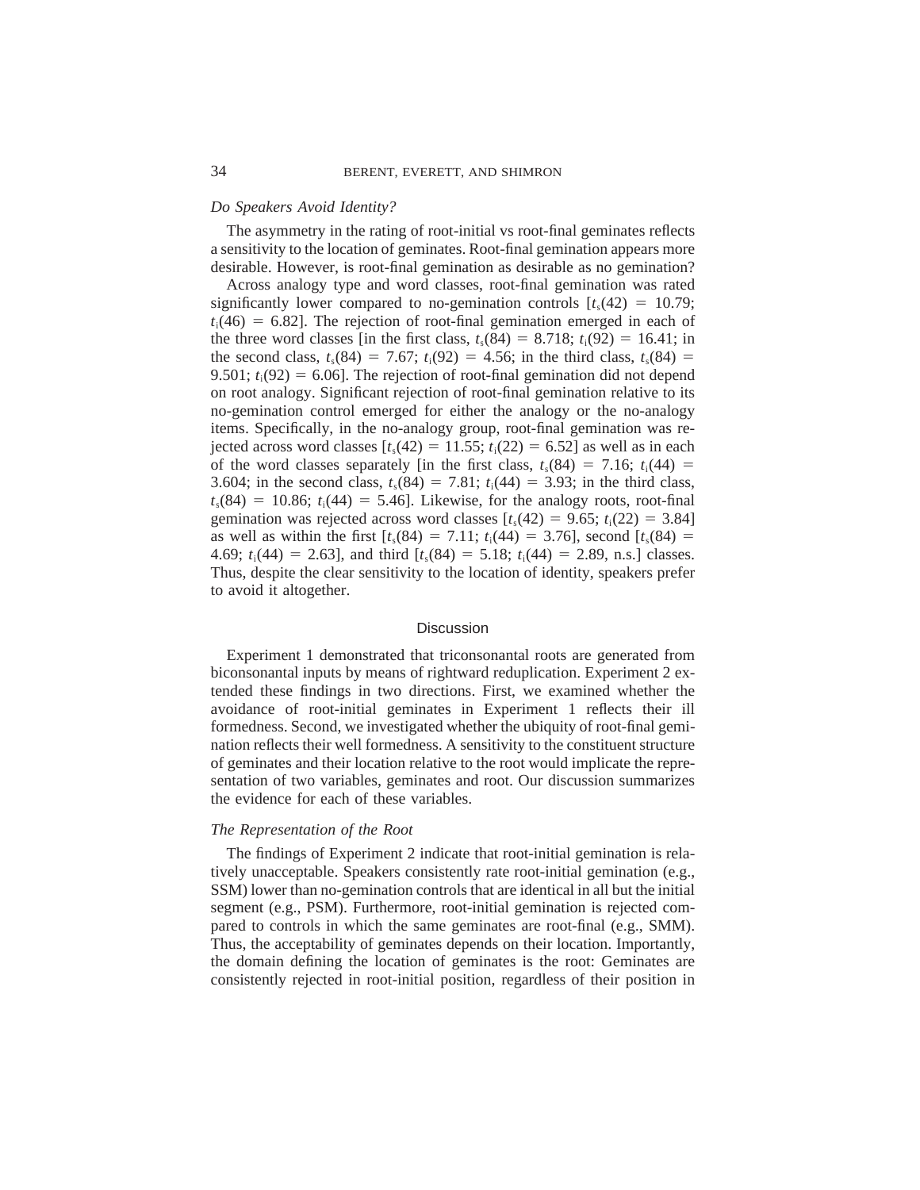## *Do Speakers Avoid Identity?*

The asymmetry in the rating of root-initial vs root-final geminates reflects a sensitivity to the location of geminates. Root-final gemination appears more desirable. However, is root-final gemination as desirable as no gemination?

Across analogy type and word classes, root-final gemination was rated significantly lower compared to no-gemination controls  $[t_s(42) = 10.79$ ;  $t<sub>i</sub>(46) = 6.82$ ]. The rejection of root-final gemination emerged in each of the three word classes [in the first class,  $t_s(84) = 8.718$ ;  $t_i(92) = 16.41$ ; in the second class,  $t_s(84) = 7.67$ ;  $t_i(92) = 4.56$ ; in the third class,  $t_s(84) =$ 9.501;  $t_i(92) = 6.06$ ]. The rejection of root-final gemination did not depend on root analogy. Significant rejection of root-final gemination relative to its no-gemination control emerged for either the analogy or the no-analogy items. Specifically, in the no-analogy group, root-final gemination was rejected across word classes  $[t_s(42) = 11.55; t_i(22) = 6.52]$  as well as in each of the word classes separately [in the first class,  $t_s(84) = 7.16$ ;  $t_i(44) =$ 3.604; in the second class,  $t_s(84) = 7.81$ ;  $t_i(44) = 3.93$ ; in the third class,  $t_s(84) = 10.86$ ;  $t_i(44) = 5.46$ . Likewise, for the analogy roots, root-final gemination was rejected across word classes  $[t_s(42) = 9.65; t_i(22) = 3.84]$ as well as within the first  $[t_s(84) = 7.11; t_i(44) = 3.76]$ , second  $[t_s(84) =$ 4.69;  $t_i(44) = 2.63$ ], and third  $[t_s(84) = 5.18; t_i(44) = 2.89, n.s.$ ] classes. Thus, despite the clear sensitivity to the location of identity, speakers prefer to avoid it altogether.

## Discussion

Experiment 1 demonstrated that triconsonantal roots are generated from biconsonantal inputs by means of rightward reduplication. Experiment 2 extended these findings in two directions. First, we examined whether the avoidance of root-initial geminates in Experiment 1 reflects their ill formedness. Second, we investigated whether the ubiquity of root-final gemination reflects their well formedness. A sensitivity to the constituent structure of geminates and their location relative to the root would implicate the representation of two variables, geminates and root. Our discussion summarizes the evidence for each of these variables.

## *The Representation of the Root*

The findings of Experiment 2 indicate that root-initial gemination is relatively unacceptable. Speakers consistently rate root-initial gemination (e.g., SSM) lower than no-gemination controls that are identical in all but the initial segment (e.g., PSM). Furthermore, root-initial gemination is rejected compared to controls in which the same geminates are root-final (e.g., SMM). Thus, the acceptability of geminates depends on their location. Importantly, the domain defining the location of geminates is the root: Geminates are consistently rejected in root-initial position, regardless of their position in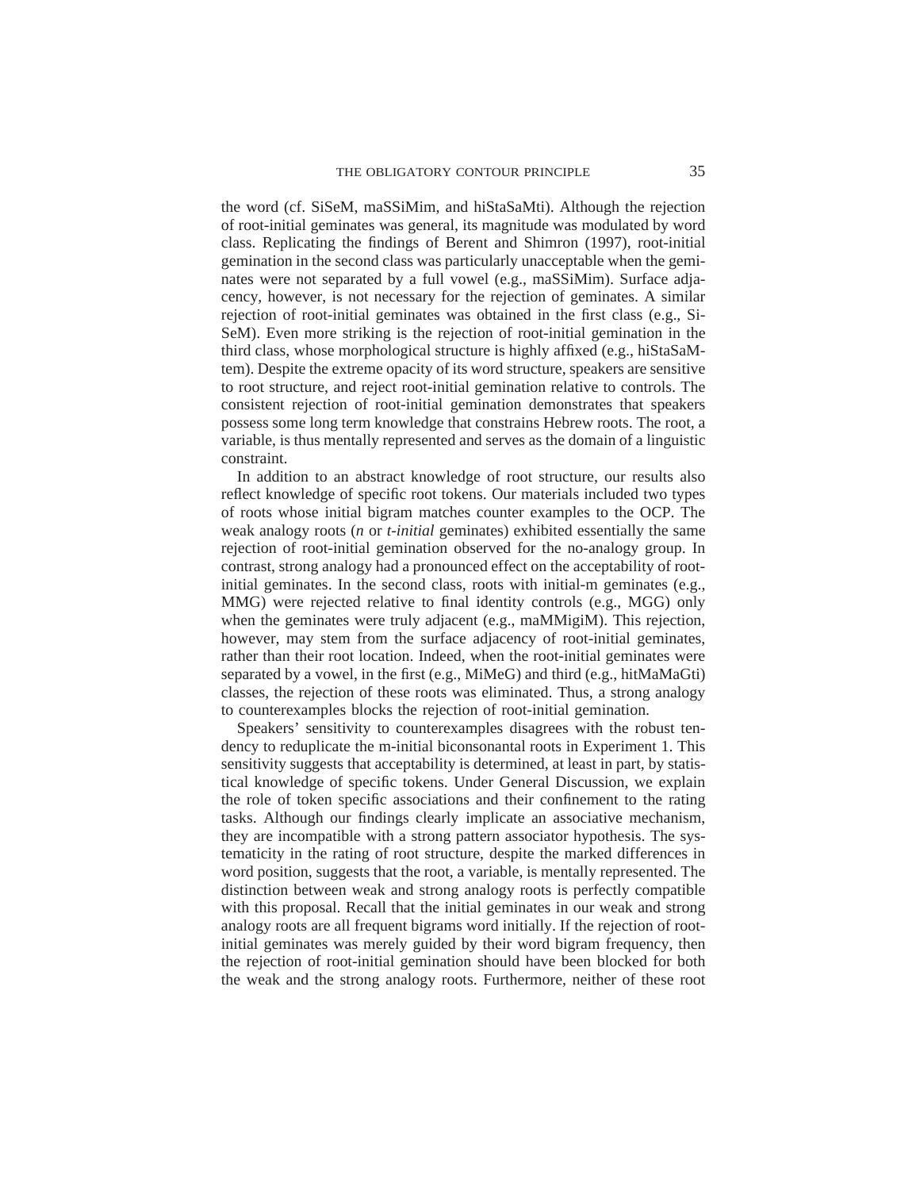the word (cf. SiSeM, maSSiMim, and hiStaSaMti). Although the rejection of root-initial geminates was general, its magnitude was modulated by word class. Replicating the findings of Berent and Shimron (1997), root-initial gemination in the second class was particularly unacceptable when the geminates were not separated by a full vowel (e.g., maSSiMim). Surface adjacency, however, is not necessary for the rejection of geminates. A similar rejection of root-initial geminates was obtained in the first class (e.g., Si-SeM). Even more striking is the rejection of root-initial gemination in the third class, whose morphological structure is highly affixed (e.g., hiStaSaMtem). Despite the extreme opacity of its word structure, speakers are sensitive to root structure, and reject root-initial gemination relative to controls. The consistent rejection of root-initial gemination demonstrates that speakers possess some long term knowledge that constrains Hebrew roots. The root, a variable, is thus mentally represented and serves as the domain of a linguistic constraint.

In addition to an abstract knowledge of root structure, our results also reflect knowledge of specific root tokens. Our materials included two types of roots whose initial bigram matches counter examples to the OCP. The weak analogy roots (*n* or *t-initial* geminates) exhibited essentially the same rejection of root-initial gemination observed for the no-analogy group. In contrast, strong analogy had a pronounced effect on the acceptability of rootinitial geminates. In the second class, roots with initial-m geminates (e.g., MMG) were rejected relative to final identity controls (e.g., MGG) only when the geminates were truly adjacent (e.g., maMMigiM). This rejection, however, may stem from the surface adjacency of root-initial geminates, rather than their root location. Indeed, when the root-initial geminates were separated by a vowel, in the first (e.g., MiMeG) and third (e.g., hitMaMaGti) classes, the rejection of these roots was eliminated. Thus, a strong analogy to counterexamples blocks the rejection of root-initial gemination.

Speakers' sensitivity to counterexamples disagrees with the robust tendency to reduplicate the m-initial biconsonantal roots in Experiment 1. This sensitivity suggests that acceptability is determined, at least in part, by statistical knowledge of specific tokens. Under General Discussion, we explain the role of token specific associations and their confinement to the rating tasks. Although our findings clearly implicate an associative mechanism, they are incompatible with a strong pattern associator hypothesis. The systematicity in the rating of root structure, despite the marked differences in word position, suggests that the root, a variable, is mentally represented. The distinction between weak and strong analogy roots is perfectly compatible with this proposal. Recall that the initial geminates in our weak and strong analogy roots are all frequent bigrams word initially. If the rejection of rootinitial geminates was merely guided by their word bigram frequency, then the rejection of root-initial gemination should have been blocked for both the weak and the strong analogy roots. Furthermore, neither of these root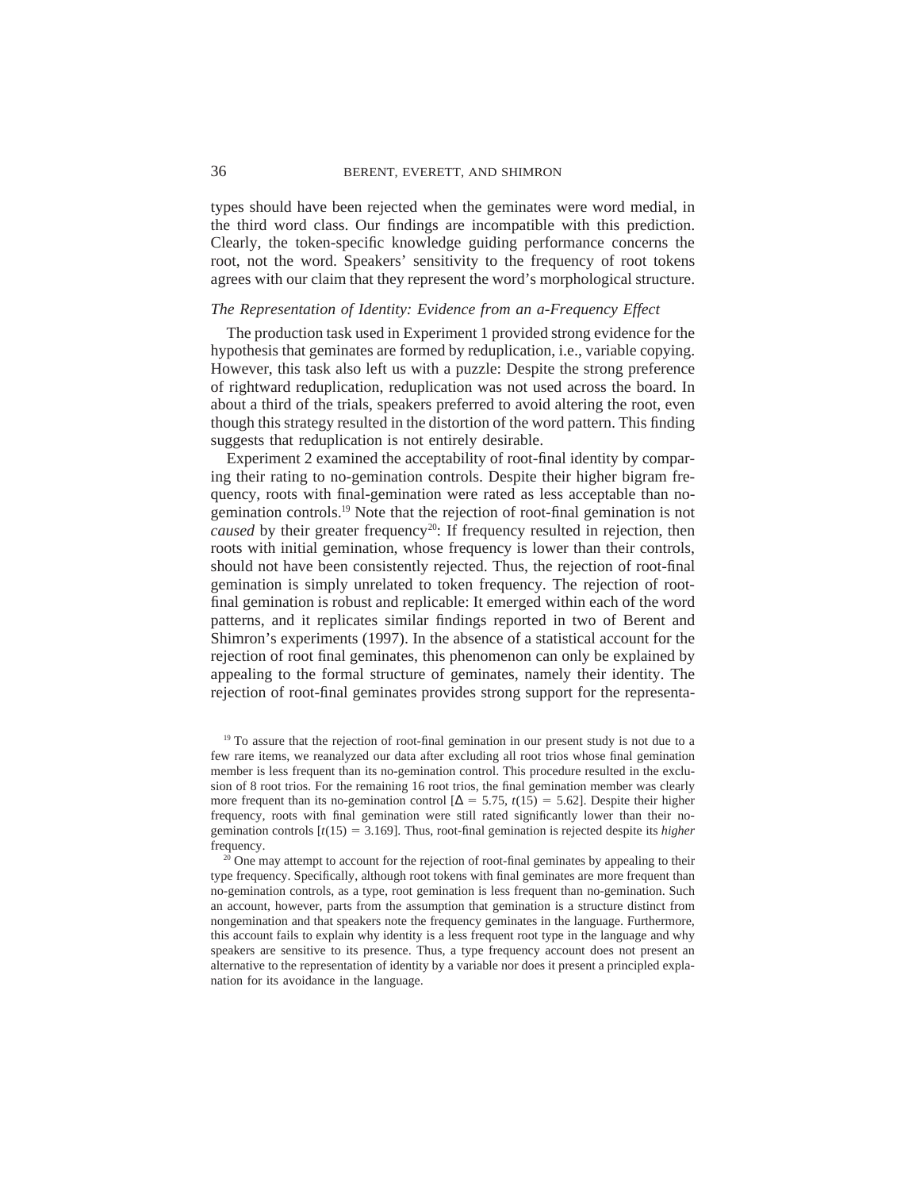types should have been rejected when the geminates were word medial, in the third word class. Our findings are incompatible with this prediction. Clearly, the token-specific knowledge guiding performance concerns the root, not the word. Speakers' sensitivity to the frequency of root tokens agrees with our claim that they represent the word's morphological structure.

# *The Representation of Identity: Evidence from an a-Frequency Effect*

The production task used in Experiment 1 provided strong evidence for the hypothesis that geminates are formed by reduplication, i.e., variable copying. However, this task also left us with a puzzle: Despite the strong preference of rightward reduplication, reduplication was not used across the board. In about a third of the trials, speakers preferred to avoid altering the root, even though this strategy resulted in the distortion of the word pattern. This finding suggests that reduplication is not entirely desirable.

Experiment 2 examined the acceptability of root-final identity by comparing their rating to no-gemination controls. Despite their higher bigram frequency, roots with final-gemination were rated as less acceptable than nogemination controls.19 Note that the rejection of root-final gemination is not *caused* by their greater frequency<sup>20</sup>: If frequency resulted in rejection, then roots with initial gemination, whose frequency is lower than their controls, should not have been consistently rejected. Thus, the rejection of root-final gemination is simply unrelated to token frequency. The rejection of rootfinal gemination is robust and replicable: It emerged within each of the word patterns, and it replicates similar findings reported in two of Berent and Shimron's experiments (1997). In the absence of a statistical account for the rejection of root final geminates, this phenomenon can only be explained by appealing to the formal structure of geminates, namely their identity. The rejection of root-final geminates provides strong support for the representa-

<sup>19</sup> To assure that the rejection of root-final gemination in our present study is not due to a few rare items, we reanalyzed our data after excluding all root trios whose final gemination member is less frequent than its no-gemination control. This procedure resulted in the exclusion of 8 root trios. For the remaining 16 root trios, the final gemination member was clearly more frequent than its no-gemination control  $[\Delta = 5.75, t(15) = 5.62]$ . Despite their higher frequency, roots with final gemination were still rated significantly lower than their nogemination controls  $[t(15) = 3.169]$ . Thus, root-final gemination is rejected despite its *higher* frequency.

 $20$  One may attempt to account for the rejection of root-final geminates by appealing to their type frequency. Specifically, although root tokens with final geminates are more frequent than no-gemination controls, as a type, root gemination is less frequent than no-gemination. Such an account, however, parts from the assumption that gemination is a structure distinct from nongemination and that speakers note the frequency geminates in the language. Furthermore, this account fails to explain why identity is a less frequent root type in the language and why speakers are sensitive to its presence. Thus, a type frequency account does not present an alternative to the representation of identity by a variable nor does it present a principled explanation for its avoidance in the language.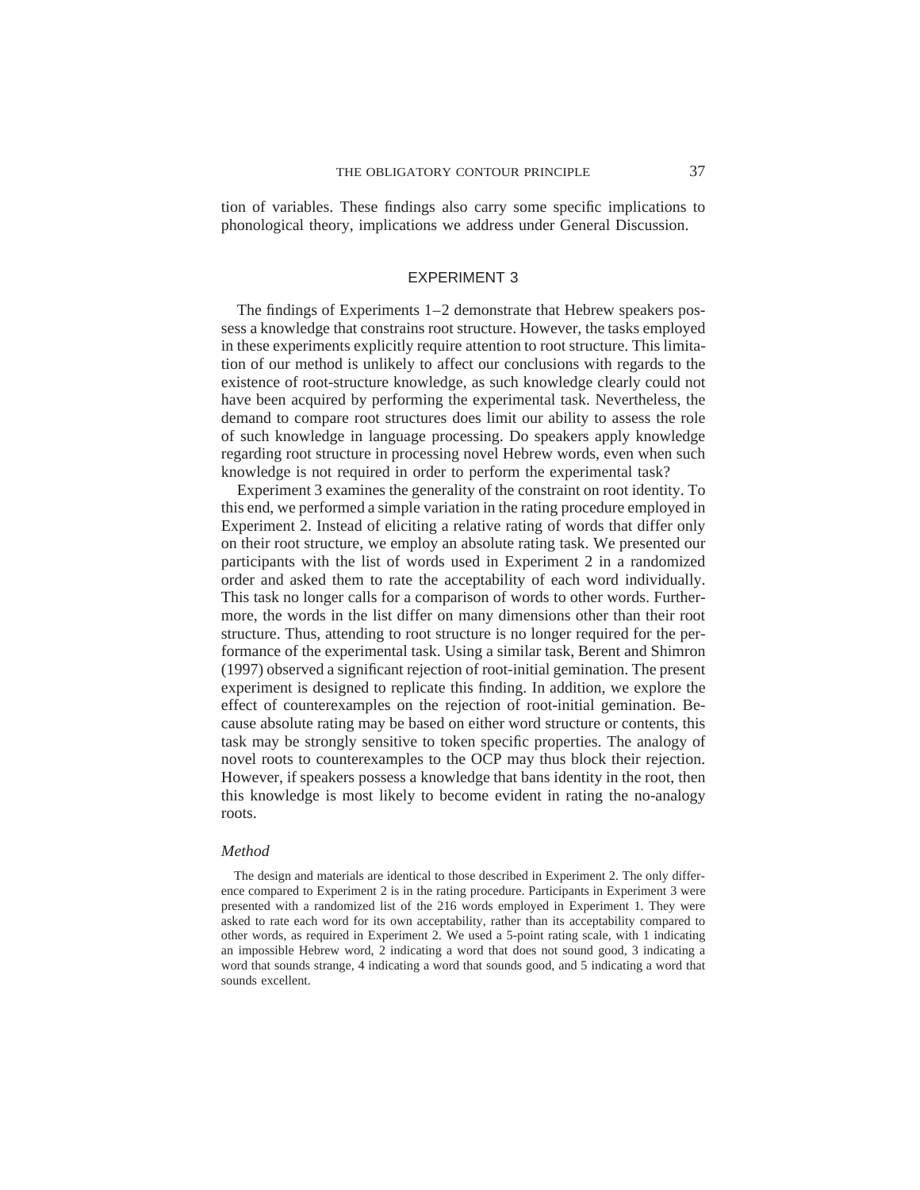tion of variables. These findings also carry some specific implications to phonological theory, implications we address under General Discussion.

## EXPERIMENT 3

The findings of Experiments 1–2 demonstrate that Hebrew speakers possess a knowledge that constrains root structure. However, the tasks employed in these experiments explicitly require attention to root structure. This limitation of our method is unlikely to affect our conclusions with regards to the existence of root-structure knowledge, as such knowledge clearly could not have been acquired by performing the experimental task. Nevertheless, the demand to compare root structures does limit our ability to assess the role of such knowledge in language processing. Do speakers apply knowledge regarding root structure in processing novel Hebrew words, even when such knowledge is not required in order to perform the experimental task?

Experiment 3 examines the generality of the constraint on root identity. To this end, we performed a simple variation in the rating procedure employed in Experiment 2. Instead of eliciting a relative rating of words that differ only on their root structure, we employ an absolute rating task. We presented our participants with the list of words used in Experiment 2 in a randomized order and asked them to rate the acceptability of each word individually. This task no longer calls for a comparison of words to other words. Furthermore, the words in the list differ on many dimensions other than their root structure. Thus, attending to root structure is no longer required for the performance of the experimental task. Using a similar task, Berent and Shimron (1997) observed a significant rejection of root-initial gemination. The present experiment is designed to replicate this finding. In addition, we explore the effect of counterexamples on the rejection of root-initial gemination. Because absolute rating may be based on either word structure or contents, this task may be strongly sensitive to token specific properties. The analogy of novel roots to counterexamples to the OCP may thus block their rejection. However, if speakers possess a knowledge that bans identity in the root, then this knowledge is most likely to become evident in rating the no-analogy roots.

#### *Method*

The design and materials are identical to those described in Experiment 2. The only difference compared to Experiment 2 is in the rating procedure. Participants in Experiment 3 were presented with a randomized list of the 216 words employed in Experiment 1. They were asked to rate each word for its own acceptability, rather than its acceptability compared to other words, as required in Experiment 2. We used a 5-point rating scale, with 1 indicating an impossible Hebrew word, 2 indicating a word that does not sound good, 3 indicating a word that sounds strange, 4 indicating a word that sounds good, and 5 indicating a word that sounds excellent.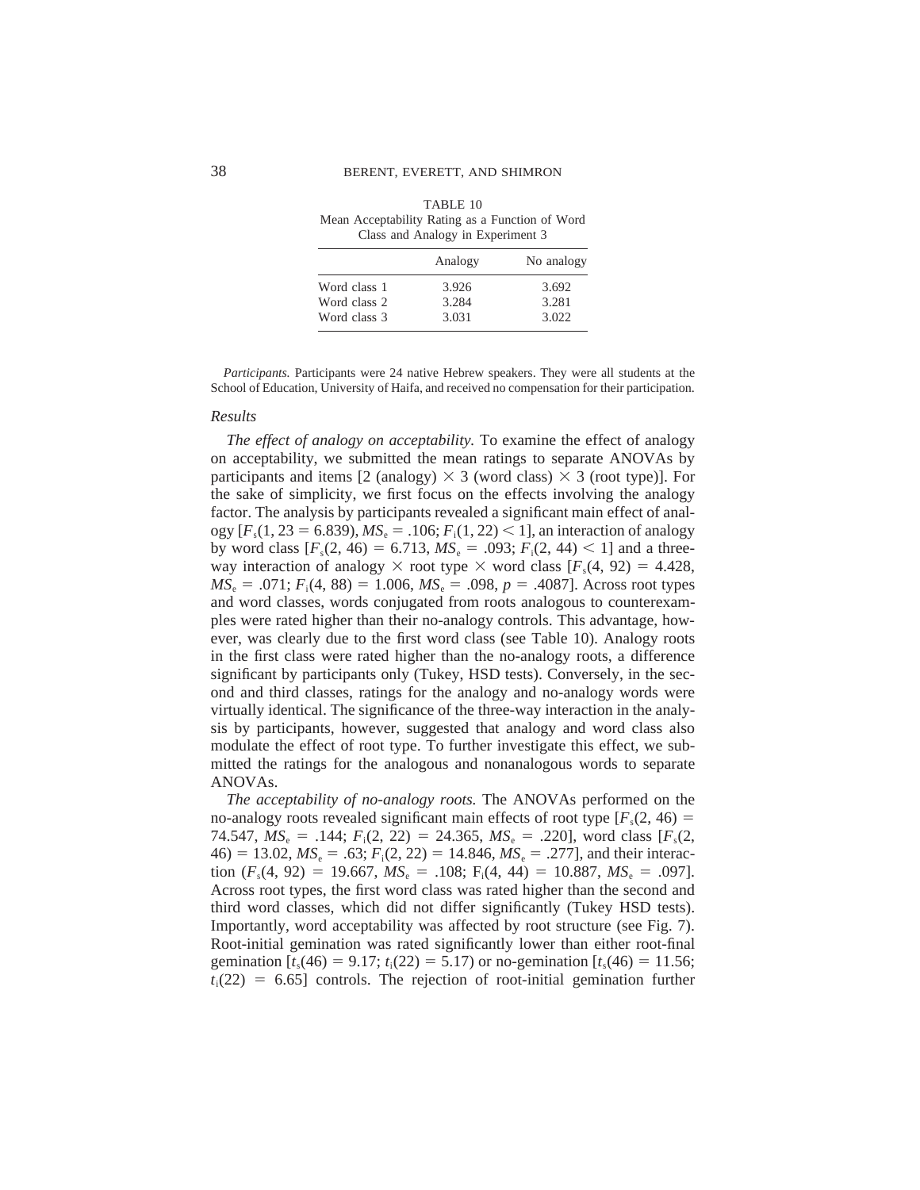| Class and Analogy in Experiment 3 |         |            |  |
|-----------------------------------|---------|------------|--|
|                                   | Analogy | No analogy |  |
| Word class 1                      | 3.926   | 3.692      |  |
| Word class 2                      | 3.284   | 3.281      |  |
| Word class 3                      | 3.031   | 3.022      |  |

TABLE 10 Mean Acceptability Rating as a Function of Word Class and Analogy in Experiment 3

*Participants.* Participants were 24 native Hebrew speakers. They were all students at the School of Education, University of Haifa, and received no compensation for their participation.

## *Results*

*The effect of analogy on acceptability.* To examine the effect of analogy on acceptability, we submitted the mean ratings to separate ANOVAs by participants and items [2 (analogy)  $\times$  3 (word class)  $\times$  3 (root type)]. For the sake of simplicity, we first focus on the effects involving the analogy factor. The analysis by participants revealed a significant main effect of analogy  $[F_s(1, 23 = 6.839), MS_e = .106; F_i(1, 22) < 1]$ , an interaction of analogy by word class  $[F_s(2, 46) = 6.713, MS_e = .093; F_i(2, 44) < 1]$  and a threeway interaction of analogy  $\times$  root type  $\times$  word class  $[F_s(4, 92) = 4.428$ ,  $\overline{MS_e}$  = .071;  $F_i(4, 88)$  = 1.006,  $\overline{MS_e}$  = .098,  $p = .4087$ ]. Across root types and word classes, words conjugated from roots analogous to counterexamples were rated higher than their no-analogy controls. This advantage, however, was clearly due to the first word class (see Table 10). Analogy roots in the first class were rated higher than the no-analogy roots, a difference significant by participants only (Tukey, HSD tests). Conversely, in the second and third classes, ratings for the analogy and no-analogy words were virtually identical. The significance of the three-way interaction in the analysis by participants, however, suggested that analogy and word class also modulate the effect of root type. To further investigate this effect, we submitted the ratings for the analogous and nonanalogous words to separate ANOVAs.

*The acceptability of no-analogy roots.* The ANOVAs performed on the no-analogy roots revealed significant main effects of root type  $[F_s(2, 46) =$ 74.547,  $MS_e = .144$ ;  $F_i(2, 22) = 24.365$ ,  $MS_e = .220$ , word class  $[F_s(2, 22)]$  $46$ ) = 13.02,  $MS_e$  = .63;  $F_i(2, 22)$  = 14.846,  $MS_e$  = .277], and their interaction  $(F_s(4, 92) = 19.667, M_s = .108; F_i(4, 44) = 10.887, M_s = .097$ . Across root types, the first word class was rated higher than the second and third word classes, which did not differ significantly (Tukey HSD tests). Importantly, word acceptability was affected by root structure (see Fig. 7). Root-initial gemination was rated significantly lower than either root-final gemination  $[t_s(46) = 9.17; t_i(22) = 5.17$  or no-gemination  $[t_s(46) = 11.56;$  $t_i(22) = 6.65$ ] controls. The rejection of root-initial gemination further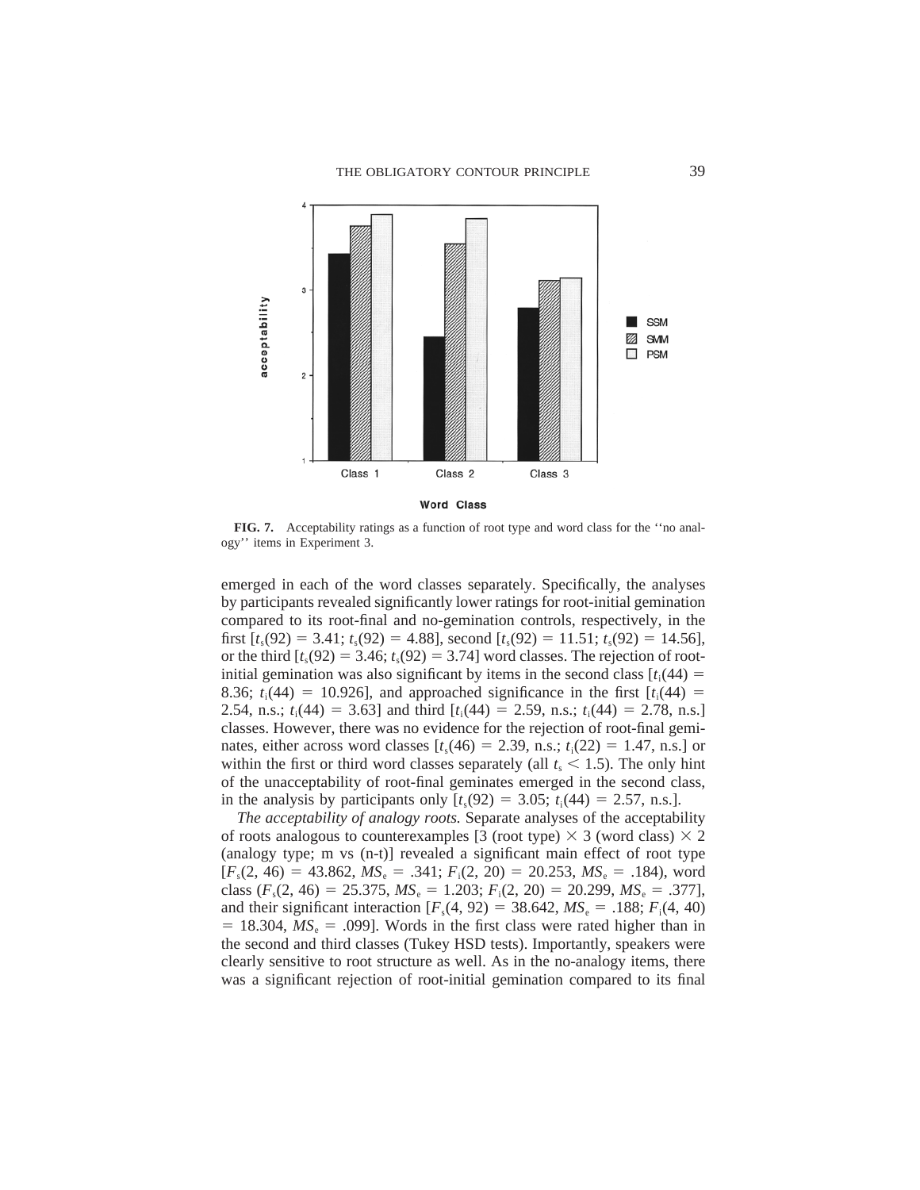

**FIG. 7.** Acceptability ratings as a function of root type and word class for the ''no analogy'' items in Experiment 3.

emerged in each of the word classes separately. Specifically, the analyses by participants revealed significantly lower ratings for root-initial gemination compared to its root-final and no-gemination controls, respectively, in the first  $[t_s(92) = 3.41; t_s(92) = 4.88]$ , second  $[t_s(92) = 11.51; t_s(92) = 14.56]$ , or the third  $[t_s(92) = 3.46; t_s(92) = 3.74]$  word classes. The rejection of rootinitial gemination was also significant by items in the second class  $[t_i(44) =$ 8.36;  $t_i(44) = 10.926$ , and approached significance in the first  $[t_i(44) =$ 2.54, n.s.;  $t_i(44) = 3.63$ ] and third  $[t_i(44) = 2.59, n.s.; t_i(44) = 2.78, n.s.]$ classes. However, there was no evidence for the rejection of root-final geminates, either across word classes  $[t_s(46) = 2.39, n.s., t_i(22) = 1.47, n.s.]$  or within the first or third word classes separately (all  $t_s < 1.5$ ). The only hint of the unacceptability of root-final geminates emerged in the second class, in the analysis by participants only  $[t_s(92) = 3.05; t_i(44) = 2.57, n.s.].$ 

*The acceptability of analogy roots.* Separate analyses of the acceptability of roots analogous to counterexamples [3 (root type)  $\times$  3 (word class)  $\times$  2 (analogy type; m vs (n-t)] revealed a significant main effect of root type  $[F_s(2, 46) = 43.862, MS_e = .341; F_i(2, 20) = 20.253, MS_e = .184$ , word class  $(F_s(2, 46) = 25.375, M_S = 1.203; F_i(2, 20) = 20.299, M_S = .377$ . and their significant interaction  $[F_s(4, 92) = 38.642, MS_e = .188; F_i(4, 40)$  $= 18.304$ ,  $\overline{MS}$  = .099]. Words in the first class were rated higher than in the second and third classes (Tukey HSD tests). Importantly, speakers were clearly sensitive to root structure as well. As in the no-analogy items, there was a significant rejection of root-initial gemination compared to its final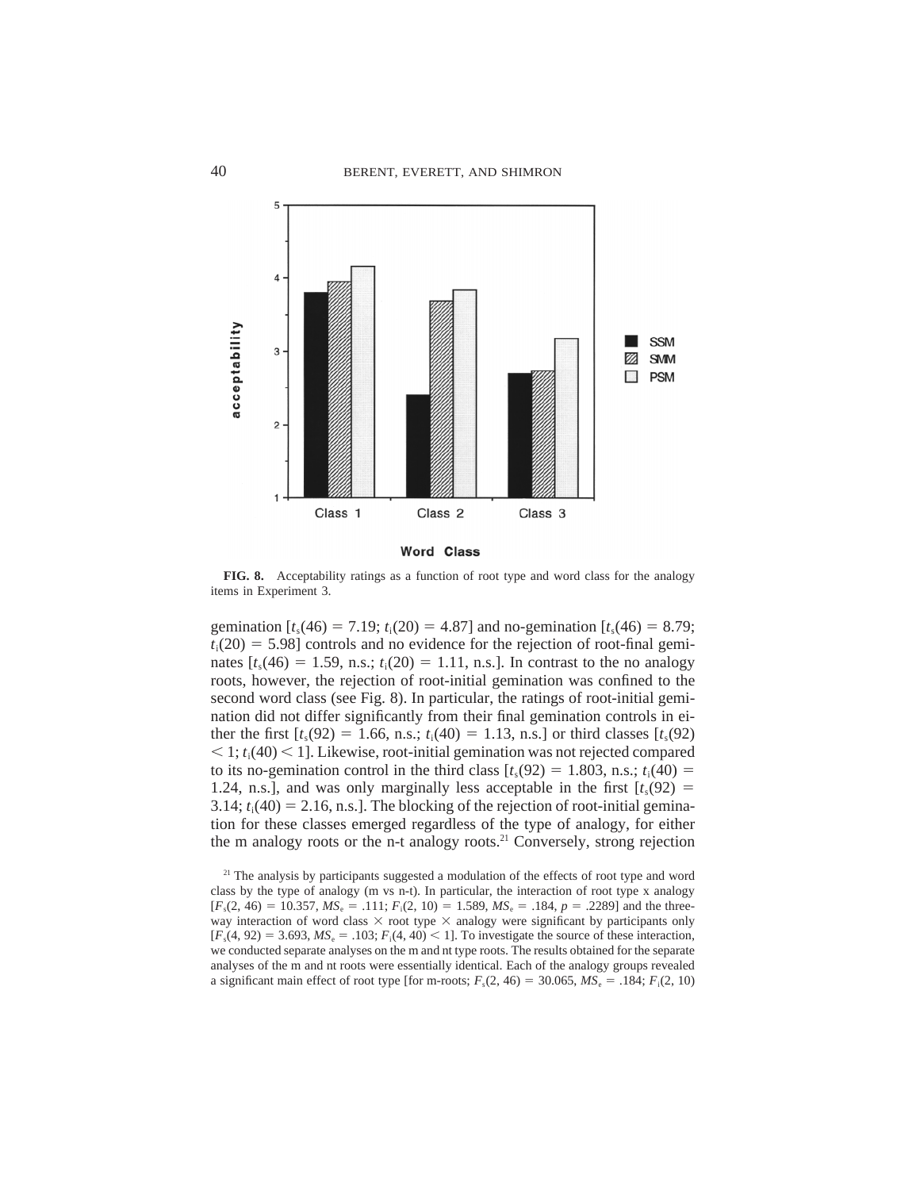

**Word Class** 

**FIG. 8.** Acceptability ratings as a function of root type and word class for the analogy items in Experiment 3.

gemination  $[t_s(46) = 7.19; t_s(20) = 4.87]$  and no-gemination  $[t_s(46) = 8.79;$  $t<sub>i</sub>(20) = 5.98$ ] controls and no evidence for the rejection of root-final geminates  $[t_s(46) = 1.59, n.s.: t_i(20) = 1.11, n.s.]$ . In contrast to the no analogy roots, however, the rejection of root-initial gemination was confined to the second word class (see Fig. 8). In particular, the ratings of root-initial gemination did not differ significantly from their final gemination controls in either the first  $[t_s(92) = 1.66, n.s.$ ;  $t_i(40) = 1.13, n.s.$ ] or third classes  $[t_s(92)$  $< 1$ ;  $t<sub>i</sub>(40) < 1$ ]. Likewise, root-initial gemination was not rejected compared to its no-gemination control in the third class  $[t_s(92) = 1.803, n.s.; t_i(40) =$ 1.24, n.s.], and was only marginally less acceptable in the first  $[t_s(92) =$  $3.14$ ;  $t<sub>i</sub>(40) = 2.16$ , n.s.]. The blocking of the rejection of root-initial gemination for these classes emerged regardless of the type of analogy, for either the m analogy roots or the n-t analogy roots.<sup>21</sup> Conversely, strong rejection

 $21$ <sup>21</sup> The analysis by participants suggested a modulation of the effects of root type and word class by the type of analogy (m vs n-t). In particular, the interaction of root type x analogy  $[F_s(2, 46) = 10.357, MS_e = .111; F_i(2, 10) = 1.589, MS_e = .184, p = .2289$  and the threeway interaction of word class  $\times$  root type  $\times$  analogy were significant by participants only  $[F_s(4, 92) = 3.693, MS_e = .103; F_i(4, 40) < 1]$ . To investigate the source of these interaction, we conducted separate analyses on the m and nt type roots. The results obtained for the separate analyses of the m and nt roots were essentially identical. Each of the analogy groups revealed a significant main effect of root type [for m-roots;  $F_s(2, 46) = 30.065$ ,  $MS_e = .184$ ;  $F_i(2, 10)$ ]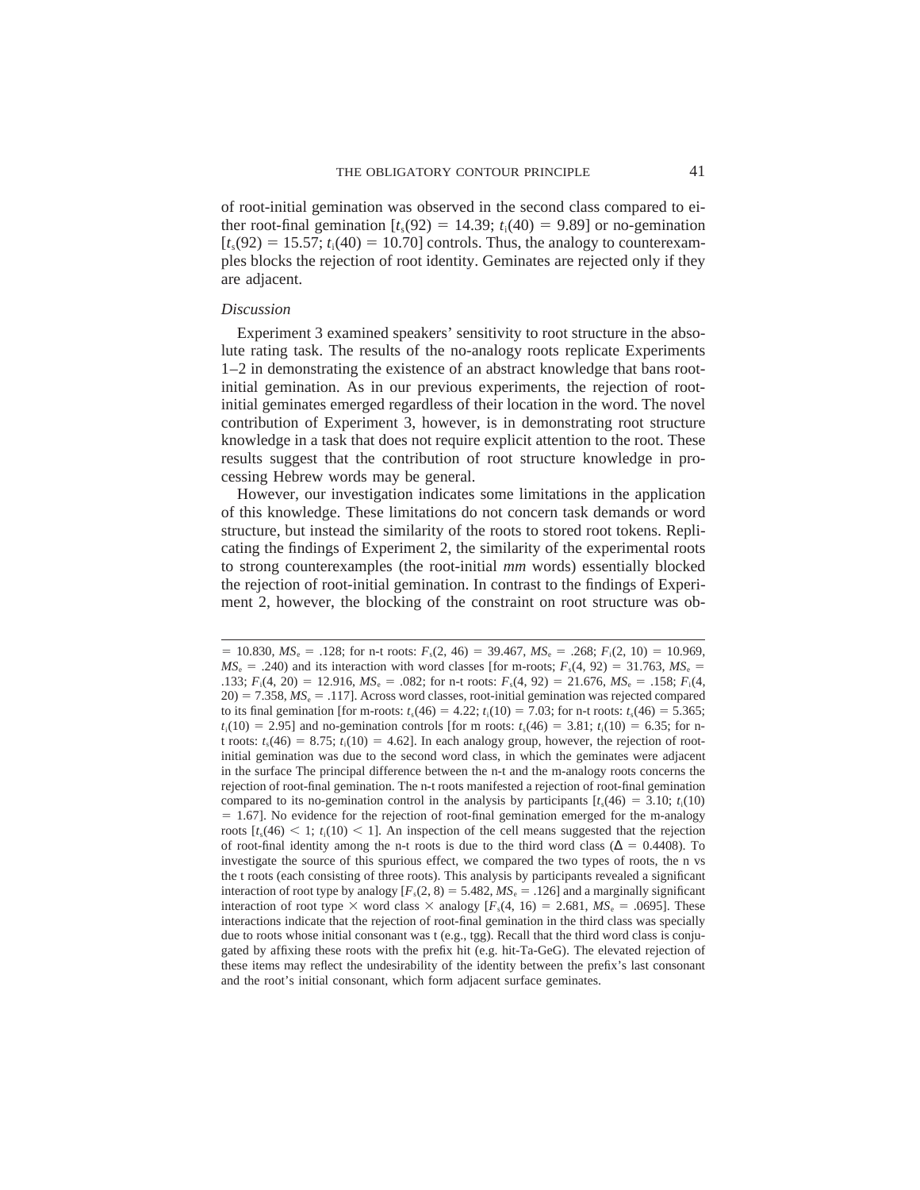of root-initial gemination was observed in the second class compared to either root-final gemination  $[t_s(92) = 14.39; t_i(40) = 9.89]$  or no-gemination  $[t<sub>s</sub>(92) = 15.57; t<sub>i</sub>(40) = 10.70]$  controls. Thus, the analogy to counterexamples blocks the rejection of root identity. Geminates are rejected only if they are adjacent.

## *Discussion*

Experiment 3 examined speakers' sensitivity to root structure in the absolute rating task. The results of the no-analogy roots replicate Experiments 1–2 in demonstrating the existence of an abstract knowledge that bans rootinitial gemination. As in our previous experiments, the rejection of rootinitial geminates emerged regardless of their location in the word. The novel contribution of Experiment 3, however, is in demonstrating root structure knowledge in a task that does not require explicit attention to the root. These results suggest that the contribution of root structure knowledge in processing Hebrew words may be general.

However, our investigation indicates some limitations in the application of this knowledge. These limitations do not concern task demands or word structure, but instead the similarity of the roots to stored root tokens. Replicating the findings of Experiment 2, the similarity of the experimental roots to strong counterexamples (the root-initial *mm* words) essentially blocked the rejection of root-initial gemination. In contrast to the findings of Experiment 2, however, the blocking of the constraint on root structure was ob-

 $= 10.830, M_s$ <sub>e</sub> = .128; for n-t roots:  $F_s(2, 46) = 39.467, M_s$ <sub>e</sub> = .268;  $F_i(2, 10) = 10.969$ ,  $MS_e = .240$ ) and its interaction with word classes [for m-roots;  $F_s(4, 92) = 31.763$ ,  $MS_e =$ .133;  $F_i(4, 20) = 12.916$ ,  $MS_e = .082$ ; for n-t roots:  $F_s(4, 92) = 21.676$ ,  $MS_e = .158$ ;  $F_i(4, 92) = 21.676$  $20$ ) = 7.358,  $MS_e$  = .117]. Across word classes, root-initial gemination was rejected compared to its final gemination [for m-roots:  $t_s(46) = 4.22$ ;  $t_i(10) = 7.03$ ; for n-t roots:  $t_s(46) = 5.365$ ;  $t_i(10) = 2.95$ ] and no-gemination controls [for m roots:  $t_s(46) = 3.81$ ;  $t_i(10) = 6.35$ ; for nt roots:  $t_s(46) = 8.75$ ;  $t_i(10) = 4.62$ . In each analogy group, however, the rejection of rootinitial gemination was due to the second word class, in which the geminates were adjacent in the surface The principal difference between the n-t and the m-analogy roots concerns the rejection of root-final gemination. The n-t roots manifested a rejection of root-final gemination compared to its no-gemination control in the analysis by participants  $[t_s(46) = 3.10; t_i(10)$  $= 1.67$ ]. No evidence for the rejection of root-final gemination emerged for the m-analogy roots  $[t_s(46) \le 1; t_i(10) \le 1]$ . An inspection of the cell means suggested that the rejection of root-final identity among the n-t roots is due to the third word class ( $\Delta = 0.4408$ ). To investigate the source of this spurious effect, we compared the two types of roots, the n vs the t roots (each consisting of three roots). This analysis by participants revealed a significant interaction of root type by analogy  $[F_s(2, 8) = 5.482, MS_e = .126]$  and a marginally significant interaction of root type  $\times$  word class  $\times$  analogy  $[F_s(4, 16) = 2.681, M_s^{\circ}]$ . These interactions indicate that the rejection of root-final gemination in the third class was specially due to roots whose initial consonant was t (e.g., tgg). Recall that the third word class is conjugated by affixing these roots with the prefix hit (e.g. hit-Ta-GeG). The elevated rejection of these items may reflect the undesirability of the identity between the prefix's last consonant and the root's initial consonant, which form adjacent surface geminates.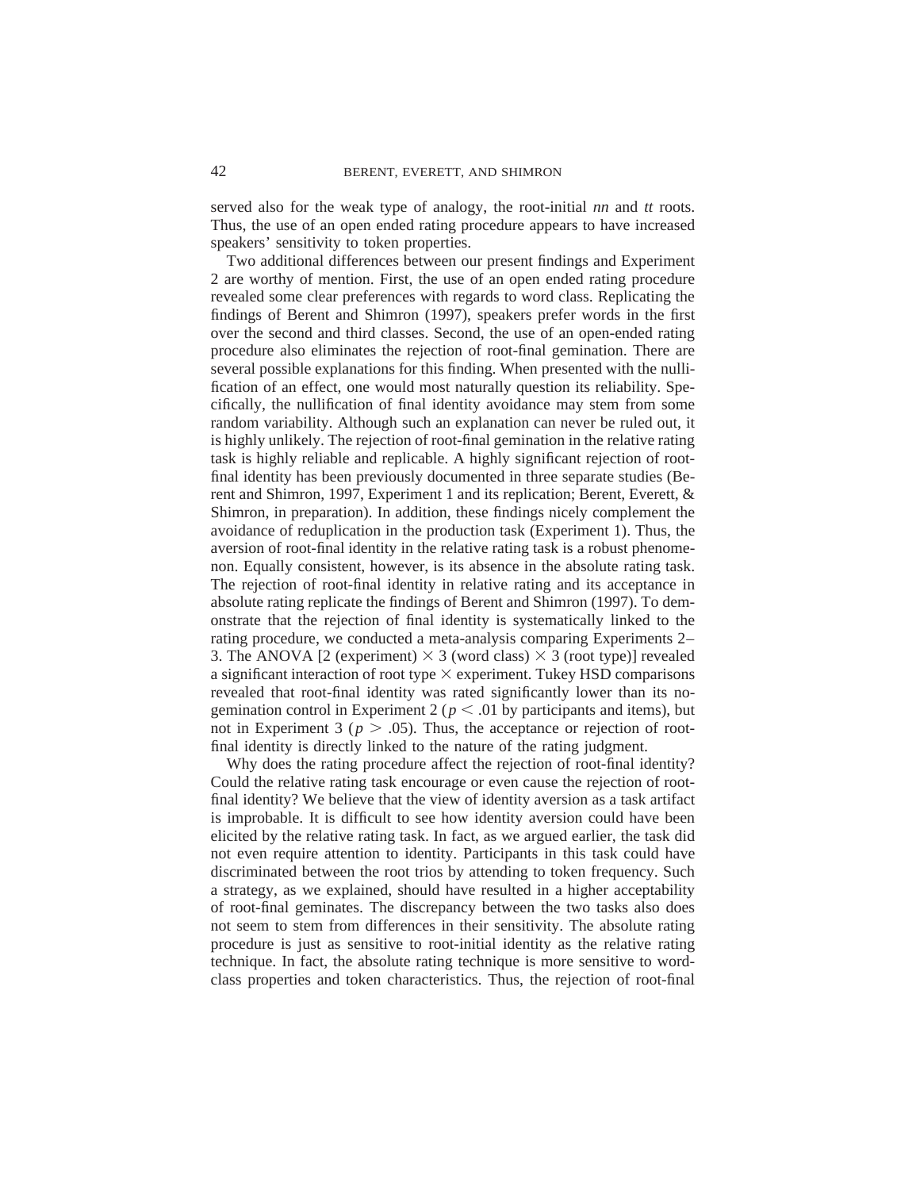served also for the weak type of analogy, the root-initial *nn* and *tt* roots. Thus, the use of an open ended rating procedure appears to have increased speakers' sensitivity to token properties.

Two additional differences between our present findings and Experiment 2 are worthy of mention. First, the use of an open ended rating procedure revealed some clear preferences with regards to word class. Replicating the findings of Berent and Shimron (1997), speakers prefer words in the first over the second and third classes. Second, the use of an open-ended rating procedure also eliminates the rejection of root-final gemination. There are several possible explanations for this finding. When presented with the nullification of an effect, one would most naturally question its reliability. Specifically, the nullification of final identity avoidance may stem from some random variability. Although such an explanation can never be ruled out, it is highly unlikely. The rejection of root-final gemination in the relative rating task is highly reliable and replicable. A highly significant rejection of rootfinal identity has been previously documented in three separate studies (Berent and Shimron, 1997, Experiment 1 and its replication; Berent, Everett, & Shimron, in preparation). In addition, these findings nicely complement the avoidance of reduplication in the production task (Experiment 1). Thus, the aversion of root-final identity in the relative rating task is a robust phenomenon. Equally consistent, however, is its absence in the absolute rating task. The rejection of root-final identity in relative rating and its acceptance in absolute rating replicate the findings of Berent and Shimron (1997). To demonstrate that the rejection of final identity is systematically linked to the rating procedure, we conducted a meta-analysis comparing Experiments 2– 3. The ANOVA [2 (experiment)  $\times$  3 (word class)  $\times$  3 (root type)] revealed a significant interaction of root type  $\times$  experiment. Tukey HSD comparisons revealed that root-final identity was rated significantly lower than its nogemination control in Experiment 2 ( $p < .01$  by participants and items), but not in Experiment 3 ( $p > .05$ ). Thus, the acceptance or rejection of rootfinal identity is directly linked to the nature of the rating judgment.

Why does the rating procedure affect the rejection of root-final identity? Could the relative rating task encourage or even cause the rejection of rootfinal identity? We believe that the view of identity aversion as a task artifact is improbable. It is difficult to see how identity aversion could have been elicited by the relative rating task. In fact, as we argued earlier, the task did not even require attention to identity. Participants in this task could have discriminated between the root trios by attending to token frequency. Such a strategy, as we explained, should have resulted in a higher acceptability of root-final geminates. The discrepancy between the two tasks also does not seem to stem from differences in their sensitivity. The absolute rating procedure is just as sensitive to root-initial identity as the relative rating technique. In fact, the absolute rating technique is more sensitive to wordclass properties and token characteristics. Thus, the rejection of root-final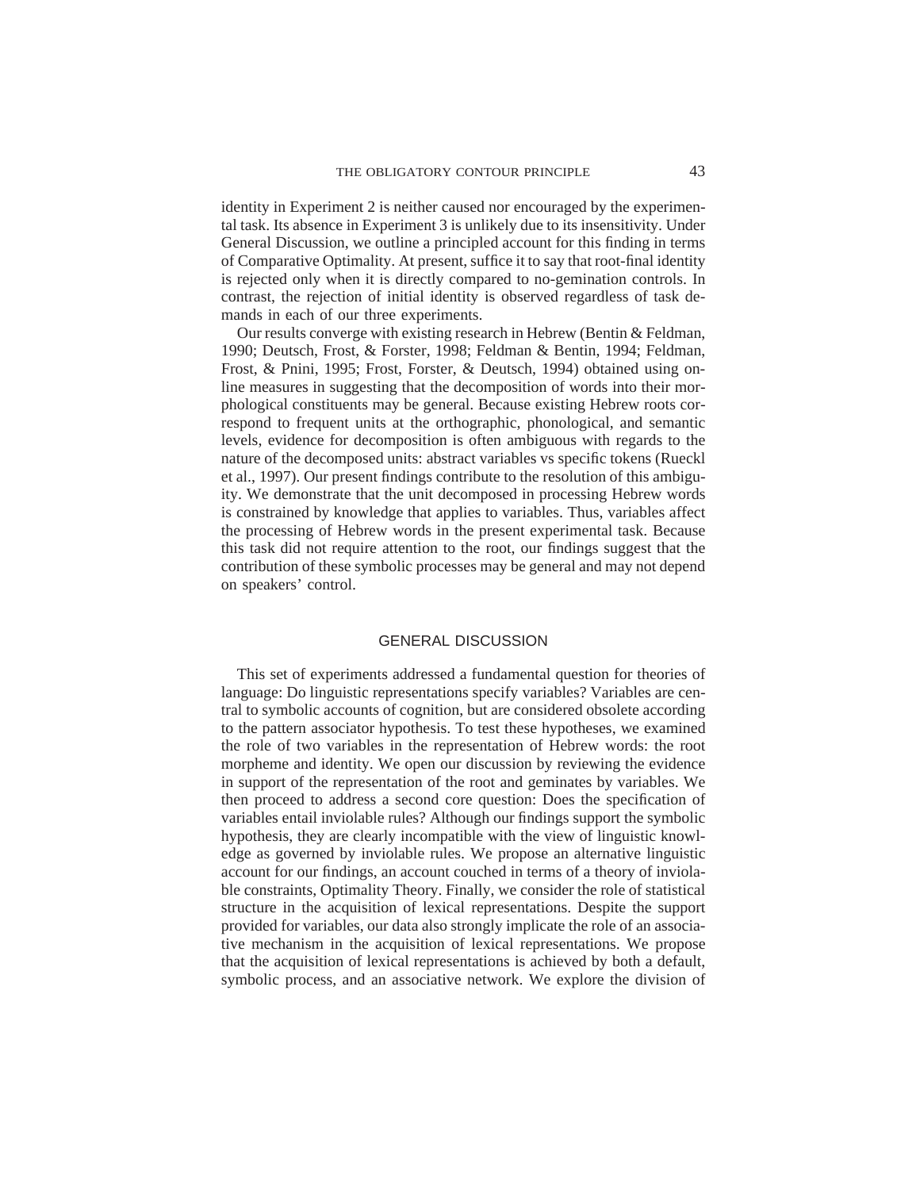identity in Experiment 2 is neither caused nor encouraged by the experimental task. Its absence in Experiment 3 is unlikely due to its insensitivity. Under General Discussion, we outline a principled account for this finding in terms of Comparative Optimality. At present, suffice it to say that root-final identity is rejected only when it is directly compared to no-gemination controls. In contrast, the rejection of initial identity is observed regardless of task demands in each of our three experiments.

Our results converge with existing research in Hebrew (Bentin & Feldman, 1990; Deutsch, Frost, & Forster, 1998; Feldman & Bentin, 1994; Feldman, Frost, & Pnini, 1995; Frost, Forster, & Deutsch, 1994) obtained using online measures in suggesting that the decomposition of words into their morphological constituents may be general. Because existing Hebrew roots correspond to frequent units at the orthographic, phonological, and semantic levels, evidence for decomposition is often ambiguous with regards to the nature of the decomposed units: abstract variables vs specific tokens (Rueckl et al., 1997). Our present findings contribute to the resolution of this ambiguity. We demonstrate that the unit decomposed in processing Hebrew words is constrained by knowledge that applies to variables. Thus, variables affect the processing of Hebrew words in the present experimental task. Because this task did not require attention to the root, our findings suggest that the contribution of these symbolic processes may be general and may not depend on speakers' control.

## GENERAL DISCUSSION

This set of experiments addressed a fundamental question for theories of language: Do linguistic representations specify variables? Variables are central to symbolic accounts of cognition, but are considered obsolete according to the pattern associator hypothesis. To test these hypotheses, we examined the role of two variables in the representation of Hebrew words: the root morpheme and identity. We open our discussion by reviewing the evidence in support of the representation of the root and geminates by variables. We then proceed to address a second core question: Does the specification of variables entail inviolable rules? Although our findings support the symbolic hypothesis, they are clearly incompatible with the view of linguistic knowledge as governed by inviolable rules. We propose an alternative linguistic account for our findings, an account couched in terms of a theory of inviolable constraints, Optimality Theory. Finally, we consider the role of statistical structure in the acquisition of lexical representations. Despite the support provided for variables, our data also strongly implicate the role of an associative mechanism in the acquisition of lexical representations. We propose that the acquisition of lexical representations is achieved by both a default, symbolic process, and an associative network. We explore the division of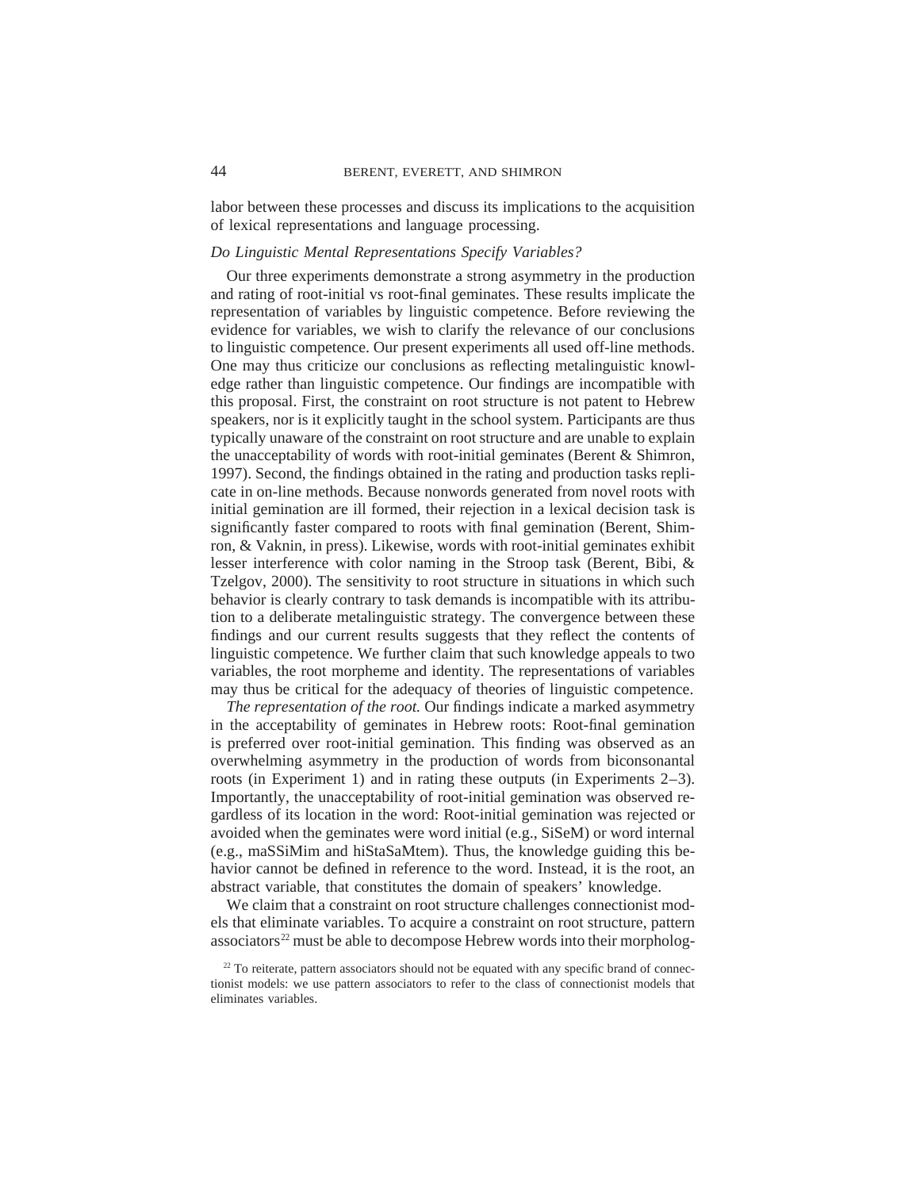labor between these processes and discuss its implications to the acquisition of lexical representations and language processing.

# *Do Linguistic Mental Representations Specify Variables?*

Our three experiments demonstrate a strong asymmetry in the production and rating of root-initial vs root-final geminates. These results implicate the representation of variables by linguistic competence. Before reviewing the evidence for variables, we wish to clarify the relevance of our conclusions to linguistic competence. Our present experiments all used off-line methods. One may thus criticize our conclusions as reflecting metalinguistic knowledge rather than linguistic competence. Our findings are incompatible with this proposal. First, the constraint on root structure is not patent to Hebrew speakers, nor is it explicitly taught in the school system. Participants are thus typically unaware of the constraint on root structure and are unable to explain the unacceptability of words with root-initial geminates (Berent & Shimron, 1997). Second, the findings obtained in the rating and production tasks replicate in on-line methods. Because nonwords generated from novel roots with initial gemination are ill formed, their rejection in a lexical decision task is significantly faster compared to roots with final gemination (Berent, Shimron, & Vaknin, in press). Likewise, words with root-initial geminates exhibit lesser interference with color naming in the Stroop task (Berent, Bibi, & Tzelgov, 2000). The sensitivity to root structure in situations in which such behavior is clearly contrary to task demands is incompatible with its attribution to a deliberate metalinguistic strategy. The convergence between these findings and our current results suggests that they reflect the contents of linguistic competence. We further claim that such knowledge appeals to two variables, the root morpheme and identity. The representations of variables may thus be critical for the adequacy of theories of linguistic competence.

*The representation of the root.* Our findings indicate a marked asymmetry in the acceptability of geminates in Hebrew roots: Root-final gemination is preferred over root-initial gemination. This finding was observed as an overwhelming asymmetry in the production of words from biconsonantal roots (in Experiment 1) and in rating these outputs (in Experiments 2–3). Importantly, the unacceptability of root-initial gemination was observed regardless of its location in the word: Root-initial gemination was rejected or avoided when the geminates were word initial (e.g., SiSeM) or word internal (e.g., maSSiMim and hiStaSaMtem). Thus, the knowledge guiding this behavior cannot be defined in reference to the word. Instead, it is the root, an abstract variable, that constitutes the domain of speakers' knowledge.

We claim that a constraint on root structure challenges connectionist models that eliminate variables. To acquire a constraint on root structure, pattern associators<sup>22</sup> must be able to decompose Hebrew words into their morpholog-

<sup>&</sup>lt;sup>22</sup> To reiterate, pattern associators should not be equated with any specific brand of connectionist models: we use pattern associators to refer to the class of connectionist models that eliminates variables.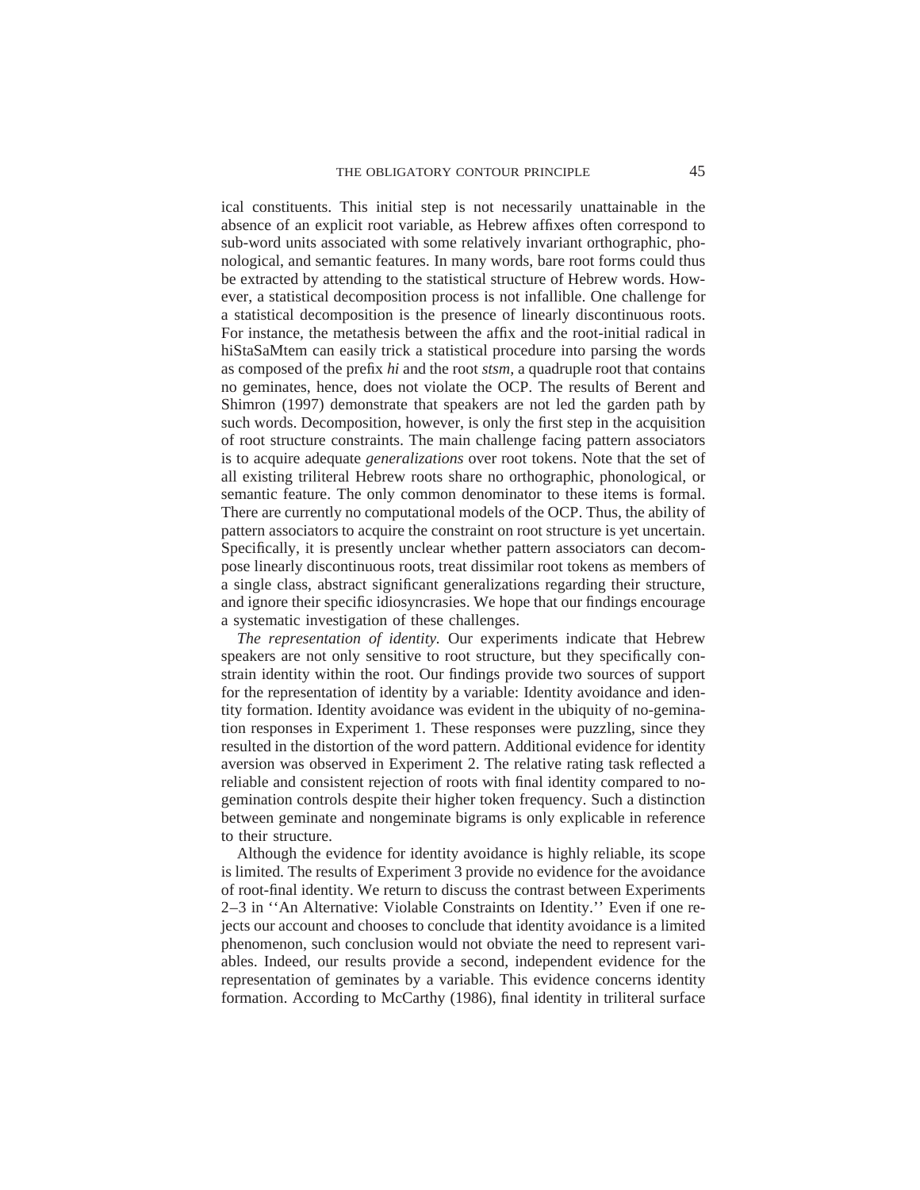ical constituents. This initial step is not necessarily unattainable in the absence of an explicit root variable, as Hebrew affixes often correspond to sub-word units associated with some relatively invariant orthographic, phonological, and semantic features. In many words, bare root forms could thus be extracted by attending to the statistical structure of Hebrew words. However, a statistical decomposition process is not infallible. One challenge for a statistical decomposition is the presence of linearly discontinuous roots. For instance, the metathesis between the affix and the root-initial radical in hiStaSaMtem can easily trick a statistical procedure into parsing the words as composed of the prefix *hi* and the root *stsm,* a quadruple root that contains no geminates, hence, does not violate the OCP. The results of Berent and Shimron (1997) demonstrate that speakers are not led the garden path by such words. Decomposition, however, is only the first step in the acquisition of root structure constraints. The main challenge facing pattern associators is to acquire adequate *generalizations* over root tokens. Note that the set of all existing triliteral Hebrew roots share no orthographic, phonological, or semantic feature. The only common denominator to these items is formal. There are currently no computational models of the OCP. Thus, the ability of pattern associators to acquire the constraint on root structure is yet uncertain. Specifically, it is presently unclear whether pattern associators can decompose linearly discontinuous roots, treat dissimilar root tokens as members of a single class, abstract significant generalizations regarding their structure, and ignore their specific idiosyncrasies. We hope that our findings encourage a systematic investigation of these challenges.

*The representation of identity.* Our experiments indicate that Hebrew speakers are not only sensitive to root structure, but they specifically constrain identity within the root. Our findings provide two sources of support for the representation of identity by a variable: Identity avoidance and identity formation. Identity avoidance was evident in the ubiquity of no-gemination responses in Experiment 1. These responses were puzzling, since they resulted in the distortion of the word pattern. Additional evidence for identity aversion was observed in Experiment 2. The relative rating task reflected a reliable and consistent rejection of roots with final identity compared to nogemination controls despite their higher token frequency. Such a distinction between geminate and nongeminate bigrams is only explicable in reference to their structure.

Although the evidence for identity avoidance is highly reliable, its scope is limited. The results of Experiment 3 provide no evidence for the avoidance of root-final identity. We return to discuss the contrast between Experiments 2–3 in ''An Alternative: Violable Constraints on Identity.'' Even if one rejects our account and chooses to conclude that identity avoidance is a limited phenomenon, such conclusion would not obviate the need to represent variables. Indeed, our results provide a second, independent evidence for the representation of geminates by a variable. This evidence concerns identity formation. According to McCarthy (1986), final identity in triliteral surface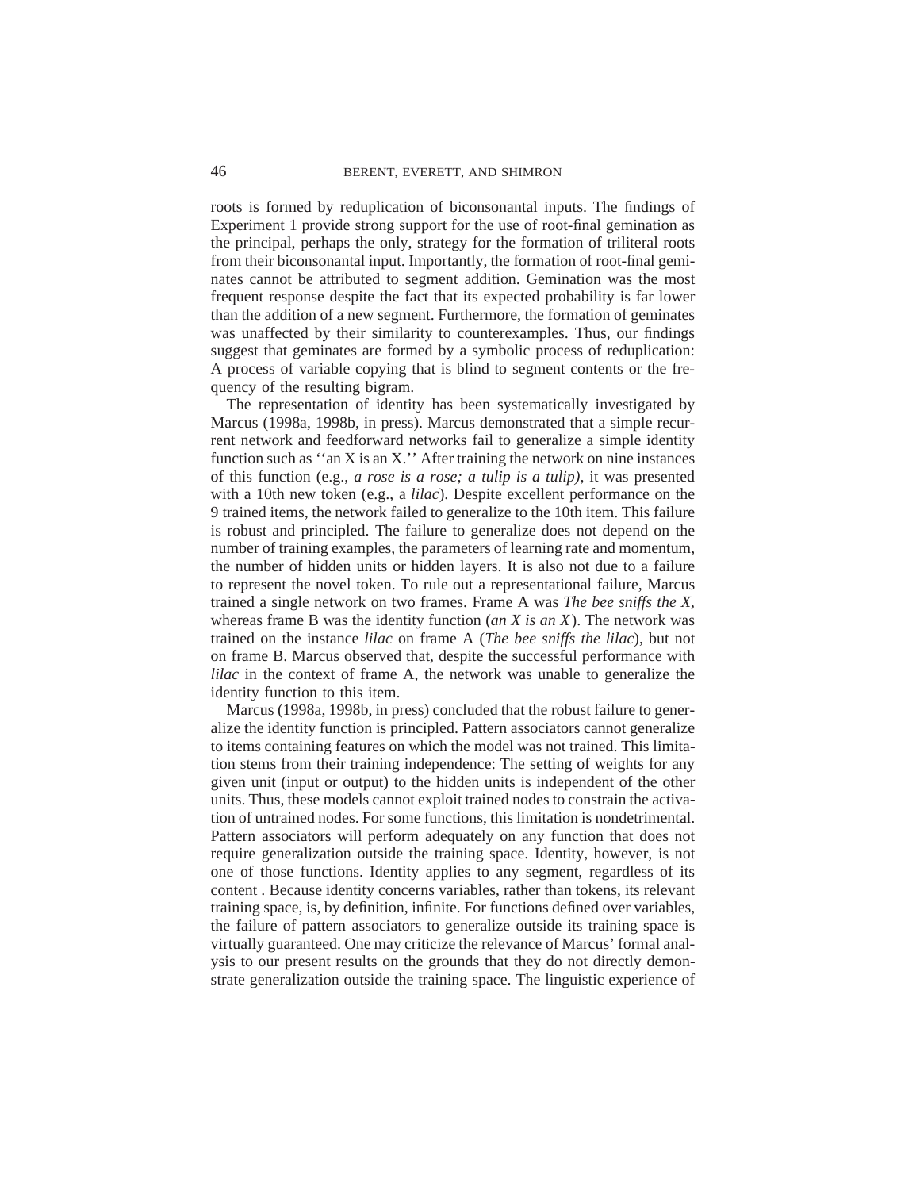roots is formed by reduplication of biconsonantal inputs. The findings of Experiment 1 provide strong support for the use of root-final gemination as the principal, perhaps the only, strategy for the formation of triliteral roots from their biconsonantal input. Importantly, the formation of root-final geminates cannot be attributed to segment addition. Gemination was the most frequent response despite the fact that its expected probability is far lower than the addition of a new segment. Furthermore, the formation of geminates was unaffected by their similarity to counterexamples. Thus, our findings suggest that geminates are formed by a symbolic process of reduplication: A process of variable copying that is blind to segment contents or the frequency of the resulting bigram.

The representation of identity has been systematically investigated by Marcus (1998a, 1998b, in press). Marcus demonstrated that a simple recurrent network and feedforward networks fail to generalize a simple identity function such as "an X is an X." After training the network on nine instances of this function (e.g., *a rose is a rose; a tulip is a tulip),* it was presented with a 10th new token (e.g., a *lilac*). Despite excellent performance on the 9 trained items, the network failed to generalize to the 10th item. This failure is robust and principled. The failure to generalize does not depend on the number of training examples, the parameters of learning rate and momentum, the number of hidden units or hidden layers. It is also not due to a failure to represent the novel token. To rule out a representational failure, Marcus trained a single network on two frames. Frame A was *The bee sniffs the X,* whereas frame B was the identity function (*an X is an X*). The network was trained on the instance *lilac* on frame A (*The bee sniffs the lilac*), but not on frame B. Marcus observed that, despite the successful performance with *lilac* in the context of frame A, the network was unable to generalize the identity function to this item.

Marcus (1998a, 1998b, in press) concluded that the robust failure to generalize the identity function is principled. Pattern associators cannot generalize to items containing features on which the model was not trained. This limitation stems from their training independence: The setting of weights for any given unit (input or output) to the hidden units is independent of the other units. Thus, these models cannot exploit trained nodes to constrain the activation of untrained nodes. For some functions, this limitation is nondetrimental. Pattern associators will perform adequately on any function that does not require generalization outside the training space. Identity, however, is not one of those functions. Identity applies to any segment, regardless of its content . Because identity concerns variables, rather than tokens, its relevant training space, is, by definition, infinite. For functions defined over variables, the failure of pattern associators to generalize outside its training space is virtually guaranteed. One may criticize the relevance of Marcus' formal analysis to our present results on the grounds that they do not directly demonstrate generalization outside the training space. The linguistic experience of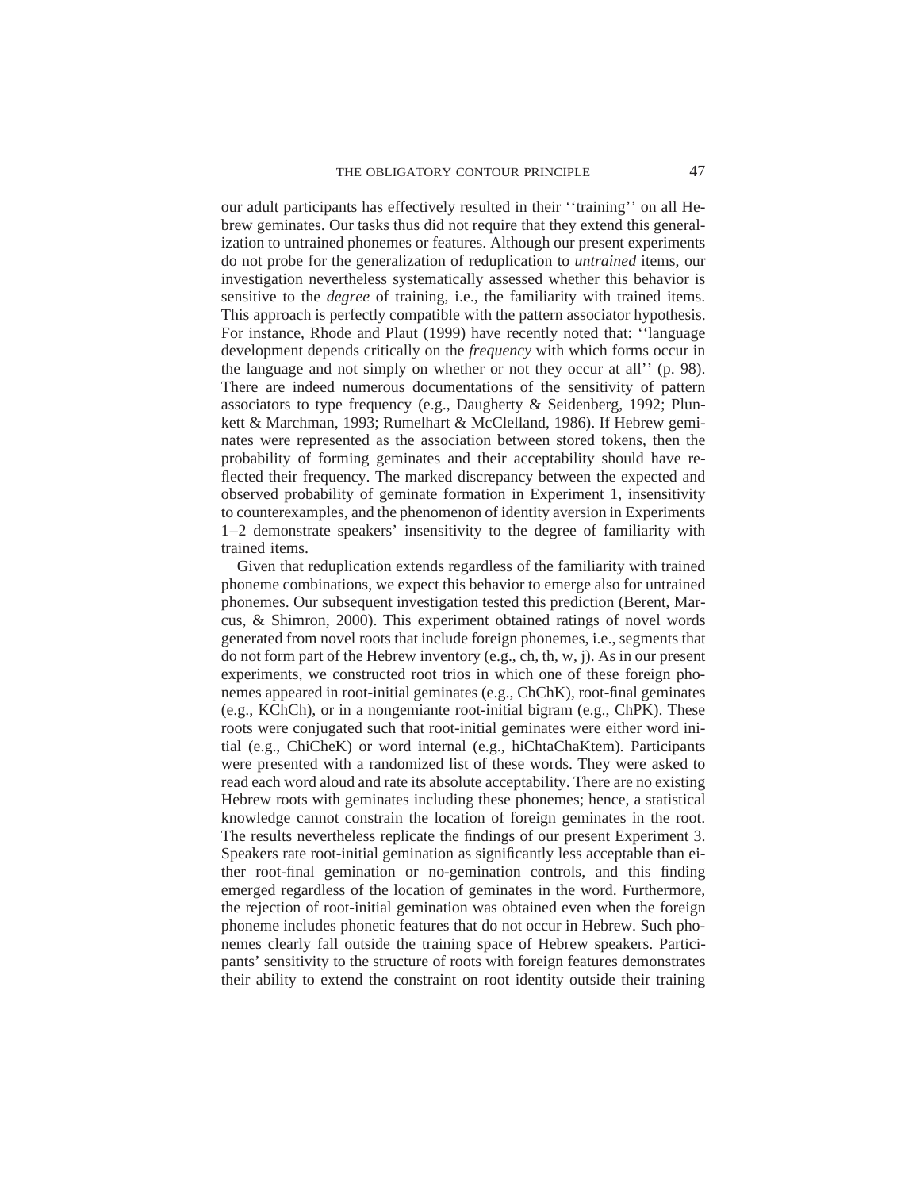our adult participants has effectively resulted in their ''training'' on all Hebrew geminates. Our tasks thus did not require that they extend this generalization to untrained phonemes or features. Although our present experiments do not probe for the generalization of reduplication to *untrained* items, our investigation nevertheless systematically assessed whether this behavior is sensitive to the *degree* of training, i.e., the familiarity with trained items. This approach is perfectly compatible with the pattern associator hypothesis. For instance, Rhode and Plaut (1999) have recently noted that: "language development depends critically on the *frequency* with which forms occur in the language and not simply on whether or not they occur at all'' (p. 98). There are indeed numerous documentations of the sensitivity of pattern associators to type frequency (e.g., Daugherty & Seidenberg, 1992; Plunkett & Marchman, 1993; Rumelhart & McClelland, 1986). If Hebrew geminates were represented as the association between stored tokens, then the probability of forming geminates and their acceptability should have reflected their frequency. The marked discrepancy between the expected and observed probability of geminate formation in Experiment 1, insensitivity to counterexamples, and the phenomenon of identity aversion in Experiments 1–2 demonstrate speakers' insensitivity to the degree of familiarity with trained items.

Given that reduplication extends regardless of the familiarity with trained phoneme combinations, we expect this behavior to emerge also for untrained phonemes. Our subsequent investigation tested this prediction (Berent, Marcus, & Shimron, 2000). This experiment obtained ratings of novel words generated from novel roots that include foreign phonemes, i.e., segments that do not form part of the Hebrew inventory (e.g., ch, th, w, j). As in our present experiments, we constructed root trios in which one of these foreign phonemes appeared in root-initial geminates (e.g., ChChK), root-final geminates (e.g., KChCh), or in a nongemiante root-initial bigram (e.g., ChPK). These roots were conjugated such that root-initial geminates were either word initial (e.g., ChiCheK) or word internal (e.g., hiChtaChaKtem). Participants were presented with a randomized list of these words. They were asked to read each word aloud and rate its absolute acceptability. There are no existing Hebrew roots with geminates including these phonemes; hence, a statistical knowledge cannot constrain the location of foreign geminates in the root. The results nevertheless replicate the findings of our present Experiment 3. Speakers rate root-initial gemination as significantly less acceptable than either root-final gemination or no-gemination controls, and this finding emerged regardless of the location of geminates in the word. Furthermore, the rejection of root-initial gemination was obtained even when the foreign phoneme includes phonetic features that do not occur in Hebrew. Such phonemes clearly fall outside the training space of Hebrew speakers. Participants' sensitivity to the structure of roots with foreign features demonstrates their ability to extend the constraint on root identity outside their training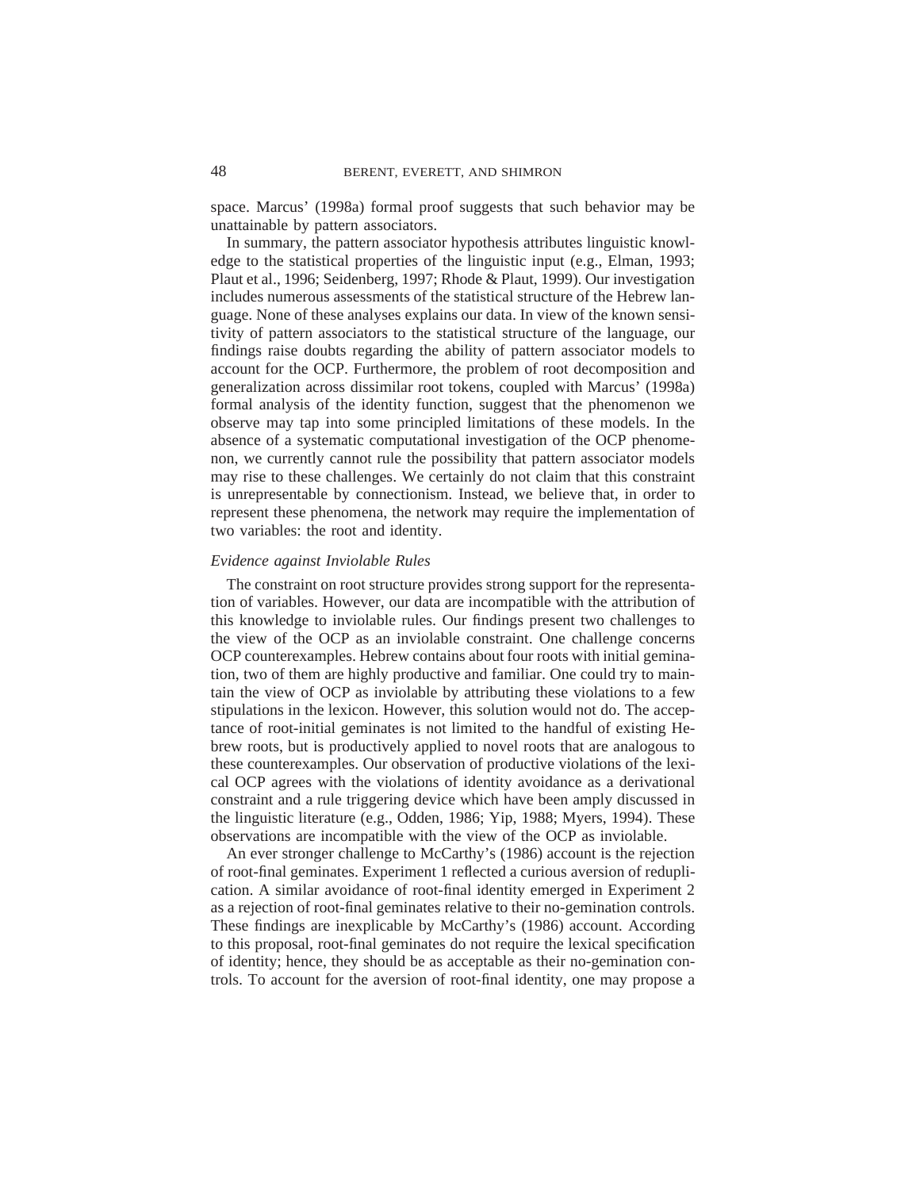space. Marcus' (1998a) formal proof suggests that such behavior may be unattainable by pattern associators.

In summary, the pattern associator hypothesis attributes linguistic knowledge to the statistical properties of the linguistic input (e.g., Elman, 1993; Plaut et al., 1996; Seidenberg, 1997; Rhode & Plaut, 1999). Our investigation includes numerous assessments of the statistical structure of the Hebrew language. None of these analyses explains our data. In view of the known sensitivity of pattern associators to the statistical structure of the language, our findings raise doubts regarding the ability of pattern associator models to account for the OCP. Furthermore, the problem of root decomposition and generalization across dissimilar root tokens, coupled with Marcus' (1998a) formal analysis of the identity function, suggest that the phenomenon we observe may tap into some principled limitations of these models. In the absence of a systematic computational investigation of the OCP phenomenon, we currently cannot rule the possibility that pattern associator models may rise to these challenges. We certainly do not claim that this constraint is unrepresentable by connectionism. Instead, we believe that, in order to represent these phenomena, the network may require the implementation of two variables: the root and identity.

# *Evidence against Inviolable Rules*

The constraint on root structure provides strong support for the representation of variables. However, our data are incompatible with the attribution of this knowledge to inviolable rules. Our findings present two challenges to the view of the OCP as an inviolable constraint. One challenge concerns OCP counterexamples. Hebrew contains about four roots with initial gemination, two of them are highly productive and familiar. One could try to maintain the view of OCP as inviolable by attributing these violations to a few stipulations in the lexicon. However, this solution would not do. The acceptance of root-initial geminates is not limited to the handful of existing Hebrew roots, but is productively applied to novel roots that are analogous to these counterexamples. Our observation of productive violations of the lexical OCP agrees with the violations of identity avoidance as a derivational constraint and a rule triggering device which have been amply discussed in the linguistic literature (e.g., Odden, 1986; Yip, 1988; Myers, 1994). These observations are incompatible with the view of the OCP as inviolable.

An ever stronger challenge to McCarthy's (1986) account is the rejection of root-final geminates. Experiment 1 reflected a curious aversion of reduplication. A similar avoidance of root-final identity emerged in Experiment 2 as a rejection of root-final geminates relative to their no-gemination controls. These findings are inexplicable by McCarthy's (1986) account. According to this proposal, root-final geminates do not require the lexical specification of identity; hence, they should be as acceptable as their no-gemination controls. To account for the aversion of root-final identity, one may propose a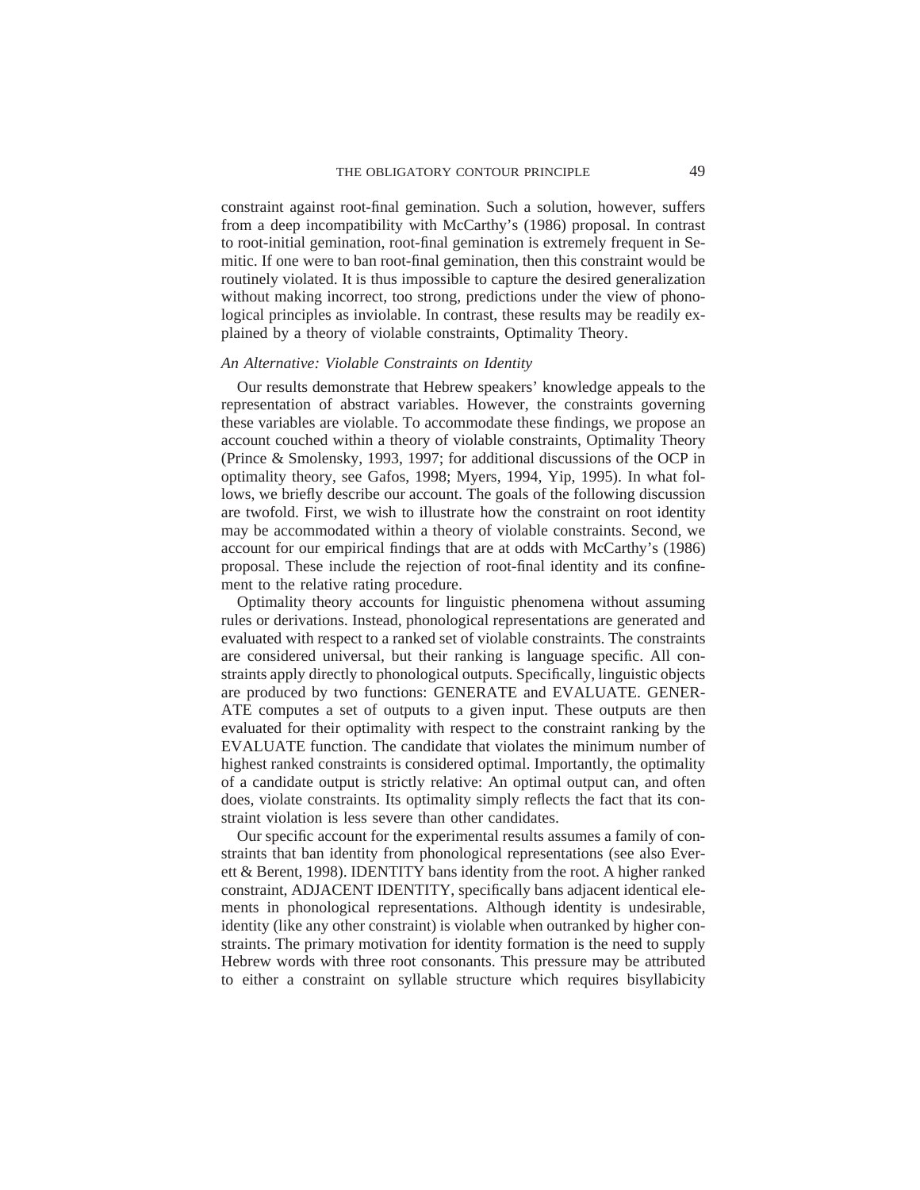constraint against root-final gemination. Such a solution, however, suffers from a deep incompatibility with McCarthy's (1986) proposal. In contrast to root-initial gemination, root-final gemination is extremely frequent in Semitic. If one were to ban root-final gemination, then this constraint would be routinely violated. It is thus impossible to capture the desired generalization without making incorrect, too strong, predictions under the view of phonological principles as inviolable. In contrast, these results may be readily explained by a theory of violable constraints, Optimality Theory.

# *An Alternative: Violable Constraints on Identity*

Our results demonstrate that Hebrew speakers' knowledge appeals to the representation of abstract variables. However, the constraints governing these variables are violable. To accommodate these findings, we propose an account couched within a theory of violable constraints, Optimality Theory (Prince & Smolensky, 1993, 1997; for additional discussions of the OCP in optimality theory, see Gafos, 1998; Myers, 1994, Yip, 1995). In what follows, we briefly describe our account. The goals of the following discussion are twofold. First, we wish to illustrate how the constraint on root identity may be accommodated within a theory of violable constraints. Second, we account for our empirical findings that are at odds with McCarthy's (1986) proposal. These include the rejection of root-final identity and its confinement to the relative rating procedure.

Optimality theory accounts for linguistic phenomena without assuming rules or derivations. Instead, phonological representations are generated and evaluated with respect to a ranked set of violable constraints. The constraints are considered universal, but their ranking is language specific. All constraints apply directly to phonological outputs. Specifically, linguistic objects are produced by two functions: GENERATE and EVALUATE. GENER-ATE computes a set of outputs to a given input. These outputs are then evaluated for their optimality with respect to the constraint ranking by the EVALUATE function. The candidate that violates the minimum number of highest ranked constraints is considered optimal. Importantly, the optimality of a candidate output is strictly relative: An optimal output can, and often does, violate constraints. Its optimality simply reflects the fact that its constraint violation is less severe than other candidates.

Our specific account for the experimental results assumes a family of constraints that ban identity from phonological representations (see also Everett & Berent, 1998). IDENTITY bans identity from the root. A higher ranked constraint, ADJACENT IDENTITY, specifically bans adjacent identical elements in phonological representations. Although identity is undesirable, identity (like any other constraint) is violable when outranked by higher constraints. The primary motivation for identity formation is the need to supply Hebrew words with three root consonants. This pressure may be attributed to either a constraint on syllable structure which requires bisyllabicity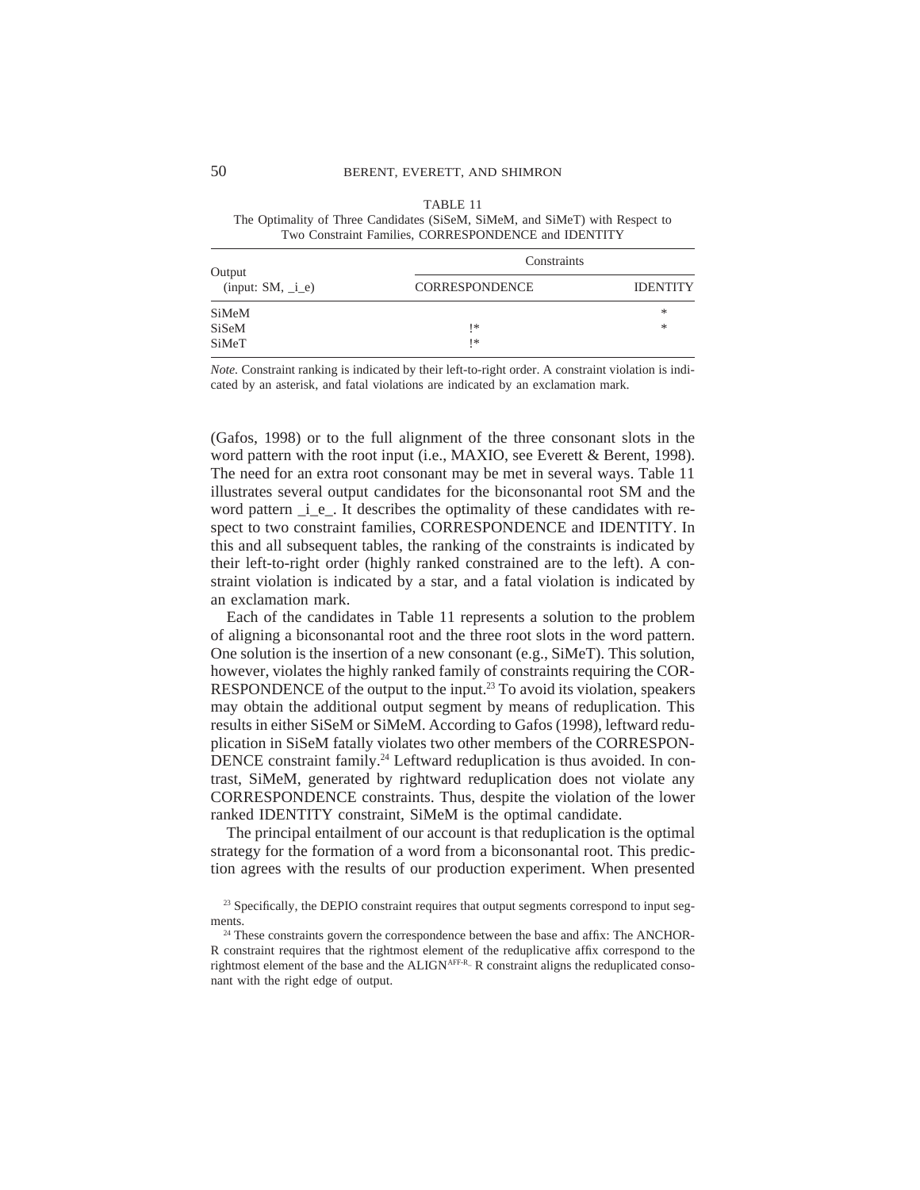### 50 BERENT, EVERETT, AND SHIMRON

| ш |  |
|---|--|
|---|--|

The Optimality of Three Candidates (SiSeM, SiMeM, and SiMeT) with Respect to Two Constraint Families, CORRESPONDENCE and IDENTITY

| Output               | Constraints           |                 |
|----------------------|-----------------------|-----------------|
| $(input: SM, \_i_e)$ | <b>CORRESPONDENCE</b> | <b>IDENTITY</b> |
| SiMeM                |                       | *               |
| SiSeM                | *                     | $\ast$          |
| SiMeT                | *                     |                 |

*Note.* Constraint ranking is indicated by their left-to-right order. A constraint violation is indicated by an asterisk, and fatal violations are indicated by an exclamation mark.

(Gafos, 1998) or to the full alignment of the three consonant slots in the word pattern with the root input (i.e., MAXIO, see Everett & Berent, 1998). The need for an extra root consonant may be met in several ways. Table 11 illustrates several output candidates for the biconsonantal root SM and the word pattern \_i\_e\_. It describes the optimality of these candidates with respect to two constraint families, CORRESPONDENCE and IDENTITY. In this and all subsequent tables, the ranking of the constraints is indicated by their left-to-right order (highly ranked constrained are to the left). A constraint violation is indicated by a star, and a fatal violation is indicated by an exclamation mark.

Each of the candidates in Table 11 represents a solution to the problem of aligning a biconsonantal root and the three root slots in the word pattern. One solution is the insertion of a new consonant (e.g., SiMeT). This solution, however, violates the highly ranked family of constraints requiring the COR-RESPONDENCE of the output to the input.<sup>23</sup> To avoid its violation, speakers may obtain the additional output segment by means of reduplication. This results in either SiSeM or SiMeM. According to Gafos (1998), leftward reduplication in SiSeM fatally violates two other members of the CORRESPON-DENCE constraint family.<sup>24</sup> Leftward reduplication is thus avoided. In contrast, SiMeM, generated by rightward reduplication does not violate any CORRESPONDENCE constraints. Thus, despite the violation of the lower ranked IDENTITY constraint, SiMeM is the optimal candidate.

The principal entailment of our account is that reduplication is the optimal strategy for the formation of a word from a biconsonantal root. This prediction agrees with the results of our production experiment. When presented

<sup>23</sup> Specifically, the DEPIO constraint requires that output segments correspond to input segments.

 $24$  These constraints govern the correspondence between the base and affix: The ANCHOR-R constraint requires that the rightmost element of the reduplicative affix correspond to the rightmost element of the base and the ALIGNAFF-R\_ R constraint aligns the reduplicated consonant with the right edge of output.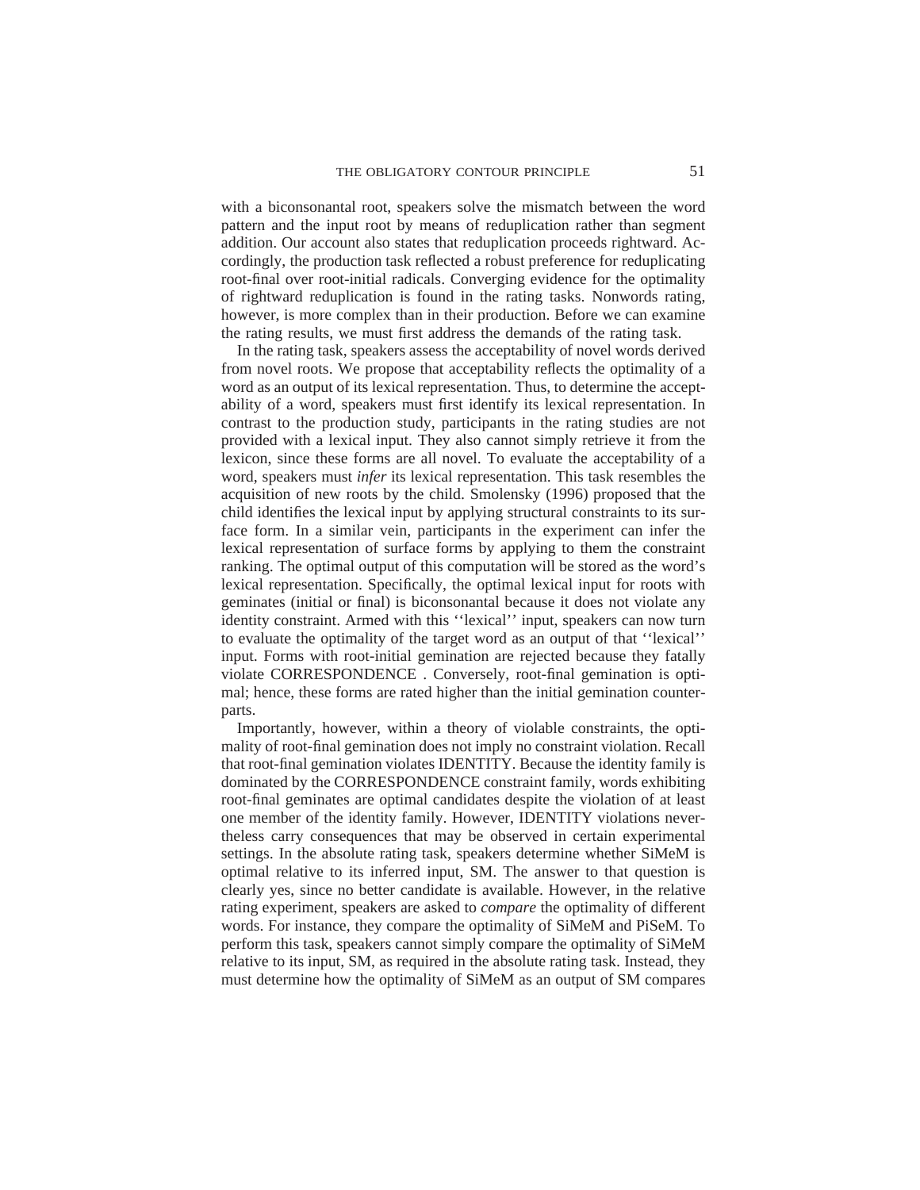with a biconsonantal root, speakers solve the mismatch between the word pattern and the input root by means of reduplication rather than segment addition. Our account also states that reduplication proceeds rightward. Accordingly, the production task reflected a robust preference for reduplicating root-final over root-initial radicals. Converging evidence for the optimality of rightward reduplication is found in the rating tasks. Nonwords rating, however, is more complex than in their production. Before we can examine the rating results, we must first address the demands of the rating task.

In the rating task, speakers assess the acceptability of novel words derived from novel roots. We propose that acceptability reflects the optimality of a word as an output of its lexical representation. Thus, to determine the acceptability of a word, speakers must first identify its lexical representation. In contrast to the production study, participants in the rating studies are not provided with a lexical input. They also cannot simply retrieve it from the lexicon, since these forms are all novel. To evaluate the acceptability of a word, speakers must *infer* its lexical representation. This task resembles the acquisition of new roots by the child. Smolensky (1996) proposed that the child identifies the lexical input by applying structural constraints to its surface form. In a similar vein, participants in the experiment can infer the lexical representation of surface forms by applying to them the constraint ranking. The optimal output of this computation will be stored as the word's lexical representation. Specifically, the optimal lexical input for roots with geminates (initial or final) is biconsonantal because it does not violate any identity constraint. Armed with this ''lexical'' input, speakers can now turn to evaluate the optimality of the target word as an output of that ''lexical'' input. Forms with root-initial gemination are rejected because they fatally violate CORRESPONDENCE . Conversely, root-final gemination is optimal; hence, these forms are rated higher than the initial gemination counterparts.

Importantly, however, within a theory of violable constraints, the optimality of root-final gemination does not imply no constraint violation. Recall that root-final gemination violates IDENTITY. Because the identity family is dominated by the CORRESPONDENCE constraint family, words exhibiting root-final geminates are optimal candidates despite the violation of at least one member of the identity family. However, IDENTITY violations nevertheless carry consequences that may be observed in certain experimental settings. In the absolute rating task, speakers determine whether SiMeM is optimal relative to its inferred input, SM. The answer to that question is clearly yes, since no better candidate is available. However, in the relative rating experiment, speakers are asked to *compare* the optimality of different words. For instance, they compare the optimality of SiMeM and PiSeM. To perform this task, speakers cannot simply compare the optimality of SiMeM relative to its input, SM, as required in the absolute rating task. Instead, they must determine how the optimality of SiMeM as an output of SM compares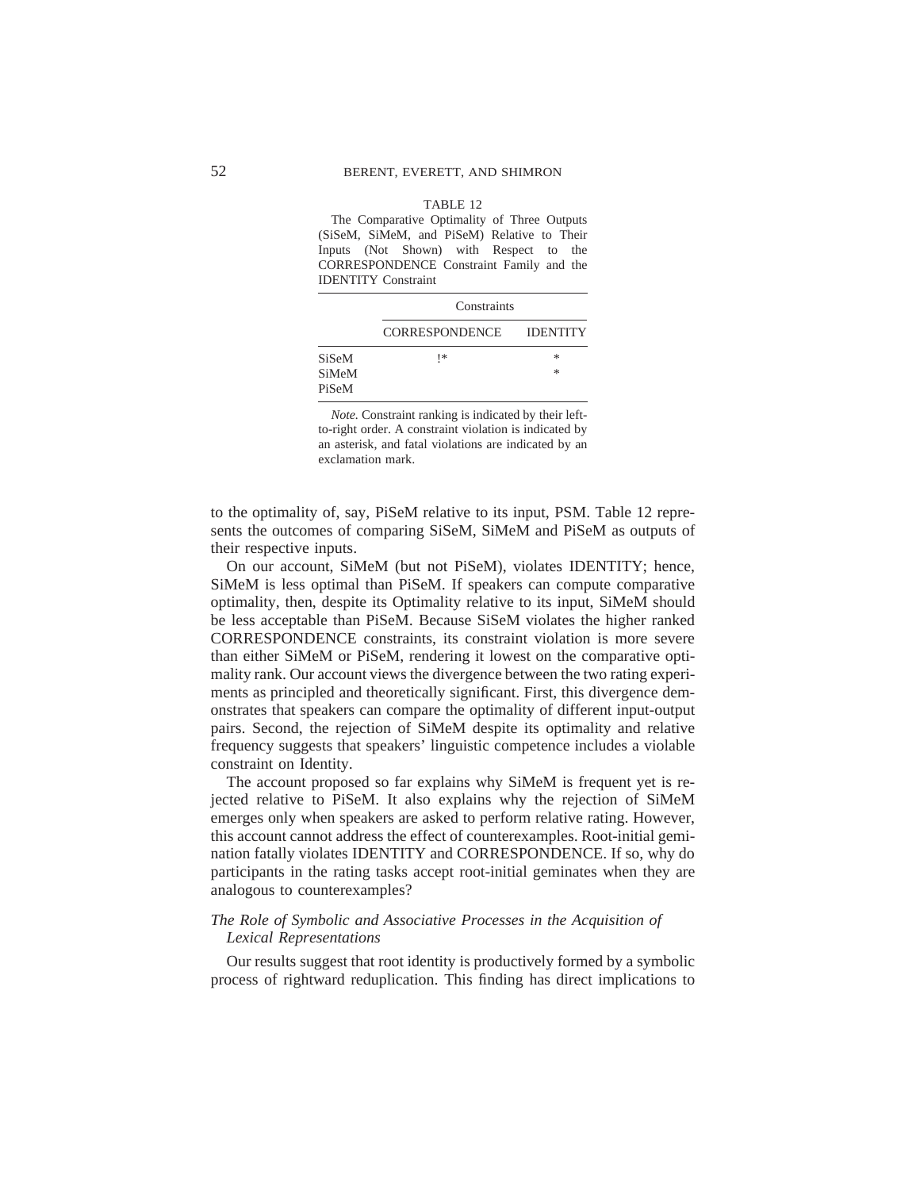#### TABLE 12

The Comparative Optimality of Three Outputs (SiSeM, SiMeM, and PiSeM) Relative to Their Inputs (Not Shown) with Respect to the CORRESPONDENCE Constraint Family and the IDENTITY Constraint

|                       | Constraints           |                 |  |
|-----------------------|-----------------------|-----------------|--|
|                       | <b>CORRESPONDENCE</b> | <b>IDENTITY</b> |  |
| <b>SiSeM</b>          | 1*                    | $\ast$          |  |
| <b>SiMeM</b><br>PiSeM |                       | $\ast$          |  |

*Note.* Constraint ranking is indicated by their leftto-right order. A constraint violation is indicated by an asterisk, and fatal violations are indicated by an exclamation mark.

to the optimality of, say, PiSeM relative to its input, PSM. Table 12 represents the outcomes of comparing SiSeM, SiMeM and PiSeM as outputs of their respective inputs.

On our account, SiMeM (but not PiSeM), violates IDENTITY; hence, SiMeM is less optimal than PiSeM. If speakers can compute comparative optimality, then, despite its Optimality relative to its input, SiMeM should be less acceptable than PiSeM. Because SiSeM violates the higher ranked CORRESPONDENCE constraints, its constraint violation is more severe than either SiMeM or PiSeM, rendering it lowest on the comparative optimality rank. Our account views the divergence between the two rating experiments as principled and theoretically significant. First, this divergence demonstrates that speakers can compare the optimality of different input-output pairs. Second, the rejection of SiMeM despite its optimality and relative frequency suggests that speakers' linguistic competence includes a violable constraint on Identity.

The account proposed so far explains why SiMeM is frequent yet is rejected relative to PiSeM. It also explains why the rejection of SiMeM emerges only when speakers are asked to perform relative rating. However, this account cannot address the effect of counterexamples. Root-initial gemination fatally violates IDENTITY and CORRESPONDENCE. If so, why do participants in the rating tasks accept root-initial geminates when they are analogous to counterexamples?

# *The Role of Symbolic and Associative Processes in the Acquisition of Lexical Representations*

Our results suggest that root identity is productively formed by a symbolic process of rightward reduplication. This finding has direct implications to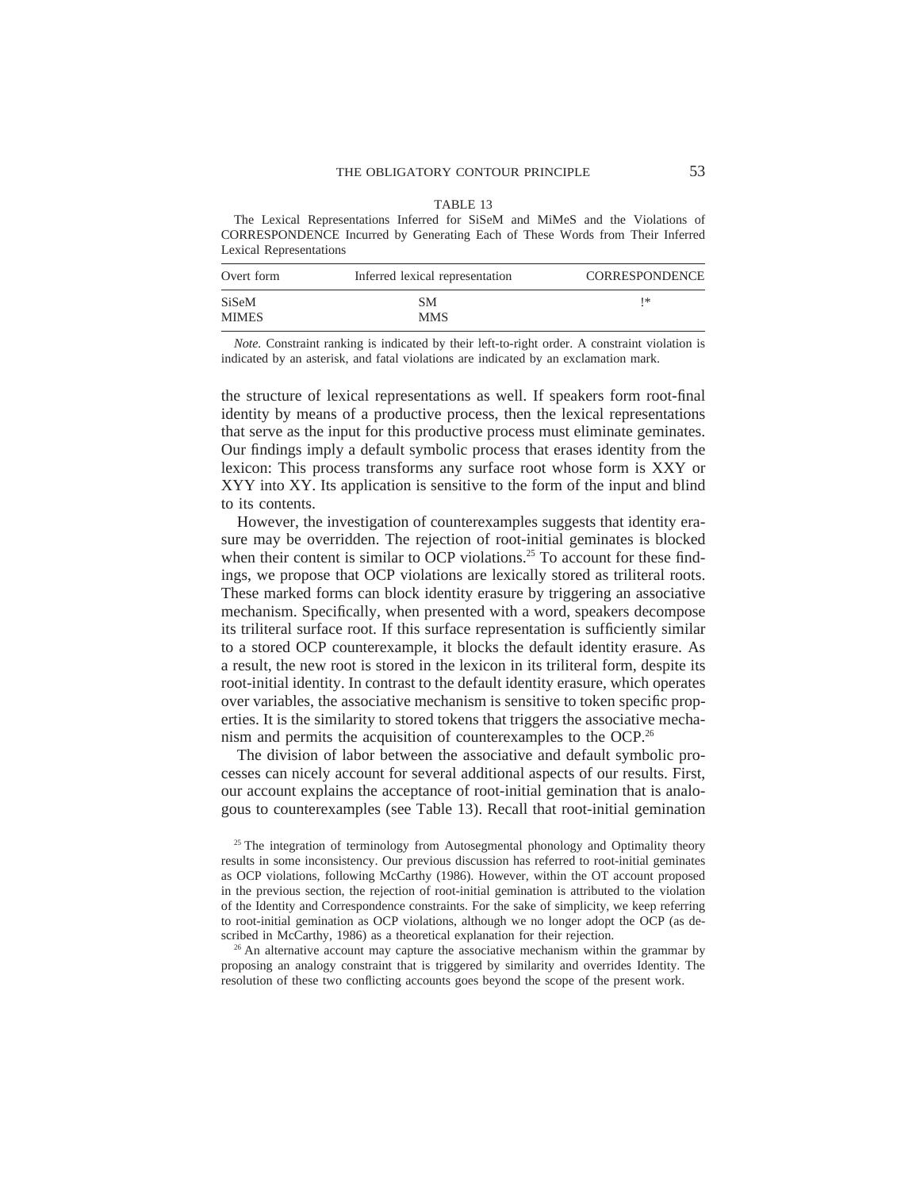#### TABLE 13

| LUAIUAI RUPIUSUHAHUIIS |                                 |                |  |
|------------------------|---------------------------------|----------------|--|
| Overt form             | Inferred lexical representation | CORRESPONDENCE |  |
| SiSeM<br><b>MIMES</b>  | SМ<br><b>MMS</b>                | 1*             |  |

The Lexical Representations Inferred for SiSeM and MiMeS and the Violations of CORRESPONDENCE Incurred by Generating Each of These Words from Their Inferred Lexical Representations

*Note.* Constraint ranking is indicated by their left-to-right order. A constraint violation is indicated by an asterisk, and fatal violations are indicated by an exclamation mark.

the structure of lexical representations as well. If speakers form root-final identity by means of a productive process, then the lexical representations that serve as the input for this productive process must eliminate geminates. Our findings imply a default symbolic process that erases identity from the lexicon: This process transforms any surface root whose form is XXY or XYY into XY. Its application is sensitive to the form of the input and blind to its contents.

However, the investigation of counterexamples suggests that identity erasure may be overridden. The rejection of root-initial geminates is blocked when their content is similar to OCP violations.<sup>25</sup> To account for these findings, we propose that OCP violations are lexically stored as triliteral roots. These marked forms can block identity erasure by triggering an associative mechanism. Specifically, when presented with a word, speakers decompose its triliteral surface root. If this surface representation is sufficiently similar to a stored OCP counterexample, it blocks the default identity erasure. As a result, the new root is stored in the lexicon in its triliteral form, despite its root-initial identity. In contrast to the default identity erasure, which operates over variables, the associative mechanism is sensitive to token specific properties. It is the similarity to stored tokens that triggers the associative mechanism and permits the acquisition of counterexamples to the OCP.26

The division of labor between the associative and default symbolic processes can nicely account for several additional aspects of our results. First, our account explains the acceptance of root-initial gemination that is analogous to counterexamples (see Table 13). Recall that root-initial gemination

<sup>25</sup> The integration of terminology from Autosegmental phonology and Optimality theory results in some inconsistency. Our previous discussion has referred to root-initial geminates as OCP violations, following McCarthy (1986). However, within the OT account proposed in the previous section, the rejection of root-initial gemination is attributed to the violation of the Identity and Correspondence constraints. For the sake of simplicity, we keep referring to root-initial gemination as OCP violations, although we no longer adopt the OCP (as described in McCarthy, 1986) as a theoretical explanation for their rejection.

 $26$  An alternative account may capture the associative mechanism within the grammar by proposing an analogy constraint that is triggered by similarity and overrides Identity. The resolution of these two conflicting accounts goes beyond the scope of the present work.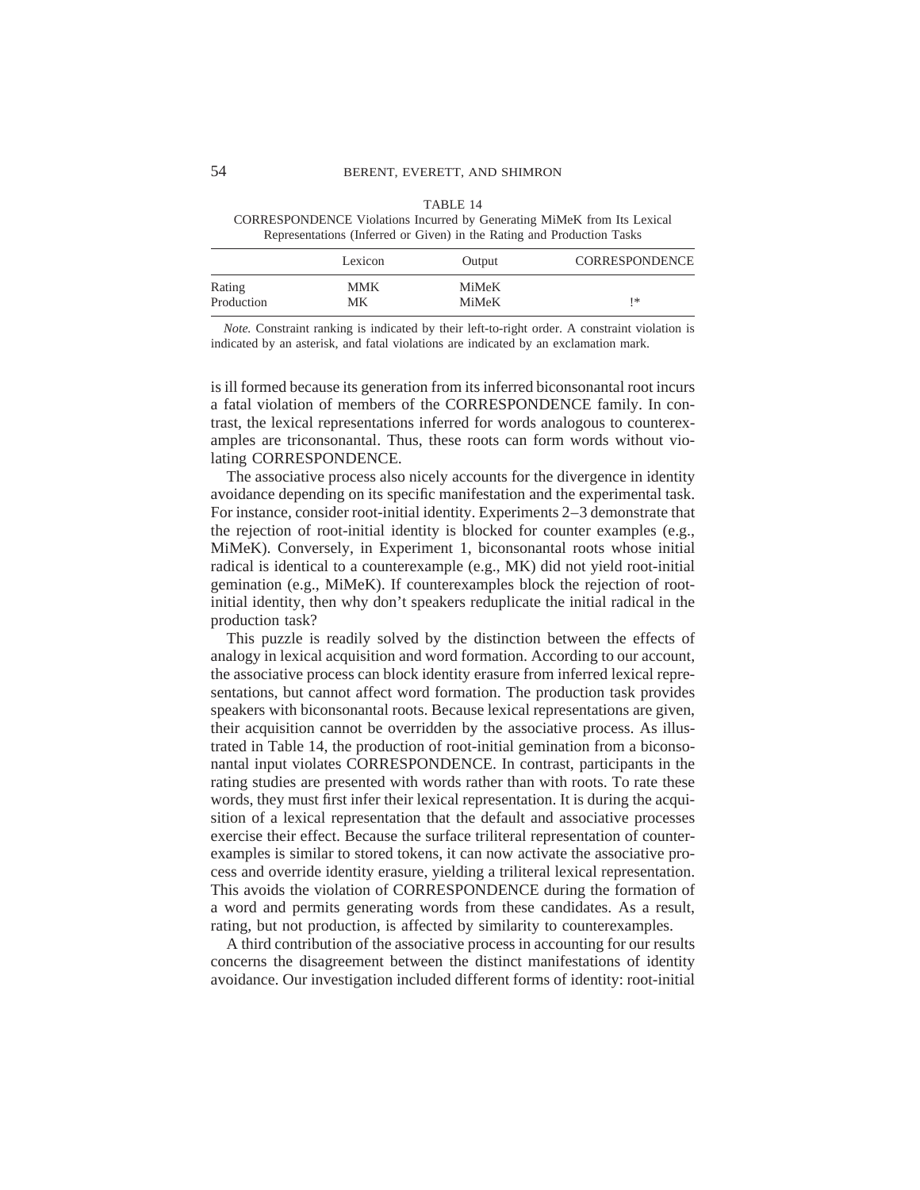#### TABLE 14

| CORRESPONDENCE Violations Incurred by Generating MiMeK from Its Lexical |  |
|-------------------------------------------------------------------------|--|
| Representations (Inferred or Given) in the Rating and Production Tasks  |  |

|            | Lexicon | Output | <b>CORRESPONDENCE</b> |
|------------|---------|--------|-----------------------|
| Rating     | MMK     | MiMeK  |                       |
| Production | MК      | MiMeK  | 1*                    |

*Note.* Constraint ranking is indicated by their left-to-right order. A constraint violation is indicated by an asterisk, and fatal violations are indicated by an exclamation mark.

is ill formed because its generation from its inferred biconsonantal root incurs a fatal violation of members of the CORRESPONDENCE family. In contrast, the lexical representations inferred for words analogous to counterexamples are triconsonantal. Thus, these roots can form words without violating CORRESPONDENCE.

The associative process also nicely accounts for the divergence in identity avoidance depending on its specific manifestation and the experimental task. For instance, consider root-initial identity. Experiments 2–3 demonstrate that the rejection of root-initial identity is blocked for counter examples (e.g., MiMeK). Conversely, in Experiment 1, biconsonantal roots whose initial radical is identical to a counterexample (e.g., MK) did not yield root-initial gemination (e.g., MiMeK). If counterexamples block the rejection of rootinitial identity, then why don't speakers reduplicate the initial radical in the production task?

This puzzle is readily solved by the distinction between the effects of analogy in lexical acquisition and word formation. According to our account, the associative process can block identity erasure from inferred lexical representations, but cannot affect word formation. The production task provides speakers with biconsonantal roots. Because lexical representations are given, their acquisition cannot be overridden by the associative process. As illustrated in Table 14, the production of root-initial gemination from a biconsonantal input violates CORRESPONDENCE. In contrast, participants in the rating studies are presented with words rather than with roots. To rate these words, they must first infer their lexical representation. It is during the acquisition of a lexical representation that the default and associative processes exercise their effect. Because the surface triliteral representation of counterexamples is similar to stored tokens, it can now activate the associative process and override identity erasure, yielding a triliteral lexical representation. This avoids the violation of CORRESPONDENCE during the formation of a word and permits generating words from these candidates. As a result, rating, but not production, is affected by similarity to counterexamples.

A third contribution of the associative process in accounting for our results concerns the disagreement between the distinct manifestations of identity avoidance. Our investigation included different forms of identity: root-initial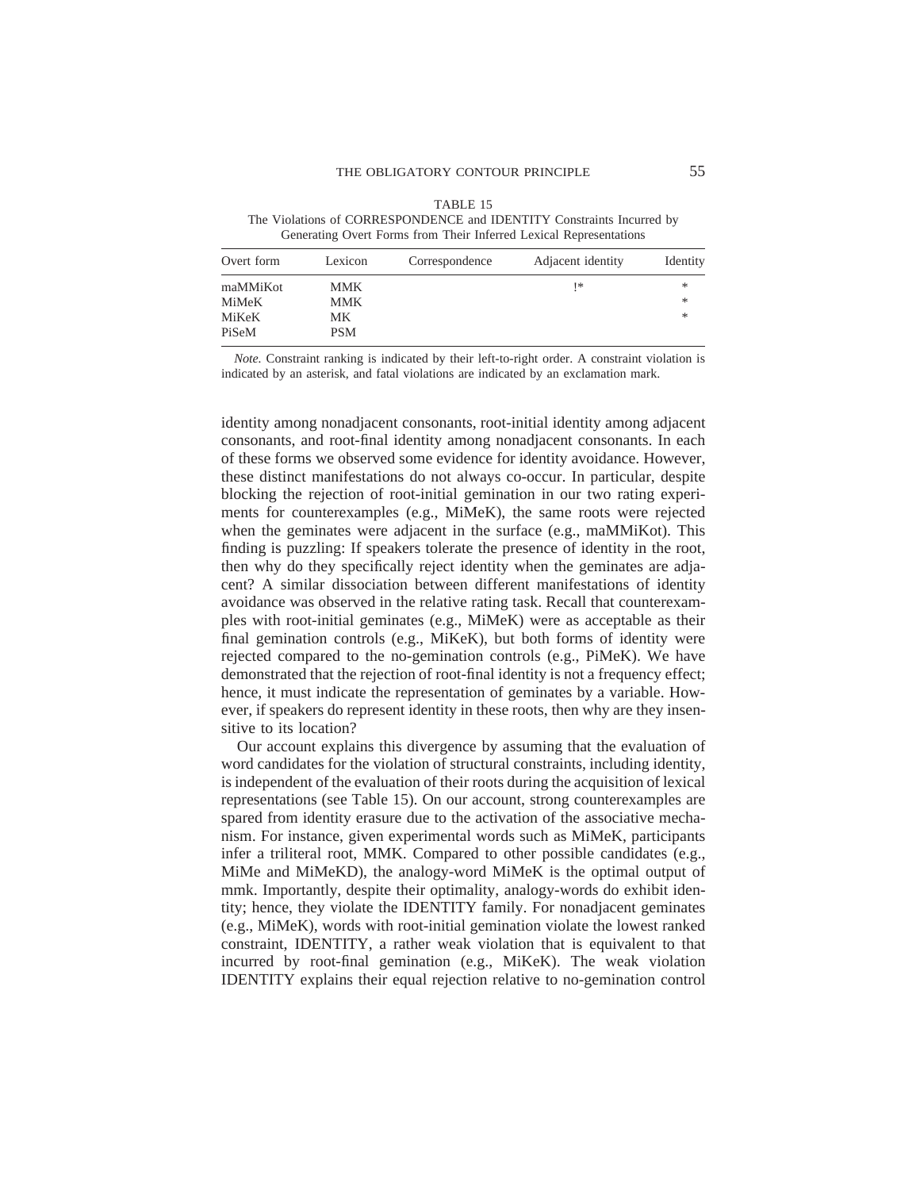## THE OBLIGATORY CONTOUR PRINCIPLE 55

#### TABLE 15

| Overt form | Lexicon    | Correspondence | Adjacent identity | Identity |
|------------|------------|----------------|-------------------|----------|
| maMMiKot   | MMK        |                | 1*                | *        |
| MiMeK      | MMK        |                |                   | *        |
| MiKeK      | МK         |                |                   | *        |
| PiSeM      | <b>PSM</b> |                |                   |          |

The Violations of CORRESPONDENCE and IDENTITY Constraints Incurred by Generating Overt Forms from Their Inferred Lexical Representations

*Note.* Constraint ranking is indicated by their left-to-right order. A constraint violation is indicated by an asterisk, and fatal violations are indicated by an exclamation mark.

identity among nonadjacent consonants, root-initial identity among adjacent consonants, and root-final identity among nonadjacent consonants. In each of these forms we observed some evidence for identity avoidance. However, these distinct manifestations do not always co-occur. In particular, despite blocking the rejection of root-initial gemination in our two rating experiments for counterexamples (e.g., MiMeK), the same roots were rejected when the geminates were adjacent in the surface (e.g., maMMiKot). This finding is puzzling: If speakers tolerate the presence of identity in the root, then why do they specifically reject identity when the geminates are adjacent? A similar dissociation between different manifestations of identity avoidance was observed in the relative rating task. Recall that counterexamples with root-initial geminates (e.g., MiMeK) were as acceptable as their final gemination controls (e.g., MiKeK), but both forms of identity were rejected compared to the no-gemination controls (e.g., PiMeK). We have demonstrated that the rejection of root-final identity is not a frequency effect; hence, it must indicate the representation of geminates by a variable. However, if speakers do represent identity in these roots, then why are they insensitive to its location?

Our account explains this divergence by assuming that the evaluation of word candidates for the violation of structural constraints, including identity, is independent of the evaluation of their roots during the acquisition of lexical representations (see Table 15). On our account, strong counterexamples are spared from identity erasure due to the activation of the associative mechanism. For instance, given experimental words such as MiMeK, participants infer a triliteral root, MMK. Compared to other possible candidates (e.g., MiMe and MiMeKD), the analogy-word MiMeK is the optimal output of mmk. Importantly, despite their optimality, analogy-words do exhibit identity; hence, they violate the IDENTITY family. For nonadjacent geminates (e.g., MiMeK), words with root-initial gemination violate the lowest ranked constraint, IDENTITY, a rather weak violation that is equivalent to that incurred by root-final gemination (e.g., MiKeK). The weak violation IDENTITY explains their equal rejection relative to no-gemination control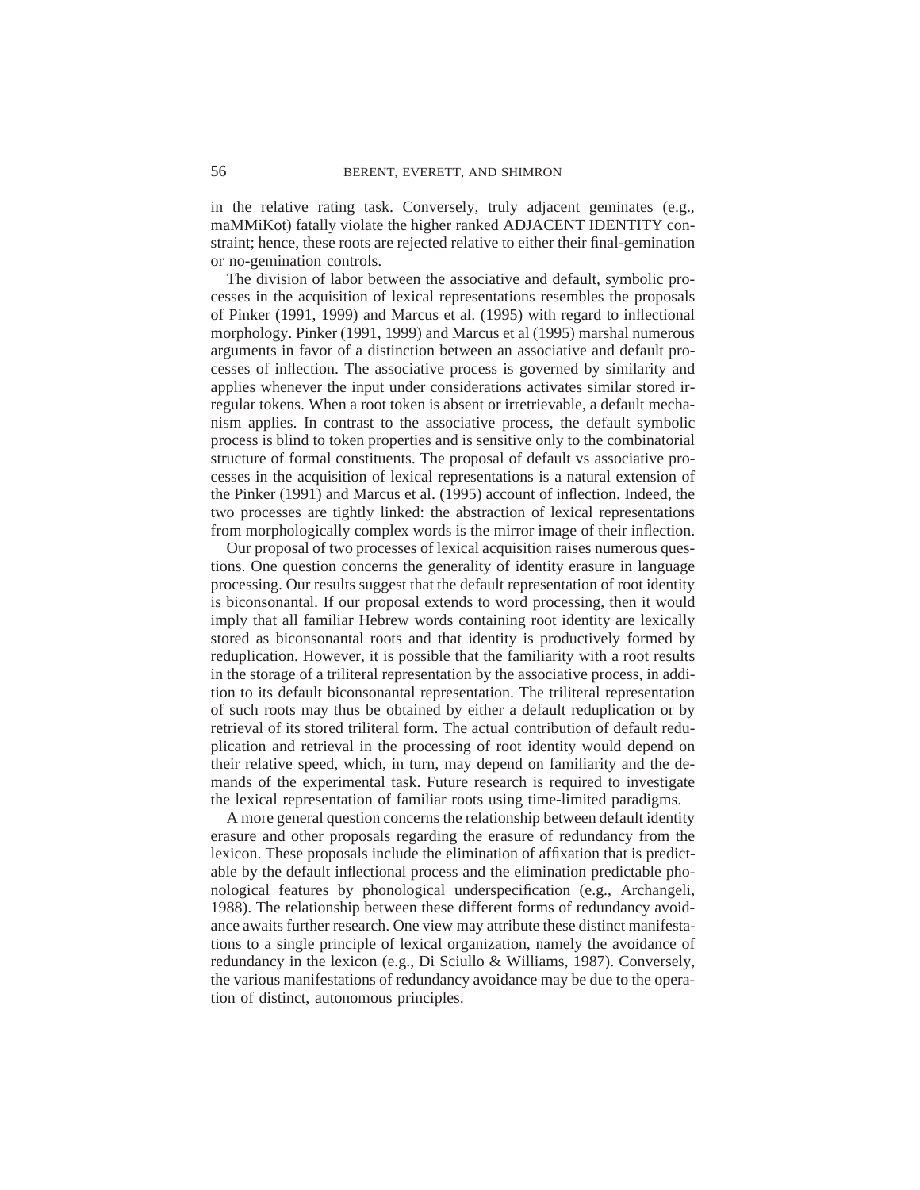in the relative rating task. Conversely, truly adjacent geminates (e.g., maMMiKot) fatally violate the higher ranked ADJACENT IDENTITY constraint; hence, these roots are rejected relative to either their final-gemination or no-gemination controls.

The division of labor between the associative and default, symbolic processes in the acquisition of lexical representations resembles the proposals of Pinker (1991, 1999) and Marcus et al. (1995) with regard to inflectional morphology. Pinker (1991, 1999) and Marcus et al (1995) marshal numerous arguments in favor of a distinction between an associative and default processes of inflection. The associative process is governed by similarity and applies whenever the input under considerations activates similar stored irregular tokens. When a root token is absent or irretrievable, a default mechanism applies. In contrast to the associative process, the default symbolic process is blind to token properties and is sensitive only to the combinatorial structure of formal constituents. The proposal of default vs associative processes in the acquisition of lexical representations is a natural extension of the Pinker (1991) and Marcus et al. (1995) account of inflection. Indeed, the two processes are tightly linked: the abstraction of lexical representations from morphologically complex words is the mirror image of their inflection.

Our proposal of two processes of lexical acquisition raises numerous questions. One question concerns the generality of identity erasure in language processing. Our results suggest that the default representation of root identity is biconsonantal. If our proposal extends to word processing, then it would imply that all familiar Hebrew words containing root identity are lexically stored as biconsonantal roots and that identity is productively formed by reduplication. However, it is possible that the familiarity with a root results in the storage of a triliteral representation by the associative process, in addition to its default biconsonantal representation. The triliteral representation of such roots may thus be obtained by either a default reduplication or by retrieval of its stored triliteral form. The actual contribution of default reduplication and retrieval in the processing of root identity would depend on their relative speed, which, in turn, may depend on familiarity and the demands of the experimental task. Future research is required to investigate the lexical representation of familiar roots using time-limited paradigms.

A more general question concerns the relationship between default identity erasure and other proposals regarding the erasure of redundancy from the lexicon. These proposals include the elimination of affixation that is predictable by the default inflectional process and the elimination predictable phonological features by phonological underspecification (e.g., Archangeli, 1988). The relationship between these different forms of redundancy avoidance awaits further research. One view may attribute these distinct manifestations to a single principle of lexical organization, namely the avoidance of redundancy in the lexicon (e.g., Di Sciullo & Williams, 1987). Conversely, the various manifestations of redundancy avoidance may be due to the operation of distinct, autonomous principles.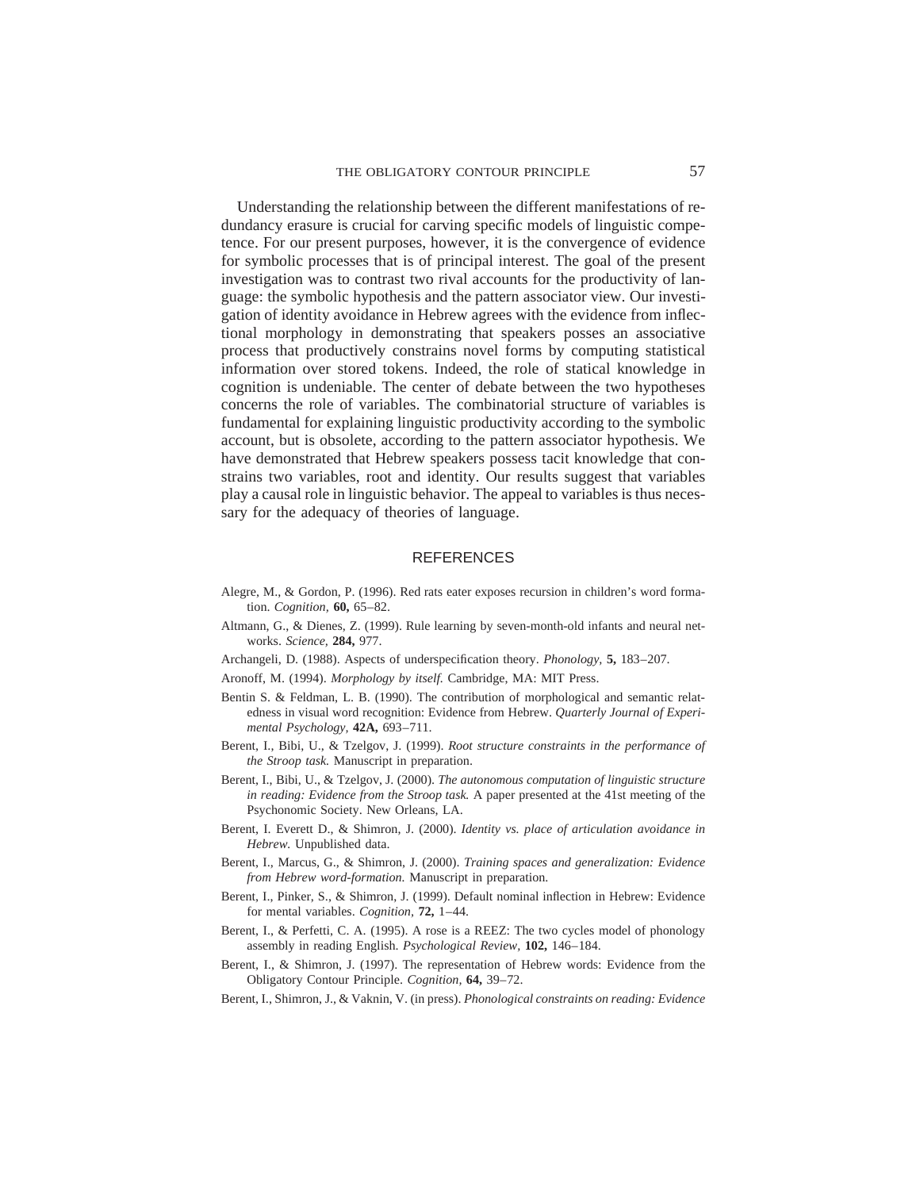Understanding the relationship between the different manifestations of redundancy erasure is crucial for carving specific models of linguistic competence. For our present purposes, however, it is the convergence of evidence for symbolic processes that is of principal interest. The goal of the present investigation was to contrast two rival accounts for the productivity of language: the symbolic hypothesis and the pattern associator view. Our investigation of identity avoidance in Hebrew agrees with the evidence from inflectional morphology in demonstrating that speakers posses an associative process that productively constrains novel forms by computing statistical information over stored tokens. Indeed, the role of statical knowledge in cognition is undeniable. The center of debate between the two hypotheses concerns the role of variables. The combinatorial structure of variables is fundamental for explaining linguistic productivity according to the symbolic account, but is obsolete, according to the pattern associator hypothesis. We have demonstrated that Hebrew speakers possess tacit knowledge that constrains two variables, root and identity. Our results suggest that variables play a causal role in linguistic behavior. The appeal to variables is thus necessary for the adequacy of theories of language.

## REFERENCES

- Alegre, M., & Gordon, P. (1996). Red rats eater exposes recursion in children's word formation. *Cognition,* **60,** 65–82.
- Altmann, G., & Dienes, Z. (1999). Rule learning by seven-month-old infants and neural networks. *Science,* **284,** 977.
- Archangeli, D. (1988). Aspects of underspecification theory. *Phonology,* **5,** 183–207.
- Aronoff, M. (1994). *Morphology by itself.* Cambridge, MA: MIT Press.
- Bentin S. & Feldman, L. B. (1990). The contribution of morphological and semantic relatedness in visual word recognition: Evidence from Hebrew. *Quarterly Journal of Experimental Psychology,* **42A,** 693–711.
- Berent, I., Bibi, U., & Tzelgov, J. (1999). *Root structure constraints in the performance of the Stroop task.* Manuscript in preparation.
- Berent, I., Bibi, U., & Tzelgov, J. (2000). *The autonomous computation of linguistic structure in reading: Evidence from the Stroop task.* A paper presented at the 41st meeting of the Psychonomic Society. New Orleans, LA.
- Berent, I. Everett D., & Shimron, J. (2000). *Identity vs. place of articulation avoidance in Hebrew.* Unpublished data.
- Berent, I., Marcus, G., & Shimron, J. (2000). *Training spaces and generalization: Evidence from Hebrew word-formation.* Manuscript in preparation.
- Berent, I., Pinker, S., & Shimron, J. (1999). Default nominal inflection in Hebrew: Evidence for mental variables. *Cognition,* **72,** 1–44.
- Berent, I., & Perfetti, C. A. (1995). A rose is a REEZ: The two cycles model of phonology assembly in reading English. *Psychological Review,* **102,** 146–184.
- Berent, I., & Shimron, J. (1997). The representation of Hebrew words: Evidence from the Obligatory Contour Principle. *Cognition,* **64,** 39–72.
- Berent, I., Shimron, J., & Vaknin, V. (in press). *Phonological constraints on reading: Evidence*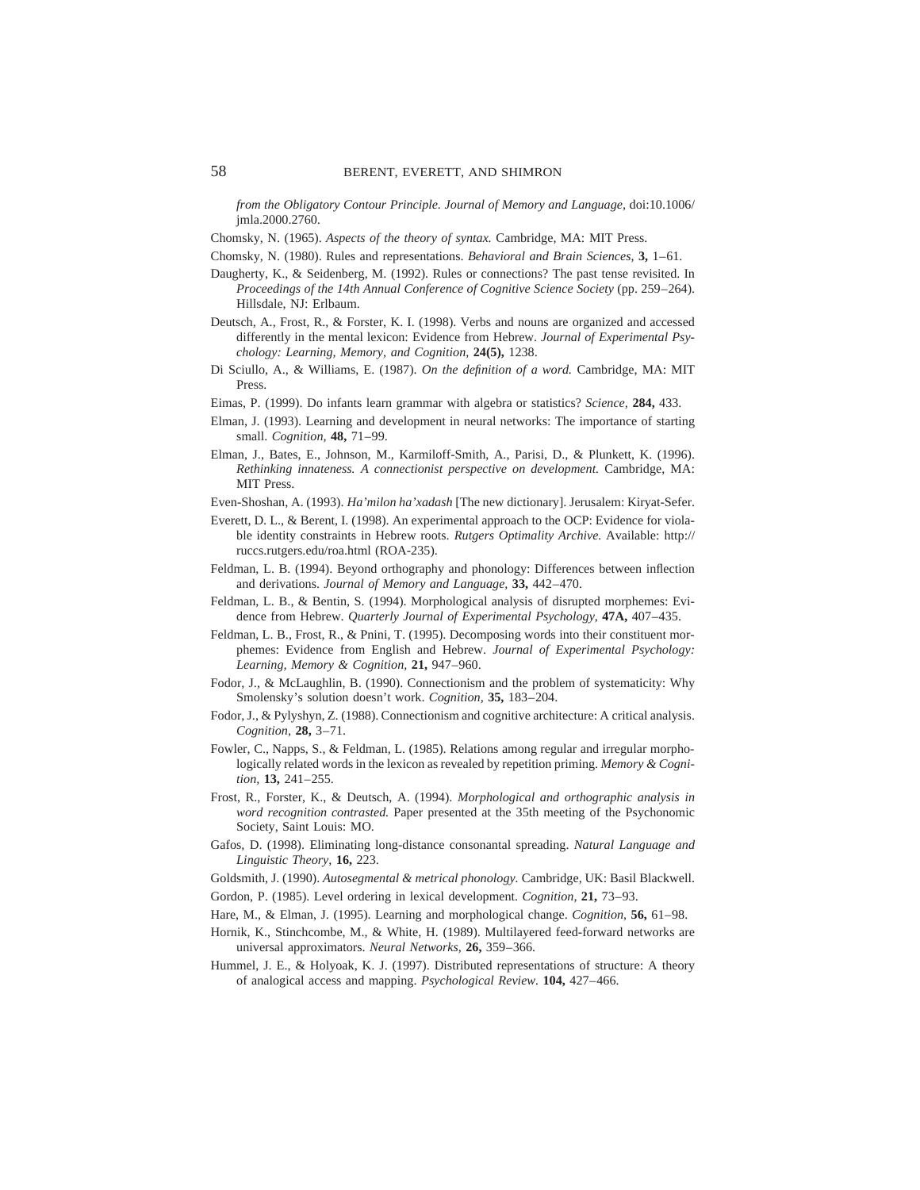*from the Obligatory Contour Principle. Journal of Memory and Language,* doi:10.1006/ jmla.2000.2760.

- Chomsky, N. (1965). *Aspects of the theory of syntax.* Cambridge, MA: MIT Press.
- Chomsky, N. (1980). Rules and representations. *Behavioral and Brain Sciences,* **3,** 1–61.
- Daugherty, K., & Seidenberg, M. (1992). Rules or connections? The past tense revisited. In *Proceedings of the 14th Annual Conference of Cognitive Science Society* (pp. 259–264). Hillsdale, NJ: Erlbaum.
- Deutsch, A., Frost, R., & Forster, K. I. (1998). Verbs and nouns are organized and accessed differently in the mental lexicon: Evidence from Hebrew. *Journal of Experimental Psychology: Learning, Memory, and Cognition,* **24(5),** 1238.
- Di Sciullo, A., & Williams, E. (1987). *On the definition of a word.* Cambridge, MA: MIT Press.
- Eimas, P. (1999). Do infants learn grammar with algebra or statistics? *Science,* **284,** 433.
- Elman, J. (1993). Learning and development in neural networks: The importance of starting small. *Cognition,* **48,** 71–99.
- Elman, J., Bates, E., Johnson, M., Karmiloff-Smith, A., Parisi, D., & Plunkett, K. (1996). *Rethinking innateness. A connectionist perspective on development.* Cambridge, MA: MIT Press.
- Even-Shoshan, A. (1993). *Ha'milon ha'xadash* [The new dictionary]. Jerusalem: Kiryat-Sefer.
- Everett, D. L., & Berent, I. (1998). An experimental approach to the OCP: Evidence for violable identity constraints in Hebrew roots. *Rutgers Optimality Archive.* Available: http:// ruccs.rutgers.edu/roa.html (ROA-235).
- Feldman, L. B. (1994). Beyond orthography and phonology: Differences between inflection and derivations. *Journal of Memory and Language,* **33,** 442–470.
- Feldman, L. B., & Bentin, S. (1994). Morphological analysis of disrupted morphemes: Evidence from Hebrew. *Quarterly Journal of Experimental Psychology,* **47A,** 407–435.
- Feldman, L. B., Frost, R., & Pnini, T. (1995). Decomposing words into their constituent morphemes: Evidence from English and Hebrew. *Journal of Experimental Psychology: Learning, Memory & Cognition,* **21,** 947–960.
- Fodor, J., & McLaughlin, B. (1990). Connectionism and the problem of systematicity: Why Smolensky's solution doesn't work. *Cognition,* **35,** 183–204.
- Fodor, J., & Pylyshyn, Z. (1988). Connectionism and cognitive architecture: A critical analysis. *Cognition,* **28,** 3–71.
- Fowler, C., Napps, S., & Feldman, L. (1985). Relations among regular and irregular morphologically related words in the lexicon as revealed by repetition priming. *Memory & Cognition,* **13,** 241–255.
- Frost, R., Forster, K., & Deutsch, A. (1994). *Morphological and orthographic analysis in word recognition contrasted.* Paper presented at the 35th meeting of the Psychonomic Society, Saint Louis: MO.
- Gafos, D. (1998). Eliminating long-distance consonantal spreading. *Natural Language and Linguistic Theory,* **16,** 223.
- Goldsmith, J. (1990). *Autosegmental & metrical phonology.* Cambridge, UK: Basil Blackwell.
- Gordon, P. (1985). Level ordering in lexical development. *Cognition,* **21,** 73–93.
- Hare, M., & Elman, J. (1995). Learning and morphological change. *Cognition,* **56,** 61–98.
- Hornik, K., Stinchcombe, M., & White, H. (1989). Multilayered feed-forward networks are universal approximators. *Neural Networks,* **26,** 359–366.
- Hummel, J. E., & Holyoak, K. J. (1997). Distributed representations of structure: A theory of analogical access and mapping. *Psychological Review.* **104,** 427–466.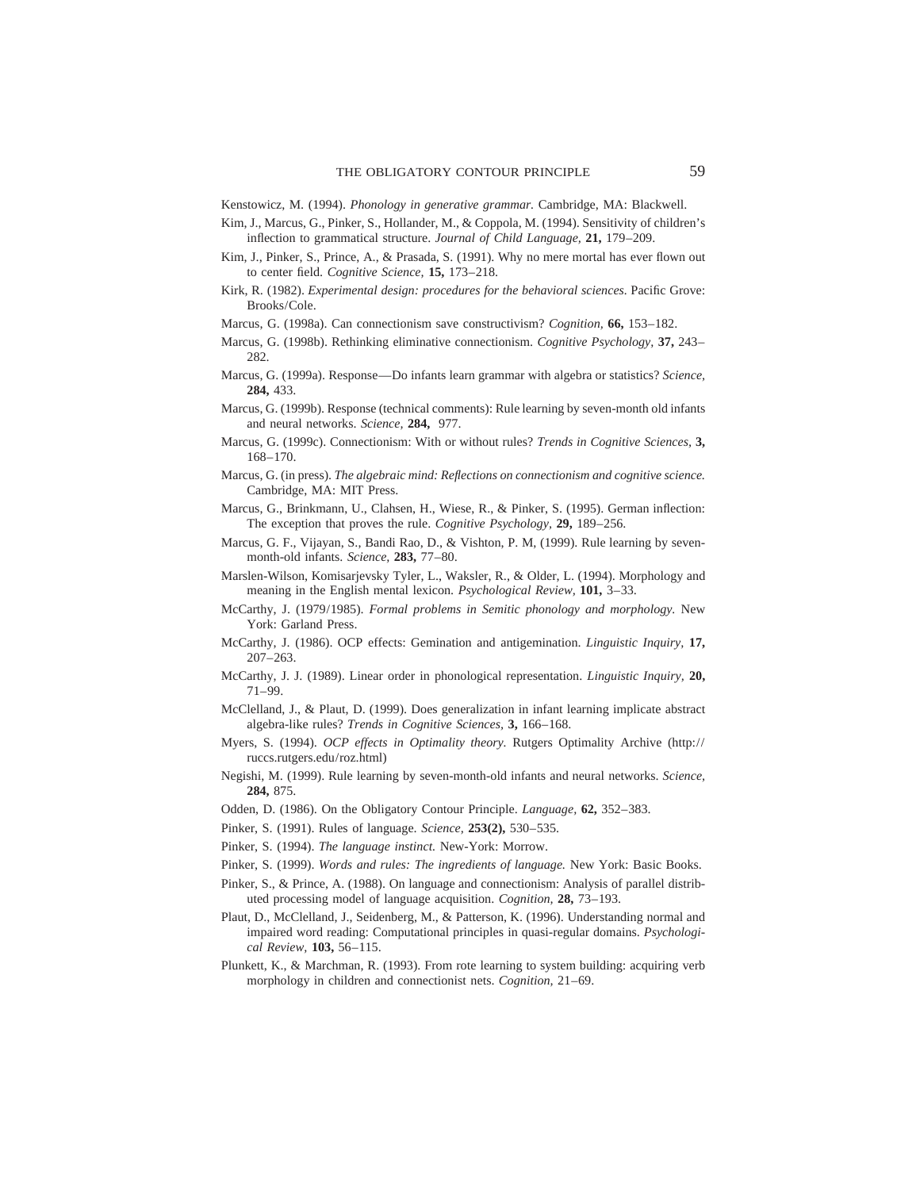Kenstowicz, M. (1994). *Phonology in generative grammar.* Cambridge, MA: Blackwell.

- Kim, J., Marcus, G., Pinker, S., Hollander, M., & Coppola, M. (1994). Sensitivity of children's inflection to grammatical structure. *Journal of Child Language,* **21,** 179–209.
- Kim, J., Pinker, S., Prince, A., & Prasada, S. (1991). Why no mere mortal has ever flown out to center field. *Cognitive Science,* **15,** 173–218.
- Kirk, R. (1982). *Experimental design: procedures for the behavioral sciences.* Pacific Grove: Brooks/Cole.
- Marcus, G. (1998a). Can connectionism save constructivism? *Cognition,* **66,** 153–182.
- Marcus, G. (1998b). Rethinking eliminative connectionism. *Cognitive Psychology,* **37,** 243– 282
- Marcus, G. (1999a). Response—Do infants learn grammar with algebra or statistics? *Science,* **284,** 433.
- Marcus, G. (1999b). Response (technical comments): Rule learning by seven-month old infants and neural networks. *Science,* **284,** 977.
- Marcus, G. (1999c). Connectionism: With or without rules? *Trends in Cognitive Sciences,* **3,** 168–170.
- Marcus, G. (in press). *The algebraic mind: Reflections on connectionism and cognitive science.* Cambridge, MA: MIT Press.
- Marcus, G., Brinkmann, U., Clahsen, H., Wiese, R., & Pinker, S. (1995). German inflection: The exception that proves the rule. *Cognitive Psychology,* **29,** 189–256.
- Marcus, G. F., Vijayan, S., Bandi Rao, D., & Vishton, P. M. (1999). Rule learning by sevenmonth-old infants. *Science,* **283,** 77–80.
- Marslen-Wilson, Komisarjevsky Tyler, L., Waksler, R., & Older, L. (1994). Morphology and meaning in the English mental lexicon. *Psychological Review,* **101,** 3–33.
- McCarthy, J. (1979/1985). *Formal problems in Semitic phonology and morphology.* New York: Garland Press.
- McCarthy, J. (1986). OCP effects: Gemination and antigemination. *Linguistic Inquiry,* **17,** 207–263.
- McCarthy, J. J. (1989). Linear order in phonological representation. *Linguistic Inquiry,* **20,** 71–99.
- McClelland, J., & Plaut, D. (1999). Does generalization in infant learning implicate abstract algebra-like rules? *Trends in Cognitive Sciences,* **3,** 166–168.
- Myers, S. (1994). *OCP effects in Optimality theory.* Rutgers Optimality Archive (http:// ruccs.rutgers.edu/roz.html)
- Negishi, M. (1999). Rule learning by seven-month-old infants and neural networks. *Science,* **284,** 875.

Odden, D. (1986). On the Obligatory Contour Principle. *Language,* **62,** 352–383.

- Pinker, S. (1991). Rules of language. *Science,* **253(2),** 530–535.
- Pinker, S. (1994). *The language instinct.* New-York: Morrow.
- Pinker, S. (1999). *Words and rules: The ingredients of language.* New York: Basic Books.
- Pinker, S., & Prince, A. (1988). On language and connectionism: Analysis of parallel distributed processing model of language acquisition. *Cognition,* **28,** 73–193.
- Plaut, D., McClelland, J., Seidenberg, M., & Patterson, K. (1996). Understanding normal and impaired word reading: Computational principles in quasi-regular domains. *Psychological Review,* **103,** 56–115.
- Plunkett, K., & Marchman, R. (1993). From rote learning to system building: acquiring verb morphology in children and connectionist nets. *Cognition,* 21–69.